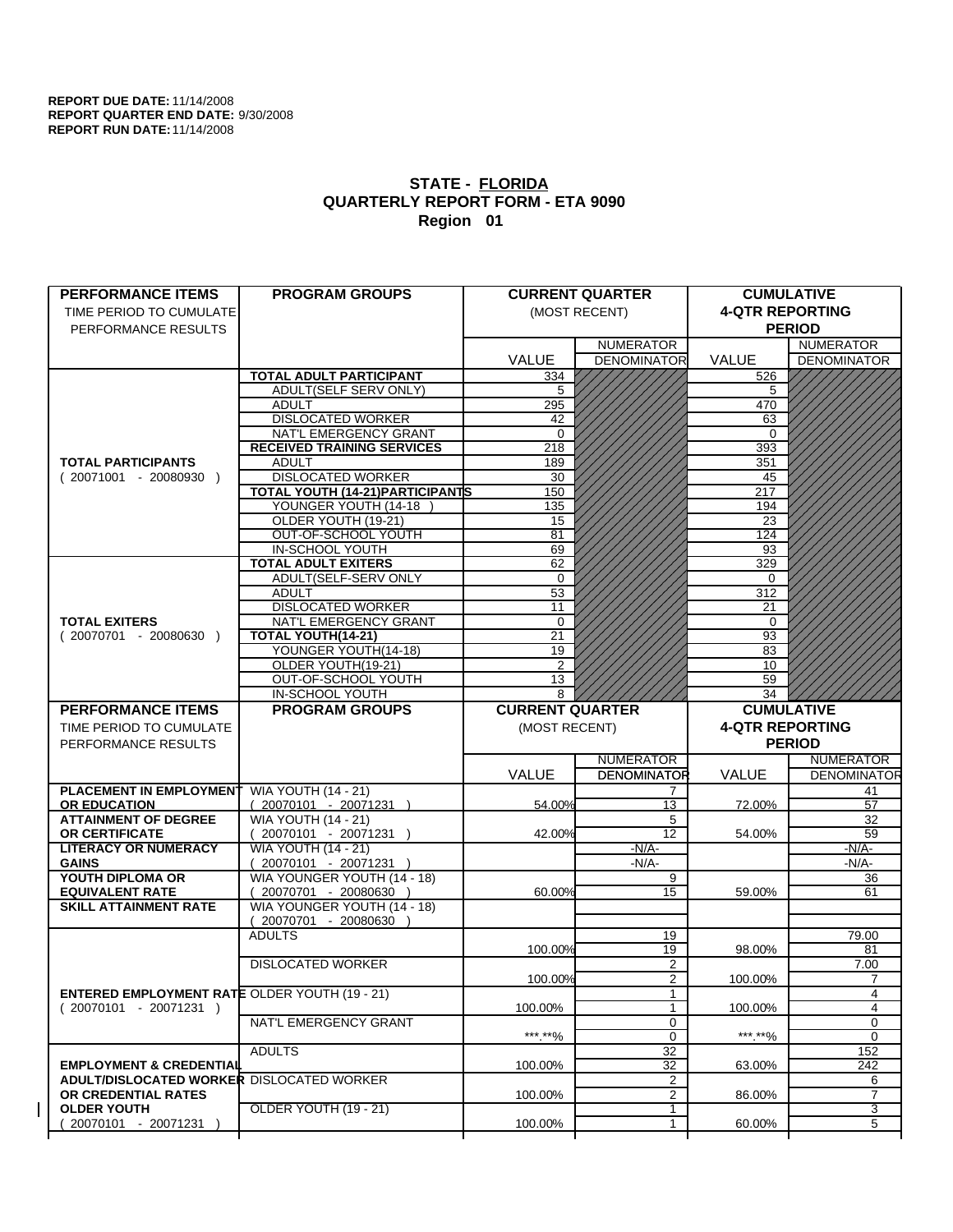| <b>PERFORMANCE ITEMS</b>                                                        | <b>PROGRAM GROUPS</b>                                  |                        | <b>CURRENT QUARTER</b> |                        | <b>CUMULATIVE</b>     |
|---------------------------------------------------------------------------------|--------------------------------------------------------|------------------------|------------------------|------------------------|-----------------------|
| TIME PERIOD TO CUMULATE                                                         |                                                        |                        | (MOST RECENT)          | <b>4-QTR REPORTING</b> |                       |
| PERFORMANCE RESULTS                                                             |                                                        |                        |                        |                        | <b>PERIOD</b>         |
|                                                                                 |                                                        |                        | <b>NUMERATOR</b>       |                        | <b>NUMERATOR</b>      |
|                                                                                 |                                                        | <b>VALUE</b>           | <b>DENOMINATOR</b>     | <b>VALUE</b>           | <b>DENOMINATOR</b>    |
|                                                                                 | <b>TOTAL ADULT PARTICIPANT</b>                         | 334                    |                        | 526                    |                       |
|                                                                                 | ADULT(SELF SERV ONLY)                                  | 5                      |                        | 5                      |                       |
|                                                                                 | <b>ADULT</b>                                           | 295                    |                        | 470                    |                       |
|                                                                                 | <b>DISLOCATED WORKER</b>                               | 42                     |                        | 63                     |                       |
|                                                                                 | NAT'L EMERGENCY GRANT                                  | $\Omega$               |                        | $\Omega$               |                       |
|                                                                                 | <b>RECEIVED TRAINING SERVICES</b>                      | 218                    |                        | 393                    |                       |
| <b>TOTAL PARTICIPANTS</b>                                                       | <b>ADULT</b>                                           | 189                    |                        | 351                    |                       |
| $(20071001 - 20080930)$                                                         | <b>DISLOCATED WORKER</b>                               | 30                     |                        | 45                     |                       |
|                                                                                 | <b>TOTAL YOUTH (14-21) PARTICIPANTS</b>                | 150                    |                        | 217                    |                       |
|                                                                                 | YOUNGER YOUTH (14-18)                                  | 135                    |                        | 194                    |                       |
|                                                                                 | OLDER YOUTH (19-21)                                    | 15                     |                        | 23                     |                       |
|                                                                                 | OUT-OF-SCHOOL YOUTH                                    | 81                     |                        | 124                    |                       |
|                                                                                 | IN-SCHOOL YOUTH                                        | 69                     |                        | 93                     |                       |
|                                                                                 | <b>TOTAL ADULT EXITERS</b>                             | 62                     |                        | 329                    |                       |
|                                                                                 | ADULT(SELF-SERV ONLY                                   | $\Omega$               |                        | $\Omega$               |                       |
|                                                                                 | <b>ADULT</b>                                           | 53                     |                        | 312                    |                       |
|                                                                                 | <b>DISLOCATED WORKER</b>                               | 11                     |                        | 21                     |                       |
| <b>TOTAL EXITERS</b>                                                            | NAT'L EMERGENCY GRANT                                  | $\mathbf 0$            |                        | $\mathbf 0$            |                       |
| $(20070701 - 20080630)$                                                         | TOTAL YOUTH(14-21)                                     | 21                     |                        | 93                     |                       |
|                                                                                 | YOUNGER YOUTH(14-18)                                   | 19                     |                        | 83                     |                       |
|                                                                                 | OLDER YOUTH(19-21)                                     | $\overline{2}$         |                        | 10                     |                       |
|                                                                                 | OUT-OF-SCHOOL YOUTH                                    | 13                     |                        | 59                     |                       |
|                                                                                 | IN-SCHOOL YOUTH                                        | 8                      |                        | 34                     |                       |
| <b>PERFORMANCE ITEMS</b>                                                        | <b>PROGRAM GROUPS</b>                                  | <b>CURRENT QUARTER</b> |                        |                        | <b>CUMULATIVE</b>     |
|                                                                                 |                                                        |                        |                        |                        |                       |
|                                                                                 |                                                        |                        |                        |                        |                       |
| TIME PERIOD TO CUMULATE                                                         |                                                        | (MOST RECENT)          |                        | <b>4-QTR REPORTING</b> |                       |
| PERFORMANCE RESULTS                                                             |                                                        |                        |                        |                        | <b>PERIOD</b>         |
|                                                                                 |                                                        |                        | <b>NUMERATOR</b>       |                        | <b>NUMERATOR</b>      |
|                                                                                 |                                                        | <b>VALUE</b>           | <b>DENOMINATOR</b>     | <b>VALUE</b>           | <b>DENOMINATOR</b>    |
| <b>PLACEMENT IN EMPLOYMENT</b>                                                  | <b>WIA YOUTH (14 - 21)</b>                             |                        | 7                      |                        | 41                    |
| <b>OR EDUCATION</b>                                                             |                                                        | 54.00%                 | 13                     | 72.00%                 | 57                    |
| <b>ATTAINMENT OF DEGREE</b>                                                     | $(20070101 - 20071231)$                                |                        | 5                      |                        | 32                    |
| <b>OR CERTIFICATE</b>                                                           | <b>WIA YOUTH (14 - 21)</b>                             | 42.00%                 | $12 \overline{ }$      | 54.00%                 | 59                    |
| <b>LITERACY OR NUMERACY</b>                                                     | $(20070101 - 20071231)$                                |                        | $-N/A$ -               |                        |                       |
| <b>GAINS</b>                                                                    | <b>WIA YOUTH (14 - 21)</b>                             |                        | $-N/A-$                |                        | <u>-N/A-</u><br>-N/A- |
| YOUTH DIPLOMA OR                                                                | 20070101 - 20071231 )                                  |                        | 9                      |                        | 36                    |
| <b>EQUIVALENT RATE</b>                                                          | WIA YOUNGER YOUTH (14 - 18)<br>20070701 - 20080630 )   | 60.00%                 | 15                     | 59.00%                 | 61                    |
| <b>SKILL ATTAINMENT RATE</b>                                                    |                                                        |                        |                        |                        |                       |
|                                                                                 | WIA YOUNGER YOUTH (14 - 18)<br>$(20070701 - 20080630)$ |                        |                        |                        |                       |
|                                                                                 | <b>ADULTS</b>                                          |                        | 19                     |                        | 79.00                 |
|                                                                                 |                                                        | 100.00%                | 19                     | 98.00%                 | 81                    |
|                                                                                 | <b>DISLOCATED WORKER</b>                               |                        | 2                      |                        | 7.00                  |
|                                                                                 |                                                        |                        |                        |                        | 7                     |
|                                                                                 |                                                        | 100.00%                | $\overline{2}$         | 100.00%                |                       |
| <b>ENTERED EMPLOYMENT RATE OLDER YOUTH (19 - 21)</b><br>$(20070101 - 20071231)$ |                                                        | 100.00%                | 1                      | 100.00%                | 4<br>4                |
|                                                                                 | NAT'L EMERGENCY GRANT                                  |                        | 0                      |                        | 0                     |
|                                                                                 |                                                        |                        |                        | ***.**%                |                       |
|                                                                                 |                                                        | ***.**%                | $\mathbf 0$            |                        | 0                     |
|                                                                                 | <b>ADULTS</b>                                          |                        | 32                     |                        | 152                   |
| <b>EMPLOYMENT &amp; CREDENTIAL</b>                                              |                                                        | 100.00%                | 32                     | 63.00%                 | 242                   |
| ADULT/DISLOCATED WORKER DISLOCATED WORKER                                       |                                                        |                        | $\overline{2}$         |                        | 6                     |
| OR CREDENTIAL RATES                                                             |                                                        | 100.00%                | 2                      | 86.00%                 | $\overline{7}$        |
| <b>OLDER YOUTH</b><br>20070101 - 20071231                                       | OLDER YOUTH (19 - 21)                                  | 100.00%                | 1<br>1                 | 60.00%                 | 3<br>5                |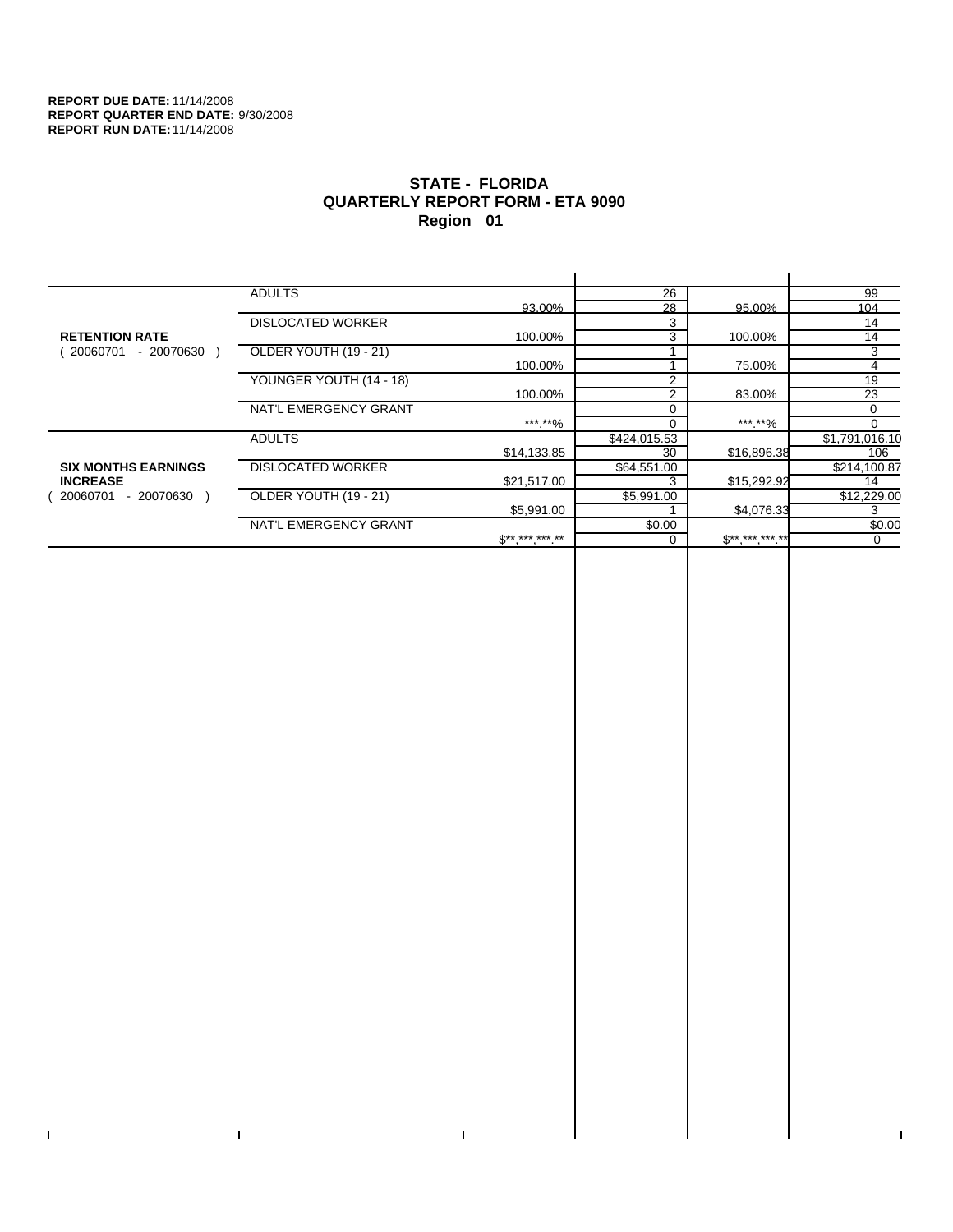$\bar{\mathbf{I}}$ 

 $\Gamma$ 

# **STATE - FLORIDA QUARTERLY REPORT FORM - ETA 9090 Region 01**

|                            | <b>ADULTS</b>            |              | 26             |              | 99             |
|----------------------------|--------------------------|--------------|----------------|--------------|----------------|
|                            |                          | 93.00%       | 28             | 95.00%       | 104            |
|                            | <b>DISLOCATED WORKER</b> |              | 3              |              | 14             |
| <b>RETENTION RATE</b>      |                          | 100.00%      | 3              | 100.00%      | 14             |
| - 20070630<br>20060701     | OLDER YOUTH (19 - 21)    |              |                |              | 3              |
|                            |                          | 100.00%      |                | 75.00%       | 4              |
|                            | YOUNGER YOUTH (14 - 18)  |              | $\mathfrak{p}$ |              | 19             |
|                            |                          | 100.00%      | $\overline{2}$ | 83.00%       | 23             |
|                            | NAT'L EMERGENCY GRANT    |              |                |              | 0              |
|                            |                          | ***.**%      |                | *** **%      | $\Omega$       |
|                            | <b>ADULTS</b>            |              | \$424,015.53   |              | \$1,791,016.10 |
|                            |                          | \$14,133.85  | 30             | \$16,896.38  | 106            |
| <b>SIX MONTHS EARNINGS</b> | <b>DISLOCATED WORKER</b> |              | \$64,551.00    |              | \$214,100.87   |
| <b>INCREASE</b>            |                          | \$21,517.00  |                | \$15,292.92  | 14             |
| 20060701<br>- 20070630     | OLDER YOUTH (19 - 21)    |              | \$5,991.00     |              | \$12,229.00    |
|                            |                          | \$5,991.00   |                | \$4,076.33   | 3              |
|                            | NAT'L EMERGENCY GRANT    |              | \$0.00         |              | \$0.00         |
|                            |                          | $S*********$ |                | $S*********$ | $\Omega$       |
|                            |                          |              |                |              |                |

 $\bar{\Gamma}$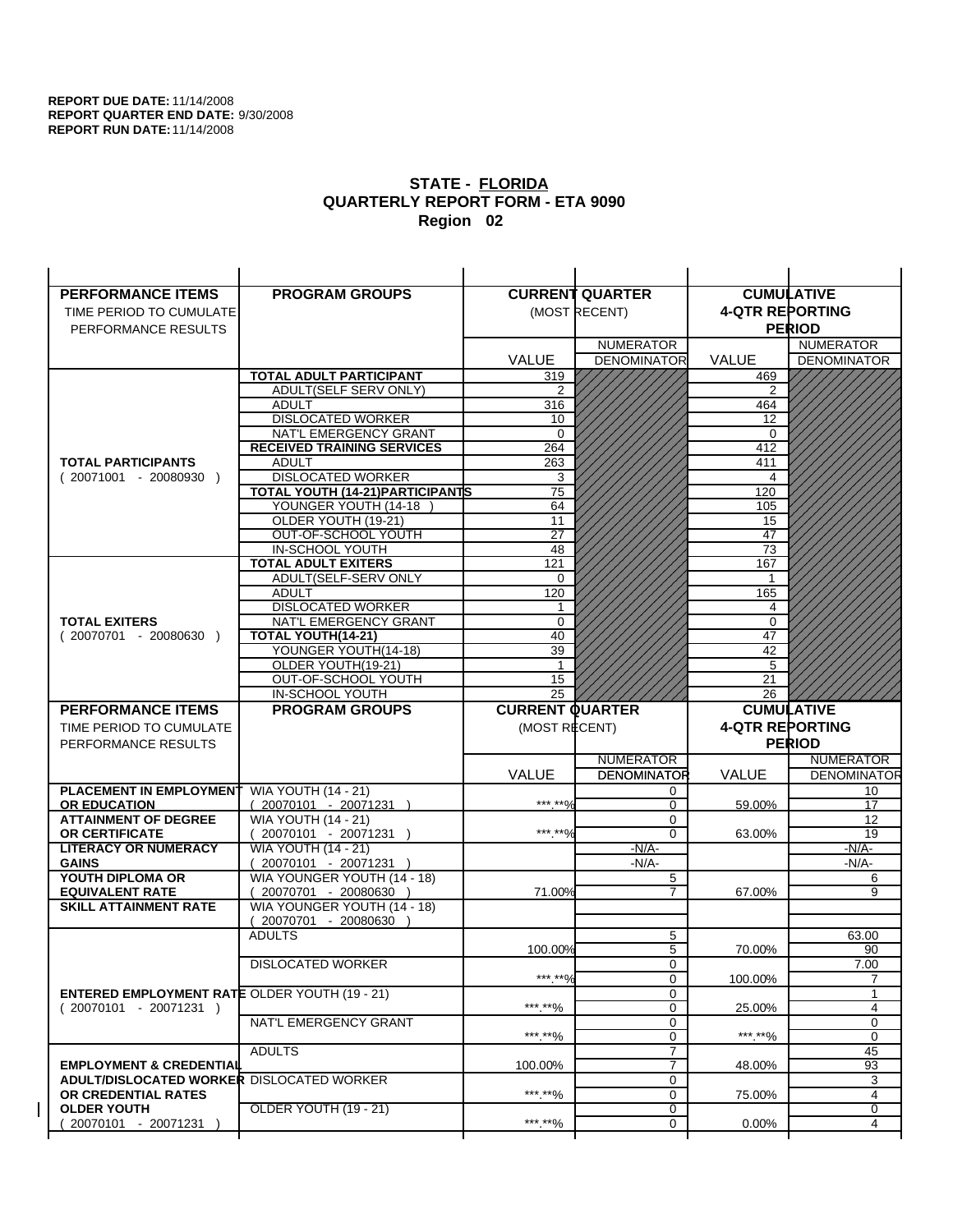| <b>PERFORMANCE ITEMS</b>                             | <b>PROGRAM GROUPS</b>                         |                        | <b>CURRENT QUARTER</b> |                        | <b>CUMULATIVE</b>  |
|------------------------------------------------------|-----------------------------------------------|------------------------|------------------------|------------------------|--------------------|
| TIME PERIOD TO CUMULATE                              |                                               |                        | (MOST RECENT)          | <b>4-QTR REPORTING</b> |                    |
| PERFORMANCE RESULTS                                  |                                               |                        |                        |                        | <b>PERIOD</b>      |
|                                                      |                                               |                        | <b>NUMERATOR</b>       |                        | <b>NUMERATOR</b>   |
|                                                      |                                               | <b>VALUE</b>           | <b>DENOMINATOR</b>     | <b>VALUE</b>           | <b>DENOMINATOR</b> |
|                                                      | <b>TOTAL ADULT PARTICIPANT</b>                | 319                    |                        | 469                    |                    |
|                                                      | ADULT(SELF SERV ONLY)                         | 2                      |                        | $\overline{2}$         |                    |
|                                                      | <b>ADULT</b>                                  | 316                    |                        | 464                    |                    |
|                                                      | <b>DISLOCATED WORKER</b>                      | 10                     |                        | 12                     |                    |
|                                                      | NAT'L EMERGENCY GRANT                         | $\Omega$               |                        | 0                      |                    |
|                                                      | <b>RECEIVED TRAINING SERVICES</b>             | 264                    |                        | 412                    |                    |
| <b>TOTAL PARTICIPANTS</b>                            | <b>ADULT</b>                                  | 263                    |                        | 411                    |                    |
| $(20071001 - 20080930)$                              | <b>DISLOCATED WORKER</b>                      | 3                      |                        | 4                      |                    |
|                                                      | TOTAL YOUTH (14-21) PARTICIPANTS              | 75                     |                        | 120                    |                    |
|                                                      | YOUNGER YOUTH (14-18                          | 64                     |                        | 105                    |                    |
|                                                      | OLDER YOUTH (19-21)                           | 11                     |                        | 15                     |                    |
|                                                      | OUT-OF-SCHOOL YOUTH                           | $\overline{27}$        |                        | 47                     |                    |
|                                                      | IN-SCHOOL YOUTH<br><b>TOTAL ADULT EXITERS</b> | 48<br>121              |                        | 73<br>167              |                    |
|                                                      | ADULT(SELF-SERV ONLY                          | $\Omega$               |                        | 1                      |                    |
|                                                      | <b>ADULT</b>                                  | 120                    |                        | 165                    |                    |
|                                                      | <b>DISLOCATED WORKER</b>                      | 1                      |                        | 4                      |                    |
| <b>TOTAL EXITERS</b>                                 | NAT'L EMERGENCY GRANT                         | 0                      |                        | $\mathbf 0$            |                    |
| $(20070701 - 20080630)$                              | <b>TOTAL YOUTH(14-21)</b>                     | 40                     |                        | 47                     |                    |
|                                                      | YOUNGER YOUTH(14-18)                          | 39                     |                        | 42                     |                    |
|                                                      | OLDER YOUTH(19-21)                            | 1                      |                        | 5                      |                    |
|                                                      | OUT-OF-SCHOOL YOUTH                           | 15                     |                        | 21                     |                    |
|                                                      | IN-SCHOOL YOUTH                               | $\overline{25}$        |                        | 26                     |                    |
|                                                      |                                               |                        |                        |                        |                    |
| <b>PERFORMANCE ITEMS</b>                             | <b>PROGRAM GROUPS</b>                         | <b>CURRENT QUARTER</b> |                        |                        | <b>CUMULATIVE</b>  |
| TIME PERIOD TO CUMULATE                              |                                               | (MOST RECENT)          |                        | <b>4-QTR REPORTING</b> |                    |
| PERFORMANCE RESULTS                                  |                                               |                        |                        |                        | <b>PERIOD</b>      |
|                                                      |                                               |                        | <b>NUMERATOR</b>       |                        | <b>NUMERATOR</b>   |
|                                                      |                                               | <b>VALUE</b>           | <b>DENOMINATOR</b>     | <b>VALUE</b>           | <b>DENOMINATOR</b> |
| PLACEMENT IN EMPLOYMENT                              | <b>WIA YOUTH (14 - 21)</b>                    |                        | 0                      |                        | 10                 |
| <b>OR EDUCATION</b>                                  | $(20070101 - 20071231)$                       | *** ** 0/              | $\Omega$               | 59.00%                 | 17                 |
| <b>ATTAINMENT OF DEGREE</b>                          | <b>WIA YOUTH (14 - 21)</b>                    |                        | 0                      |                        | 12                 |
| <b>OR CERTIFICATE</b>                                | $(20070101 - 20071231)$                       | ***.**%                | $\Omega$               | 63.00%                 | 19                 |
| <b>LITERACY OR NUMERACY</b>                          | <b>WIA YOUTH (14 - 21)</b>                    |                        | $-N/A-$                |                        | -N/A-              |
| <b>GAINS</b>                                         | 20070101 - 20071231                           |                        | $-N/A$ -               |                        | $-N/A-$            |
| YOUTH DIPLOMA OR                                     | WIA YOUNGER YOUTH (14 - 18)                   |                        | 5                      |                        | 6                  |
| <b>EQUIVALENT RATE</b>                               | 20070701 - 20080630 )                         | 71.00%                 | 7                      | 67.00%                 | 9                  |
| <b>SKILL ATTAINMENT RATE</b>                         | WIA YOUNGER YOUTH (14 - 18)                   |                        |                        |                        |                    |
|                                                      | (20070701 - 20080630                          |                        |                        |                        |                    |
|                                                      | <b>ADULTS</b>                                 |                        | 5                      |                        | 63.00              |
|                                                      |                                               | 100.00%                | 5                      | 70.00%                 | 90                 |
|                                                      | <b>DISLOCATED WORKER</b>                      |                        | 0                      |                        | 7.00               |
|                                                      |                                               | ***.**%                | $\Omega$               | 100.00%                | $\overline{7}$     |
| <b>ENTERED EMPLOYMENT RATE OLDER YOUTH (19 - 21)</b> |                                               | ***.**%                | 0<br>0                 |                        | 4                  |
| $(20070101 - 20071231)$                              | NAT'L EMERGENCY GRANT                         |                        | 0                      | 25.00%                 | 0                  |
|                                                      |                                               | ***.**%                | 0                      | *** **%                | 0                  |
|                                                      | <b>ADULTS</b>                                 |                        | $\overline{7}$         |                        | 45                 |
| <b>EMPLOYMENT &amp; CREDENTIAL</b>                   |                                               | 100.00%                | $\overline{7}$         | 48.00%                 | 93                 |
| <b>ADULT/DISLOCATED WORKER DISLOCATED WORKER</b>     |                                               |                        | 0                      |                        | 3                  |
| OR CREDENTIAL RATES                                  |                                               | ***.**%                | 0                      | 75.00%                 | 4                  |
| <b>OLDER YOUTH</b><br>20070101 - 20071231            | <b>OLDER YOUTH (19 - 21)</b>                  | ***.**%                | 0<br>0                 | $0.00\%$               | 0<br>4             |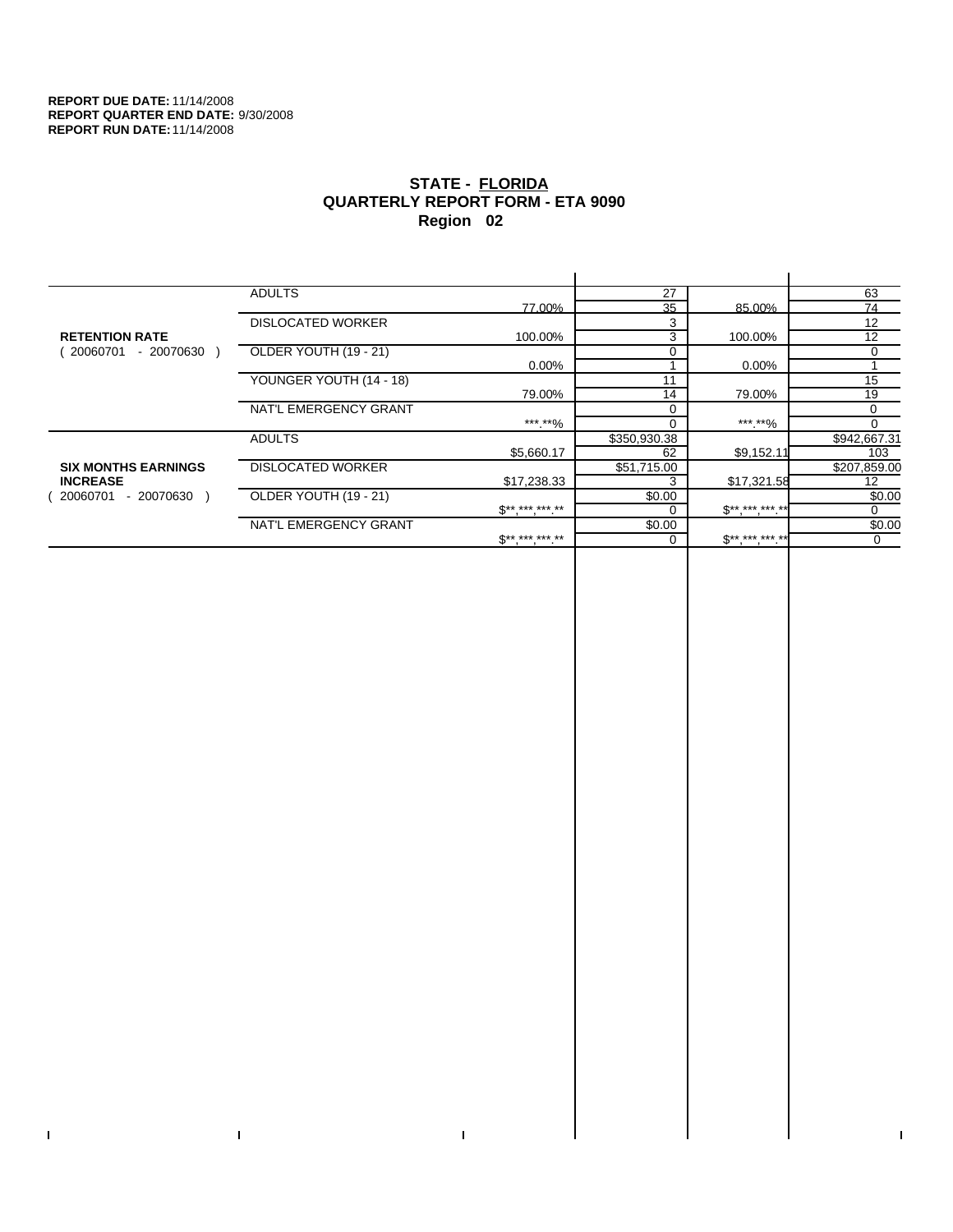$\bar{\mathbf{I}}$ 

 $\Gamma$ 

# **STATE - FLORIDA QUARTERLY REPORT FORM - ETA 9090 Region 02**

|                            | <b>ADULTS</b>            |                     | 27           |              | 63           |
|----------------------------|--------------------------|---------------------|--------------|--------------|--------------|
|                            |                          | 77.00%              | 35           | 85.00%       | 74           |
|                            | <b>DISLOCATED WORKER</b> |                     | 3            |              | 12           |
| <b>RETENTION RATE</b>      |                          | 100.00%             | 3            | 100.00%      | 12           |
| - 20070630<br>20060701     | OLDER YOUTH (19 - 21)    |                     |              |              | 0            |
|                            |                          | $0.00\%$            |              | 0.00%        |              |
|                            | YOUNGER YOUTH (14 - 18)  |                     | 11           |              | 15           |
|                            |                          | 79.00%              | 14           | 79.00%       | 19           |
|                            | NAT'L EMERGENCY GRANT    |                     |              |              | $\Omega$     |
|                            |                          | ***.**%             |              | ***.**%      | $\Omega$     |
|                            | <b>ADULTS</b>            |                     | \$350,930.38 |              | \$942,667.31 |
|                            |                          | \$5,660.17          | 62           | \$9,152.11   | 103          |
| <b>SIX MONTHS EARNINGS</b> | <b>DISLOCATED WORKER</b> |                     | \$51,715.00  |              | \$207,859.00 |
| <b>INCREASE</b>            |                          | \$17,238.33         |              | \$17,321.58  | 12           |
| - 20070630<br>20060701     | OLDER YOUTH (19 - 21)    |                     | \$0.00       |              | \$0.00       |
|                            |                          | $S*********$        |              | $S*********$ | 0            |
|                            | NAT'L EMERGENCY GRANT    |                     | \$0.00       |              | \$0.00       |
|                            |                          | $S^{**}$ *** *** ** |              | $$********"$ | 0            |
|                            |                          |                     |              |              |              |

 $\bar{\Gamma}$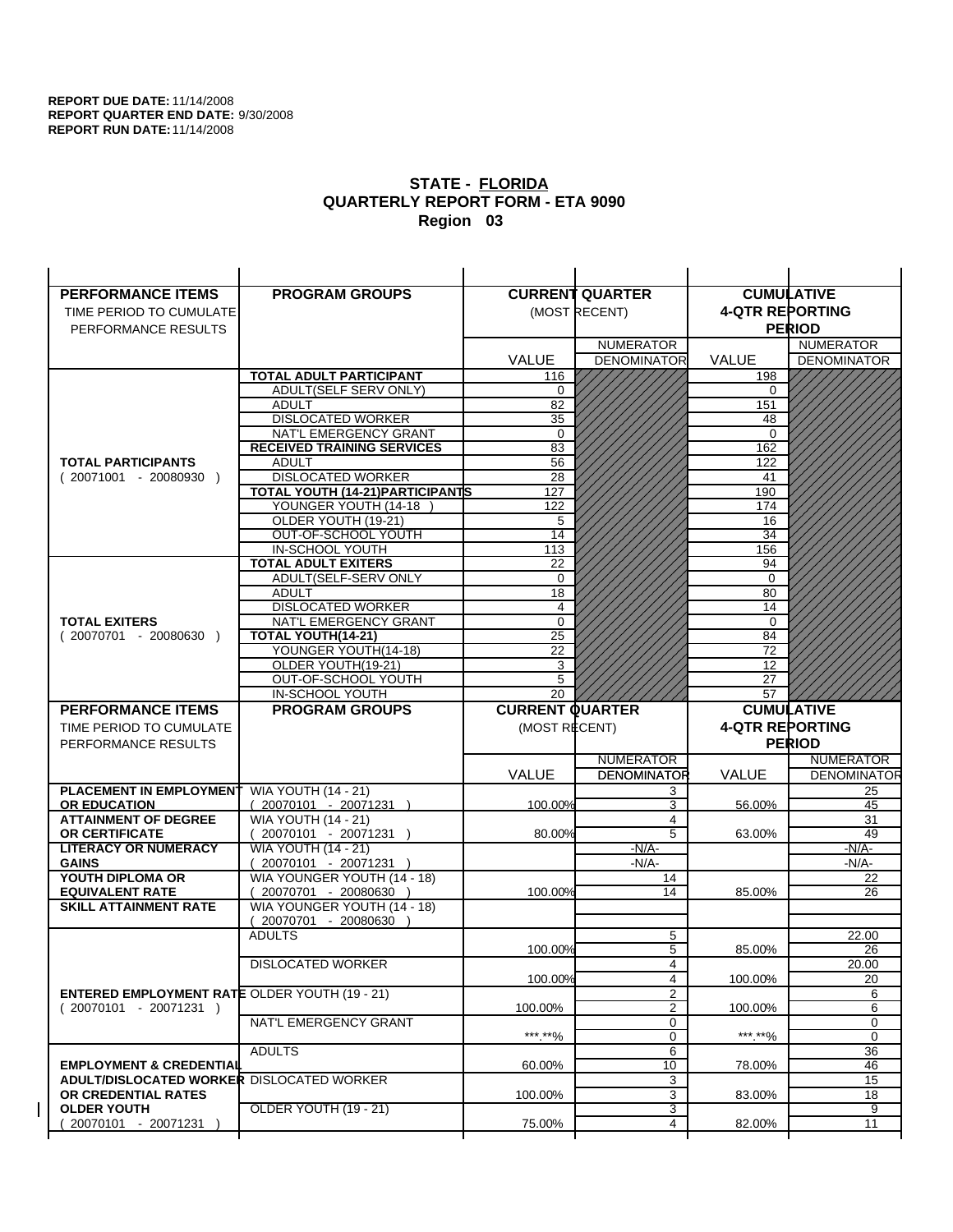| <b>PERFORMANCE ITEMS</b>                                                               | <b>PROGRAM GROUPS</b>                              |                         | <b>CURRENT QUARTER</b> |                        | <b>CUMULATIVE</b>        |
|----------------------------------------------------------------------------------------|----------------------------------------------------|-------------------------|------------------------|------------------------|--------------------------|
| TIME PERIOD TO CUMULATE                                                                |                                                    |                         | (MOST RECENT)          | <b>4-QTR REPORTING</b> |                          |
| PERFORMANCE RESULTS                                                                    |                                                    |                         |                        |                        | <b>PERIOD</b>            |
|                                                                                        |                                                    |                         | <b>NUMERATOR</b>       |                        | <b>NUMERATOR</b>         |
|                                                                                        |                                                    | <b>VALUE</b>            | <b>DENOMINATOR</b>     | <b>VALUE</b>           | <b>DENOMINATOR</b>       |
|                                                                                        | <b>TOTAL ADULT PARTICIPANT</b>                     | 116                     |                        | 198                    |                          |
|                                                                                        | ADULT(SELF SERV ONLY)                              | 0                       |                        | 0                      |                          |
|                                                                                        | <b>ADULT</b>                                       | 82                      |                        | 151                    |                          |
|                                                                                        | <b>DISLOCATED WORKER</b>                           | $\overline{35}$         |                        | 48                     |                          |
|                                                                                        | NAT'L EMERGENCY GRANT                              | $\Omega$                |                        | $\Omega$               |                          |
|                                                                                        | <b>RECEIVED TRAINING SERVICES</b>                  | 83                      |                        | 162                    |                          |
| <b>TOTAL PARTICIPANTS</b>                                                              | <b>ADULT</b>                                       | 56                      |                        | 122                    |                          |
| $(20071001 - 20080930)$                                                                | <b>DISLOCATED WORKER</b>                           | 28                      |                        | 41                     |                          |
|                                                                                        | <b>TOTAL YOUTH (14-21) PARTICIPANTS</b>            | 127                     |                        | 190                    |                          |
|                                                                                        | YOUNGER YOUTH (14-18                               | 122                     |                        | 174                    |                          |
|                                                                                        | OLDER YOUTH (19-21)<br>OUT-OF-SCHOOL YOUTH         | 5<br>14                 |                        | 16<br>$\overline{34}$  |                          |
|                                                                                        | IN-SCHOOL YOUTH                                    | 113                     |                        | 156                    |                          |
|                                                                                        | <b>TOTAL ADULT EXITERS</b>                         | 22                      |                        | 94                     |                          |
|                                                                                        | ADULT(SELF-SERV ONLY                               | $\mathbf 0$             |                        | $\Omega$               |                          |
|                                                                                        | <b>ADULT</b>                                       | 18                      |                        | 80                     |                          |
|                                                                                        | <b>DISLOCATED WORKER</b>                           | $\overline{\mathbf{4}}$ |                        | 14                     |                          |
| <b>TOTAL EXITERS</b>                                                                   | NAT'L EMERGENCY GRANT                              | $\mathbf 0$             |                        | $\mathbf 0$            |                          |
| $(20070701 - 20080630)$                                                                | TOTAL YOUTH(14-21)                                 | 25                      |                        | 84                     |                          |
|                                                                                        | YOUNGER YOUTH(14-18)                               | 22                      |                        | 72                     |                          |
|                                                                                        | OLDER YOUTH(19-21)                                 | 3                       |                        | 12                     |                          |
|                                                                                        | OUT-OF-SCHOOL YOUTH                                | 5                       |                        | 27                     |                          |
|                                                                                        | IN-SCHOOL YOUTH                                    | 20                      |                        | 57                     |                          |
|                                                                                        |                                                    |                         |                        |                        |                          |
| <b>PERFORMANCE ITEMS</b>                                                               | <b>PROGRAM GROUPS</b>                              | <b>CURRENT QUARTER</b>  |                        |                        | <b>CUMULATIVE</b>        |
| TIME PERIOD TO CUMULATE                                                                |                                                    | (MOST RECENT)           |                        | <b>4-QTR REPORTING</b> |                          |
| PERFORMANCE RESULTS                                                                    |                                                    |                         |                        |                        | <b>PERIOD</b>            |
|                                                                                        |                                                    |                         | <b>NUMERATOR</b>       |                        | <b>NUMERATOR</b>         |
|                                                                                        |                                                    | <b>VALUE</b>            | <b>DENOMINATOR</b>     | VALUE                  |                          |
| PLACEMENT IN EMPLOYMENT                                                                | <b>WIA YOUTH (14 - 21)</b>                         |                         | 3                      |                        | 25                       |
| <b>OR EDUCATION</b>                                                                    | $(20070101 - 20071231)$                            | 100.00%                 | 3                      | 56.00%                 | 45                       |
| <b>ATTAINMENT OF DEGREE</b>                                                            | <b>WIA YOUTH (14 - 21)</b>                         |                         | $\overline{4}$         |                        | 31                       |
| <b>OR CERTIFICATE</b>                                                                  | 20070101 - 20071231 )                              | 80.00%                  | $\overline{5}$         | 63.00%                 | 49                       |
| <b>LITERACY OR NUMERACY</b>                                                            | <b>WIA YOUTH (14 - 21)</b>                         |                         | $-N/A-$                |                        | $-N/A$ -                 |
| <b>GAINS</b>                                                                           | 20070101 - 20071231 )                              |                         | $-N/A-$                |                        | -N/A-                    |
| YOUTH DIPLOMA OR<br><b>EQUIVALENT RATE</b>                                             | WIA YOUNGER YOUTH (14 - 18)<br>20070701 - 20080630 | 100.00%                 | 14<br>14               | 85.00%                 | 22<br>26                 |
| <b>SKILL ATTAINMENT RATE</b>                                                           | WIA YOUNGER YOUTH (14 - 18)                        |                         |                        |                        |                          |
|                                                                                        | (20070701 - 20080630                               |                         |                        |                        |                          |
|                                                                                        | <b>ADULTS</b>                                      |                         | 5                      |                        | 22.00                    |
|                                                                                        |                                                    | 100.00%                 | 5                      | 85.00%                 | <b>DENOMINATOR</b><br>26 |
|                                                                                        | <b>DISLOCATED WORKER</b>                           |                         | 4                      |                        | 20.00                    |
|                                                                                        |                                                    | 100.00%                 | $\overline{4}$         | 100.00%                | 20                       |
| <b>ENTERED EMPLOYMENT RATE OLDER YOUTH (19 - 21)</b>                                   |                                                    |                         | $\overline{2}$         |                        | 6                        |
| $(20070101 - 20071231)$                                                                |                                                    | 100.00%                 | $\overline{2}$         | 100.00%                | 6                        |
|                                                                                        | NAT'L EMERGENCY GRANT                              |                         | 0                      |                        | 0                        |
|                                                                                        |                                                    | ***.**%                 | 0                      | ***.**%                | $\mathbf 0$              |
|                                                                                        | <b>ADULTS</b>                                      |                         | 6                      |                        | 36                       |
| <b>EMPLOYMENT &amp; CREDENTIAL</b><br><b>ADULT/DISLOCATED WORKER DISLOCATED WORKER</b> |                                                    | 60.00%                  | 10<br>3                | 78.00%                 | 46<br>15                 |
| OR CREDENTIAL RATES                                                                    |                                                    | 100.00%                 | 3                      | 83.00%                 | 18                       |
| <b>OLDER YOUTH</b>                                                                     | OLDER YOUTH (19 - 21)                              |                         | 3                      |                        | 9                        |
| 20070101 - 20071231                                                                    |                                                    | 75.00%                  | 4                      | 82.00%                 | 11                       |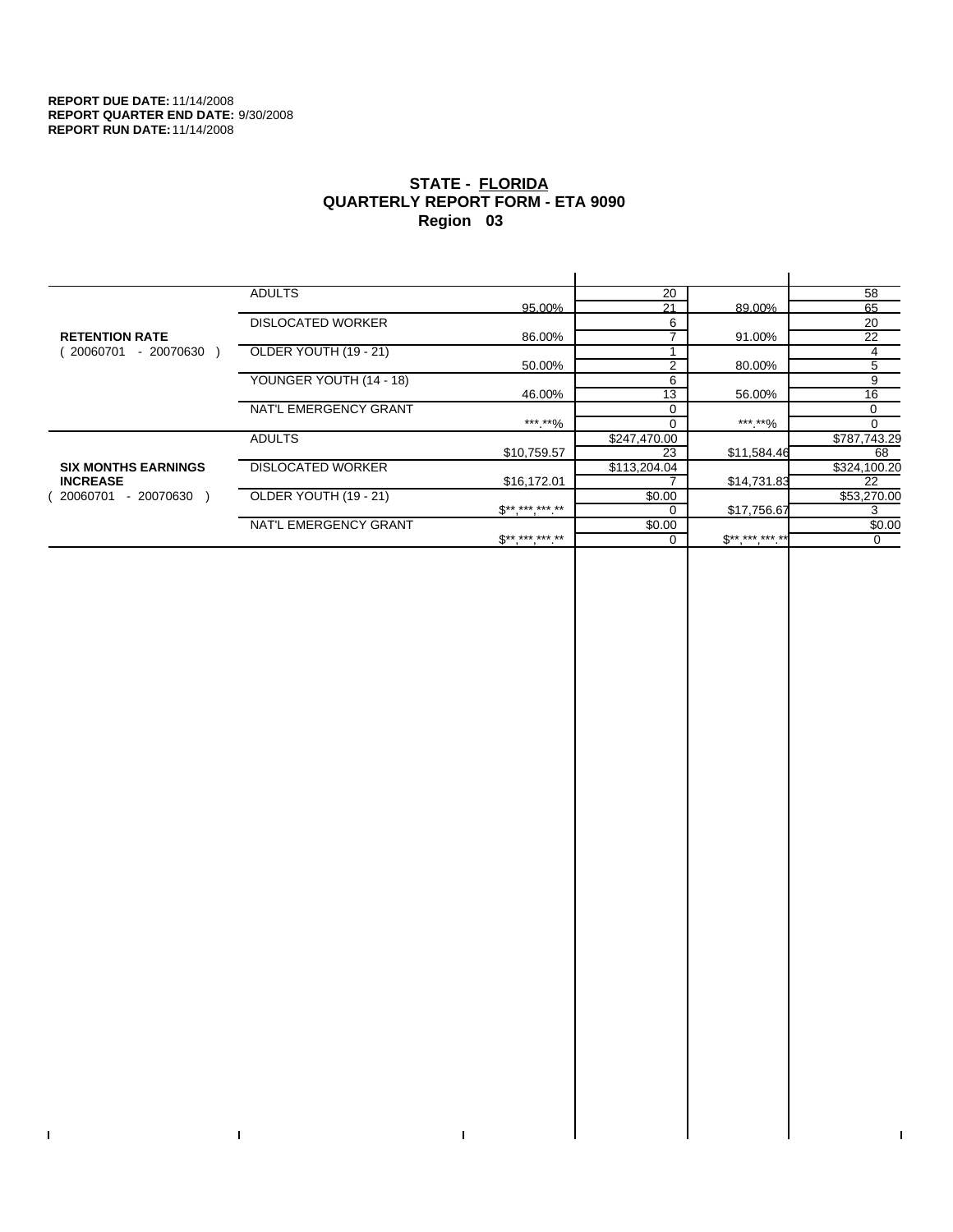$\bar{\mathbf{I}}$ 

 $\Gamma$ 

# **STATE - FLORIDA QUARTERLY REPORT FORM - ETA 9090 Region 03**

|                            | <b>ADULTS</b>            |                                                                         | 20             |                | 58           |
|----------------------------|--------------------------|-------------------------------------------------------------------------|----------------|----------------|--------------|
|                            |                          | 95.00%                                                                  | 21             | 89.00%         | 65           |
|                            | <b>DISLOCATED WORKER</b> |                                                                         | 6              |                | 20           |
| <b>RETENTION RATE</b>      |                          | 86.00%                                                                  |                | 91.00%         | 22           |
| - 20070630<br>20060701     | OLDER YOUTH (19 - 21)    |                                                                         |                |                | 4            |
|                            |                          | 50.00%                                                                  | $\overline{2}$ | 80.00%         | 5            |
|                            | YOUNGER YOUTH (14 - 18)  |                                                                         | 6              |                | 9            |
|                            |                          | 46.00%                                                                  | 13             | 56.00%         | 16           |
|                            | NAT'L EMERGENCY GRANT    |                                                                         |                |                | $\Omega$     |
|                            |                          | ***.**%                                                                 |                | ***.**%        |              |
|                            | <b>ADULTS</b>            |                                                                         | \$247,470.00   |                | \$787,743.29 |
|                            |                          | \$10,759.57                                                             | 23             | \$11,584.46    | 68           |
| <b>SIX MONTHS EARNINGS</b> | <b>DISLOCATED WORKER</b> |                                                                         | \$113,204.04   |                | \$324,100.20 |
| <b>INCREASE</b>            |                          | \$16,172.01                                                             |                | \$14,731.83    | 22           |
| - 20070630<br>20060701     | OLDER YOUTH (19 - 21)    |                                                                         | \$0.00         |                | \$53,270.00  |
|                            |                          | $\mathbb{S}^{\star\star\;\star\star\star\;\star\star\star\;\star\star}$ |                | \$17,756.67    |              |
|                            | NAT'L EMERGENCY GRANT    |                                                                         | \$0.00         |                | \$0.00       |
|                            |                          | $S*********$                                                            |                | $S^{********}$ | $\mathbf 0$  |
|                            |                          |                                                                         |                |                |              |

 $\bar{\Gamma}$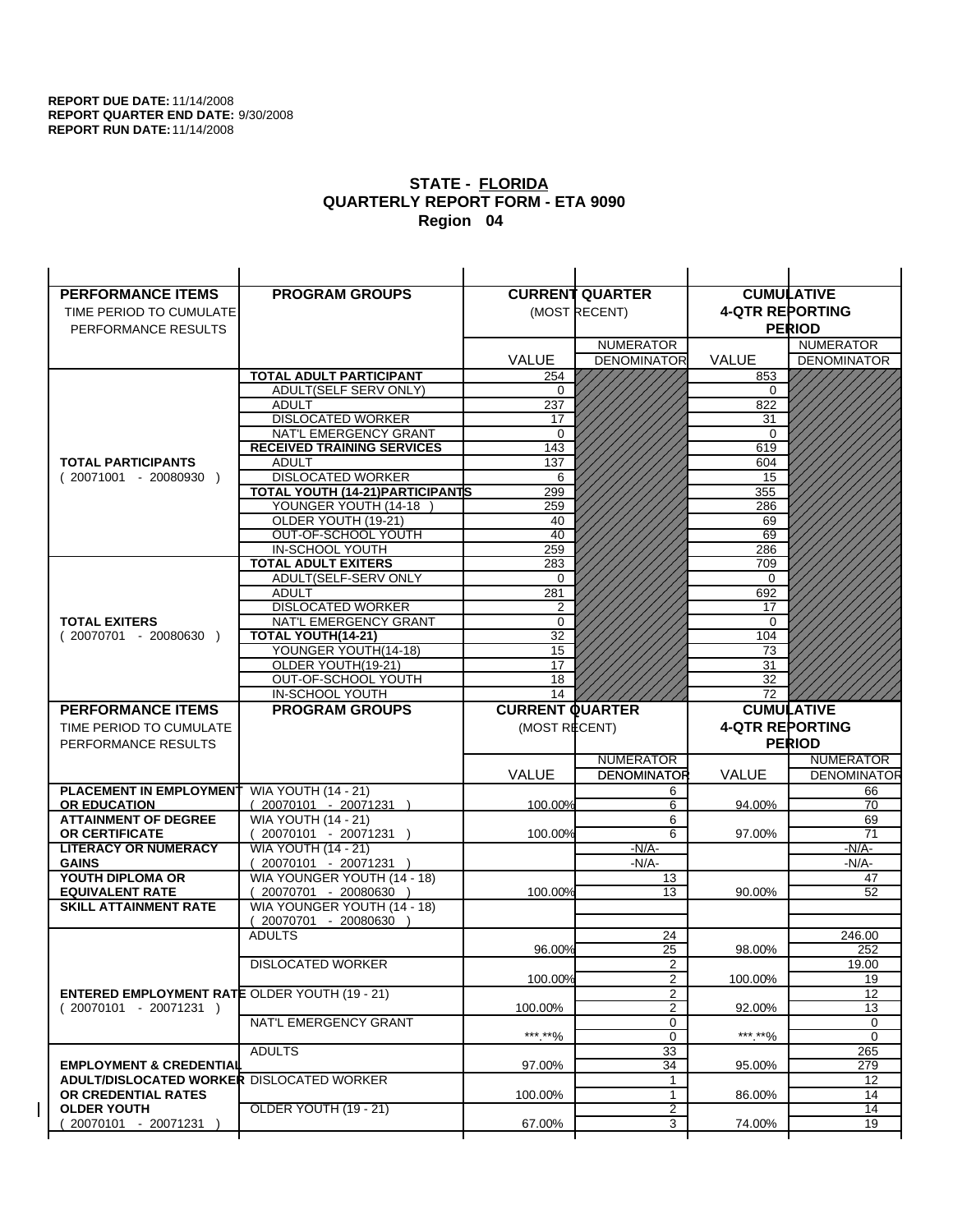| <b>PERFORMANCE ITEMS</b>                             | <b>PROGRAM GROUPS</b>                              |                        | <b>CURRENT QUARTER</b> | <b>CUMULATIVE</b>      |                           |
|------------------------------------------------------|----------------------------------------------------|------------------------|------------------------|------------------------|---------------------------|
| TIME PERIOD TO CUMULATE                              |                                                    |                        | (MOST RECENT)          | <b>4-QTR REPORTING</b> |                           |
| PERFORMANCE RESULTS                                  |                                                    |                        |                        |                        | <b>PERIOD</b>             |
|                                                      |                                                    |                        | <b>NUMERATOR</b>       |                        | <b>NUMERATOR</b>          |
|                                                      |                                                    | <b>VALUE</b>           | <b>DENOMINATOR</b>     | <b>VALUE</b>           | <b>DENOMINATOR</b>        |
|                                                      | <b>TOTAL ADULT PARTICIPANT</b>                     | 254                    |                        | 853                    |                           |
|                                                      | ADULT(SELF SERV ONLY)                              | 0                      |                        | 0                      |                           |
|                                                      | <b>ADULT</b>                                       | 237                    |                        | 822                    |                           |
|                                                      | <b>DISLOCATED WORKER</b>                           | 17                     |                        | 31                     |                           |
|                                                      | NAT'L EMERGENCY GRANT                              | $\Omega$               |                        | $\Omega$               |                           |
|                                                      | <b>RECEIVED TRAINING SERVICES</b>                  | 143                    |                        | 619                    |                           |
| <b>TOTAL PARTICIPANTS</b>                            | <b>ADULT</b>                                       | 137                    |                        | 604                    |                           |
| $(20071001 - 20080930)$                              | <b>DISLOCATED WORKER</b>                           | 6                      |                        | 15                     |                           |
|                                                      | TOTAL YOUTH (14-21) PARTICIPANTS                   | 299                    |                        | 355                    |                           |
|                                                      | YOUNGER YOUTH (14-18                               | 259                    |                        | 286                    |                           |
|                                                      | OLDER YOUTH (19-21)<br>OUT-OF-SCHOOL YOUTH         | 40<br>$\overline{40}$  |                        | 69<br>69               |                           |
|                                                      | IN-SCHOOL YOUTH                                    | 259                    |                        | 286                    |                           |
|                                                      | <b>TOTAL ADULT EXITERS</b>                         | 283                    |                        | 709                    |                           |
|                                                      | ADULT(SELF-SERV ONLY                               | $\Omega$               |                        | $\Omega$               |                           |
|                                                      | <b>ADULT</b>                                       | 281                    |                        | 692                    |                           |
|                                                      | <b>DISLOCATED WORKER</b>                           | 2                      |                        | 17                     |                           |
| <b>TOTAL EXITERS</b>                                 | NAT'L EMERGENCY GRANT                              | 0                      |                        | 0                      |                           |
| $(20070701 - 20080630)$                              | TOTAL YOUTH(14-21)                                 | 32                     |                        | 104                    |                           |
|                                                      | YOUNGER YOUTH(14-18)                               | 15                     |                        | 73                     |                           |
|                                                      | OLDER YOUTH(19-21)                                 | 17                     |                        | 31                     |                           |
|                                                      | OUT-OF-SCHOOL YOUTH                                | 18                     |                        | 32                     |                           |
|                                                      | IN-SCHOOL YOUTH                                    | 14                     |                        | 72                     |                           |
|                                                      |                                                    |                        |                        |                        |                           |
| <b>PERFORMANCE ITEMS</b>                             | <b>PROGRAM GROUPS</b>                              | <b>CURRENT QUARTER</b> |                        |                        | <b>CUMULATIVE</b>         |
| TIME PERIOD TO CUMULATE                              |                                                    | (MOST RECENT)          |                        | <b>4-QTR REPORTING</b> |                           |
| PERFORMANCE RESULTS                                  |                                                    |                        |                        |                        | <b>PERIOD</b>             |
|                                                      |                                                    |                        | <b>NUMERATOR</b>       |                        | <b>NUMERATOR</b>          |
|                                                      |                                                    | <b>VALUE</b>           | <b>DENOMINATOR</b>     | VALUE                  |                           |
| PLACEMENT IN EMPLOYMENT                              | <b>WIA YOUTH (14 - 21)</b>                         |                        | 6                      |                        | 66                        |
| <b>OR EDUCATION</b>                                  | $(20070101 - 20071231)$                            | 100.00%                | 6                      | 94.00%                 | 70                        |
| <b>ATTAINMENT OF DEGREE</b>                          | <b>WIA YOUTH (14 - 21)</b>                         |                        | 6                      |                        | 69                        |
| <b>OR CERTIFICATE</b>                                | 20070101 - 20071231 )                              | 100.00%                | 6                      | 97.00%                 | 71                        |
| <b>LITERACY OR NUMERACY</b>                          | <b>WIA YOUTH (14 - 21)</b>                         |                        | $-N/A-$                |                        | -N/A-                     |
| <b>GAINS</b>                                         | 20070101 - 20071231 )                              |                        | $-N/A-$                |                        | -N/A-                     |
| YOUTH DIPLOMA OR<br><b>EQUIVALENT RATE</b>           | WIA YOUNGER YOUTH (14 - 18)<br>20070701 - 20080630 | 100.00%                | 13<br>13               | 90.00%                 | 47<br>52                  |
| <b>SKILL ATTAINMENT RATE</b>                         | WIA YOUNGER YOUTH (14 - 18)                        |                        |                        |                        |                           |
|                                                      | (20070701 - 20080630                               |                        |                        |                        |                           |
|                                                      | <b>ADULTS</b>                                      |                        | 24                     |                        | 246.00                    |
|                                                      |                                                    | 96.00%                 | 25                     | 98.00%                 | <b>DENOMINATOR</b><br>252 |
|                                                      | <b>DISLOCATED WORKER</b>                           |                        | $\overline{2}$         |                        | 19.00                     |
|                                                      |                                                    | 100.00%                | $\overline{2}$         | 100.00%                | 19                        |
| <b>ENTERED EMPLOYMENT RATE OLDER YOUTH (19 - 21)</b> |                                                    |                        | 2                      |                        | 12                        |
| $(20070101 - 20071231)$                              |                                                    | 100.00%                | 2                      | 92.00%                 | 13                        |
|                                                      | NAT'L EMERGENCY GRANT                              |                        | 0                      |                        | 0                         |
|                                                      |                                                    | ***.**%                | 0                      | ***.**%                | $\mathbf 0$               |
| <b>EMPLOYMENT &amp; CREDENTIAL</b>                   | <b>ADULTS</b>                                      | 97.00%                 | 33<br>34               | 95.00%                 | 265<br>279                |
| <b>ADULT/DISLOCATED WORKER DISLOCATED WORKER</b>     |                                                    |                        | 1                      |                        | 12                        |
| OR CREDENTIAL RATES                                  |                                                    | 100.00%                | $\mathbf{1}$           | 86.00%                 | 14                        |
| <b>OLDER YOUTH</b>                                   | <b>OLDER YOUTH (19 - 21)</b>                       |                        | $\overline{2}$         |                        | 14                        |
| 20070101 - 20071231                                  |                                                    | 67.00%                 | 3                      | 74.00%                 | 19                        |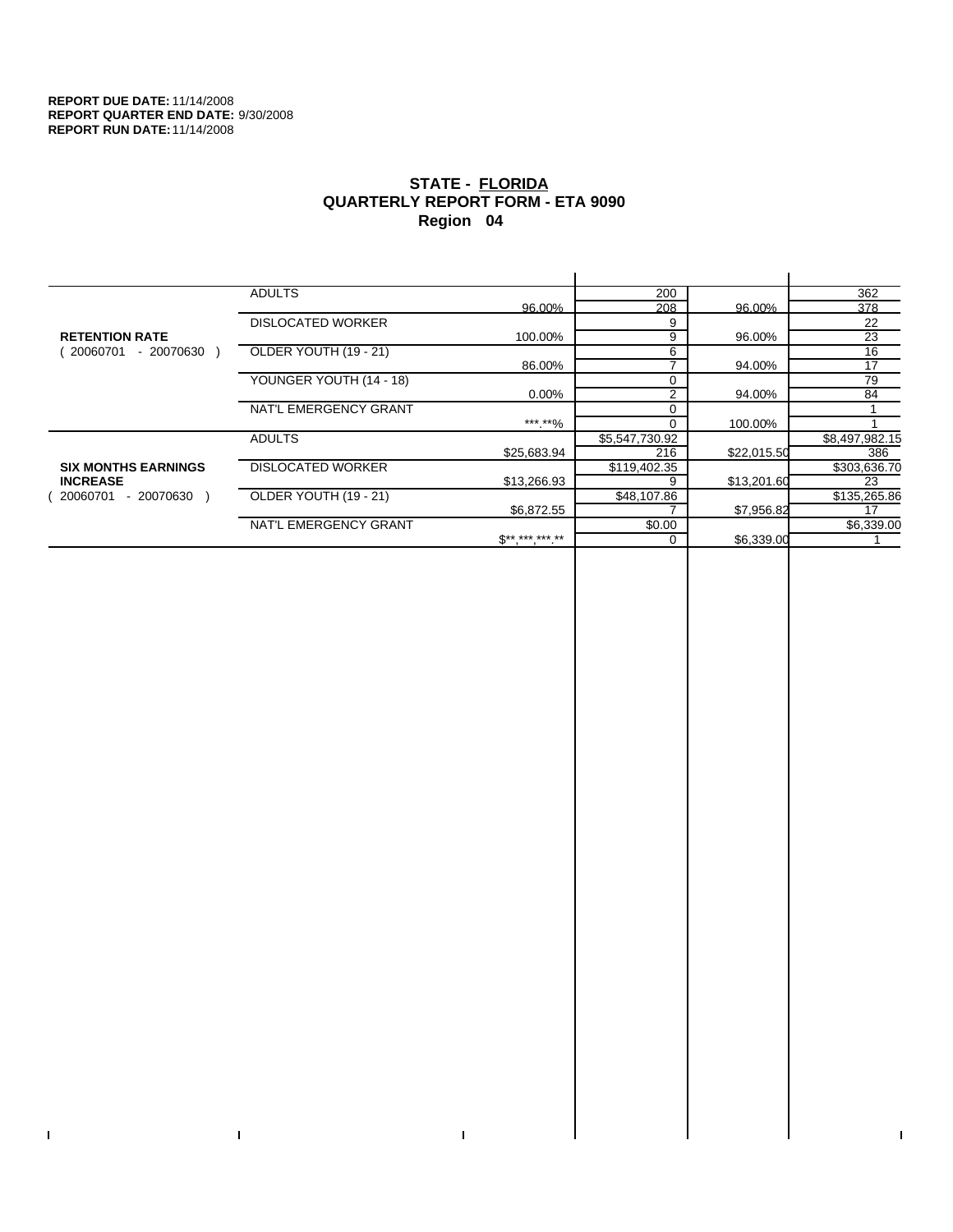$\bar{\mathbf{I}}$ 

 $\Gamma$ 

# **STATE - FLORIDA QUARTERLY REPORT FORM - ETA 9090 Region 04**

|                            | <b>ADULTS</b>            |              | 200            |             | 362            |
|----------------------------|--------------------------|--------------|----------------|-------------|----------------|
|                            |                          | 96.00%       | 208            | 96.00%      | 378            |
|                            | <b>DISLOCATED WORKER</b> |              | 9              |             | 22             |
| <b>RETENTION RATE</b>      |                          | 100.00%      | 9              | 96.00%      | 23             |
| - 20070630<br>20060701     | OLDER YOUTH (19 - 21)    |              | 6              |             | 16             |
|                            |                          | 86.00%       |                | 94.00%      | 17             |
|                            | YOUNGER YOUTH (14 - 18)  |              |                |             | 79             |
|                            |                          | $0.00\%$     | $\overline{2}$ | 94.00%      | 84             |
|                            | NAT'L EMERGENCY GRANT    |              |                |             |                |
|                            |                          | ***.**%      |                | 100.00%     |                |
|                            | <b>ADULTS</b>            |              | \$5,547,730.92 |             | \$8,497,982.15 |
|                            |                          | \$25,683.94  | 216            | \$22,015.50 | 386            |
| <b>SIX MONTHS EARNINGS</b> | <b>DISLOCATED WORKER</b> |              | \$119,402.35   |             | \$303,636.70   |
| <b>INCREASE</b>            |                          | \$13,266.93  | 9              | \$13,201.60 | 23             |
| - 20070630<br>20060701     | OLDER YOUTH (19 - 21)    |              | \$48,107.86    |             | \$135,265.86   |
|                            |                          | \$6,872.55   |                | \$7,956.82  | 17             |
|                            | NAT'L EMERGENCY GRANT    |              | \$0.00         |             | \$6,339.00     |
|                            |                          | $$*********$ |                | \$6,339.00  |                |
|                            |                          |              |                |             |                |

 $\bar{\Gamma}$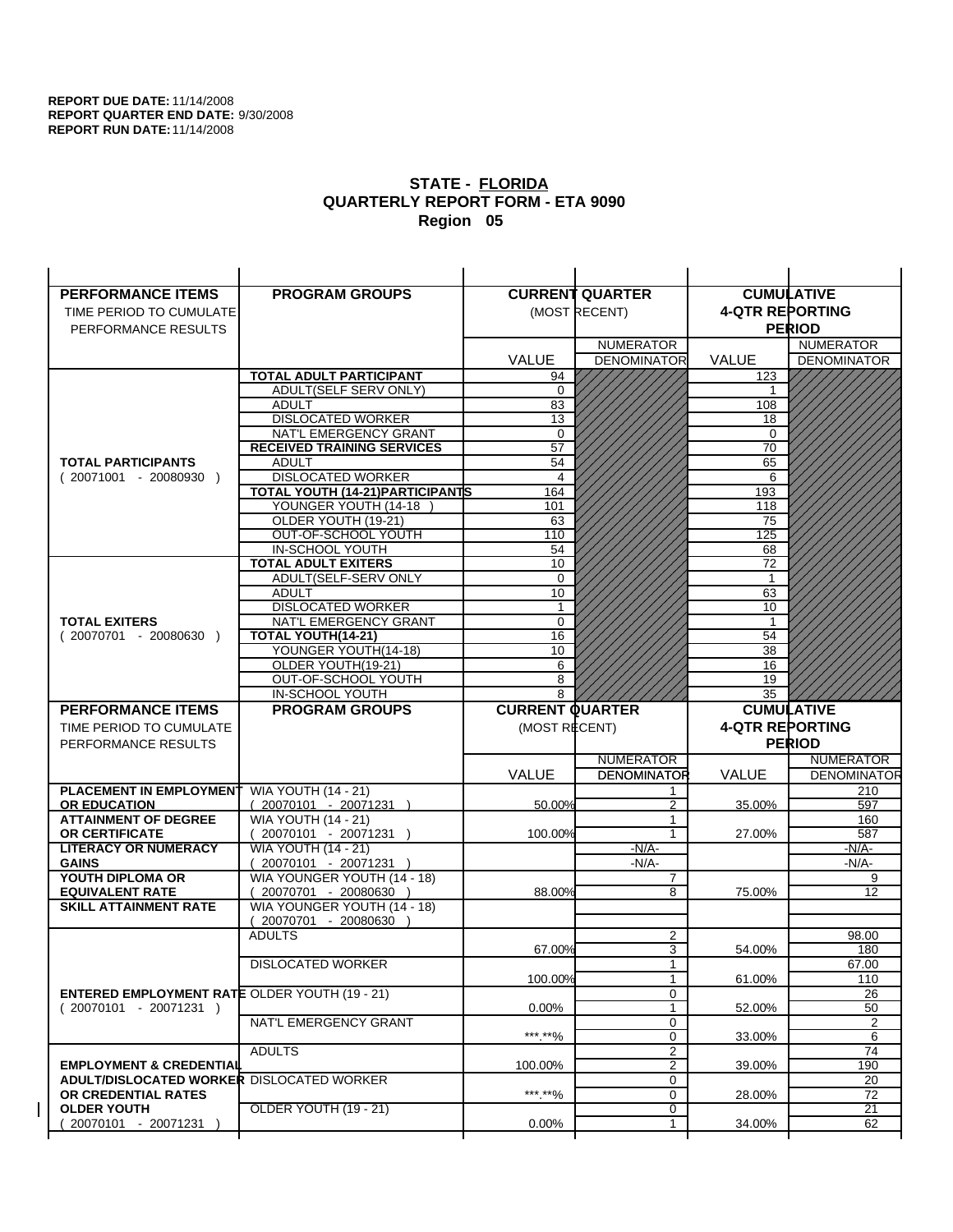| <b>PERFORMANCE ITEMS</b>                                                        | <b>PROGRAM GROUPS</b>                                           |                        | <b>CURRENT QUARTER</b> |                        | <b>CUMULATIVE</b>     |
|---------------------------------------------------------------------------------|-----------------------------------------------------------------|------------------------|------------------------|------------------------|-----------------------|
| TIME PERIOD TO CUMULATE                                                         |                                                                 |                        | (MOST RECENT)          | <b>4-QTR REPORTING</b> |                       |
| PERFORMANCE RESULTS                                                             |                                                                 |                        |                        |                        | <b>PERIOD</b>         |
|                                                                                 |                                                                 |                        | <b>NUMERATOR</b>       |                        | <b>NUMERATOR</b>      |
|                                                                                 |                                                                 | <b>VALUE</b>           | <b>DENOMINATOR</b>     | <b>VALUE</b>           | <b>DENOMINATOR</b>    |
|                                                                                 | <b>TOTAL ADULT PARTICIPANT</b>                                  | 94                     |                        | 123                    |                       |
|                                                                                 | ADULT(SELF SERV ONLY)                                           | $\mathbf 0$            |                        | 1                      |                       |
|                                                                                 | <b>ADULT</b>                                                    | 83                     |                        | 108                    |                       |
|                                                                                 | <b>DISLOCATED WORKER</b>                                        | 13                     |                        | 18                     |                       |
|                                                                                 | NAT'L EMERGENCY GRANT                                           | $\Omega$               |                        | $\Omega$               |                       |
|                                                                                 | <b>RECEIVED TRAINING SERVICES</b>                               | 57                     |                        | 70                     |                       |
| <b>TOTAL PARTICIPANTS</b>                                                       | <b>ADULT</b>                                                    | 54                     |                        | 65                     |                       |
| $(20071001 - 20080930)$                                                         | <b>DISLOCATED WORKER</b>                                        | 4                      |                        | 6                      |                       |
|                                                                                 | <b>TOTAL YOUTH (14-21) PARTICIPANTS</b><br>YOUNGER YOUTH (14-18 | 164                    |                        | 193                    |                       |
|                                                                                 | OLDER YOUTH (19-21)                                             | 101<br>63              |                        | 118<br>75              |                       |
|                                                                                 | OUT-OF-SCHOOL YOUTH                                             | 110                    |                        | 125                    |                       |
|                                                                                 | IN-SCHOOL YOUTH                                                 | 54                     |                        | 68                     |                       |
|                                                                                 | <b>TOTAL ADULT EXITERS</b>                                      | 10                     |                        | 72                     |                       |
|                                                                                 | ADULT(SELF-SERV ONLY                                            | $\Omega$               |                        | $\mathbf{1}$           |                       |
|                                                                                 | <b>ADULT</b>                                                    | 10                     |                        | 63                     |                       |
|                                                                                 | <b>DISLOCATED WORKER</b>                                        | 1                      |                        | 10                     |                       |
| <b>TOTAL EXITERS</b>                                                            | NAT'L EMERGENCY GRANT                                           | $\mathbf 0$            |                        | $\mathbf{1}$           |                       |
| $(20070701 - 20080630)$                                                         | TOTAL YOUTH(14-21)                                              | 16                     |                        | 54                     |                       |
|                                                                                 | YOUNGER YOUTH(14-18)                                            | 10                     |                        | 38                     |                       |
|                                                                                 | OLDER YOUTH(19-21)                                              | 6                      |                        | 16                     |                       |
|                                                                                 | OUT-OF-SCHOOL YOUTH<br>IN-SCHOOL YOUTH                          | 8<br>8                 |                        | 19<br>35               |                       |
|                                                                                 |                                                                 |                        |                        |                        |                       |
|                                                                                 |                                                                 |                        |                        |                        |                       |
| <b>PERFORMANCE ITEMS</b>                                                        | <b>PROGRAM GROUPS</b>                                           | <b>CURRENT QUARTER</b> |                        |                        | <b>CUMULATIVE</b>     |
| TIME PERIOD TO CUMULATE                                                         |                                                                 | (MOST RECENT)          |                        | <b>4-QTR REPORTING</b> |                       |
| PERFORMANCE RESULTS                                                             |                                                                 |                        |                        |                        | <b>PERIOD</b>         |
|                                                                                 |                                                                 |                        | <b>NUMERATOR</b>       |                        | <b>NUMERATOR</b>      |
|                                                                                 |                                                                 | <b>VALUE</b>           | <b>DENOMINATOR</b>     | VALUE                  | <b>DENOMINATOR</b>    |
| PLACEMENT IN EMPLOYMENT                                                         | <b>WIA YOUTH (14 - 21)</b>                                      |                        | 1                      |                        | 210                   |
| <b>OR EDUCATION</b>                                                             | $(20070101 - 20071231)$                                         | 50.00%                 | $\mathfrak{p}$         | 35.00%                 | 597                   |
| <b>ATTAINMENT OF DEGREE</b>                                                     | <b>WIA YOUTH (14 - 21)</b>                                      |                        | 1<br>1                 |                        | 160                   |
| <b>OR CERTIFICATE</b><br><b>LITERACY OR NUMERACY</b>                            | 20070101 - 20071231 )<br><b>WIA YOUTH (14 - 21)</b>             | 100.00%                | -N/A-                  | 27.00%                 | 587<br>-N/A-          |
| <b>GAINS</b>                                                                    | 20070101 - 20071231 )                                           |                        | -N/A-                  |                        | -N/A-                 |
| YOUTH DIPLOMA OR                                                                | WIA YOUNGER YOUTH (14 - 18)                                     |                        | 7                      |                        | 9                     |
| <b>EQUIVALENT RATE</b>                                                          | 20070701 - 20080630                                             | 88.00%                 | 8                      | 75.00%                 | 12                    |
| <b>SKILL ATTAINMENT RATE</b>                                                    | WIA YOUNGER YOUTH (14 - 18)                                     |                        |                        |                        |                       |
|                                                                                 | (20070701 - 20080630                                            |                        |                        |                        |                       |
|                                                                                 | <b>ADULTS</b>                                                   |                        | 2                      |                        | 98.00                 |
|                                                                                 |                                                                 | 67.00%                 | 3                      | 54.00%                 | 180                   |
|                                                                                 | <b>DISLOCATED WORKER</b>                                        |                        | $\mathbf{1}$           |                        | 67.00                 |
|                                                                                 |                                                                 | 100.00%                | $\mathbf{1}$           | 61.00%                 | 110                   |
| <b>ENTERED EMPLOYMENT RATE OLDER YOUTH (19 - 21)</b><br>$(20070101 - 20071231)$ |                                                                 | 0.00%                  | 0<br>1                 | 52.00%                 | 26<br>50              |
|                                                                                 | NAT'L EMERGENCY GRANT                                           |                        | 0                      |                        | 2                     |
|                                                                                 |                                                                 | ***.**%                | 0                      | 33.00%                 | 6                     |
|                                                                                 | <b>ADULTS</b>                                                   |                        | $\overline{2}$         |                        | 74                    |
| <b>EMPLOYMENT &amp; CREDENTIAL</b>                                              |                                                                 | 100.00%                | $\overline{2}$         | 39.00%                 | 190                   |
| <b>ADULT/DISLOCATED WORKER DISLOCATED WORKER</b>                                |                                                                 |                        | 0                      |                        | 20                    |
| OR CREDENTIAL RATES                                                             |                                                                 | ***.**%                | $\mathbf 0$            | 28.00%                 | 72                    |
| <b>OLDER YOUTH</b><br>20070101 - 20071231                                       | OLDER YOUTH (19 - 21)                                           | 0.00%                  | 0<br>1                 | 34.00%                 | $\overline{21}$<br>62 |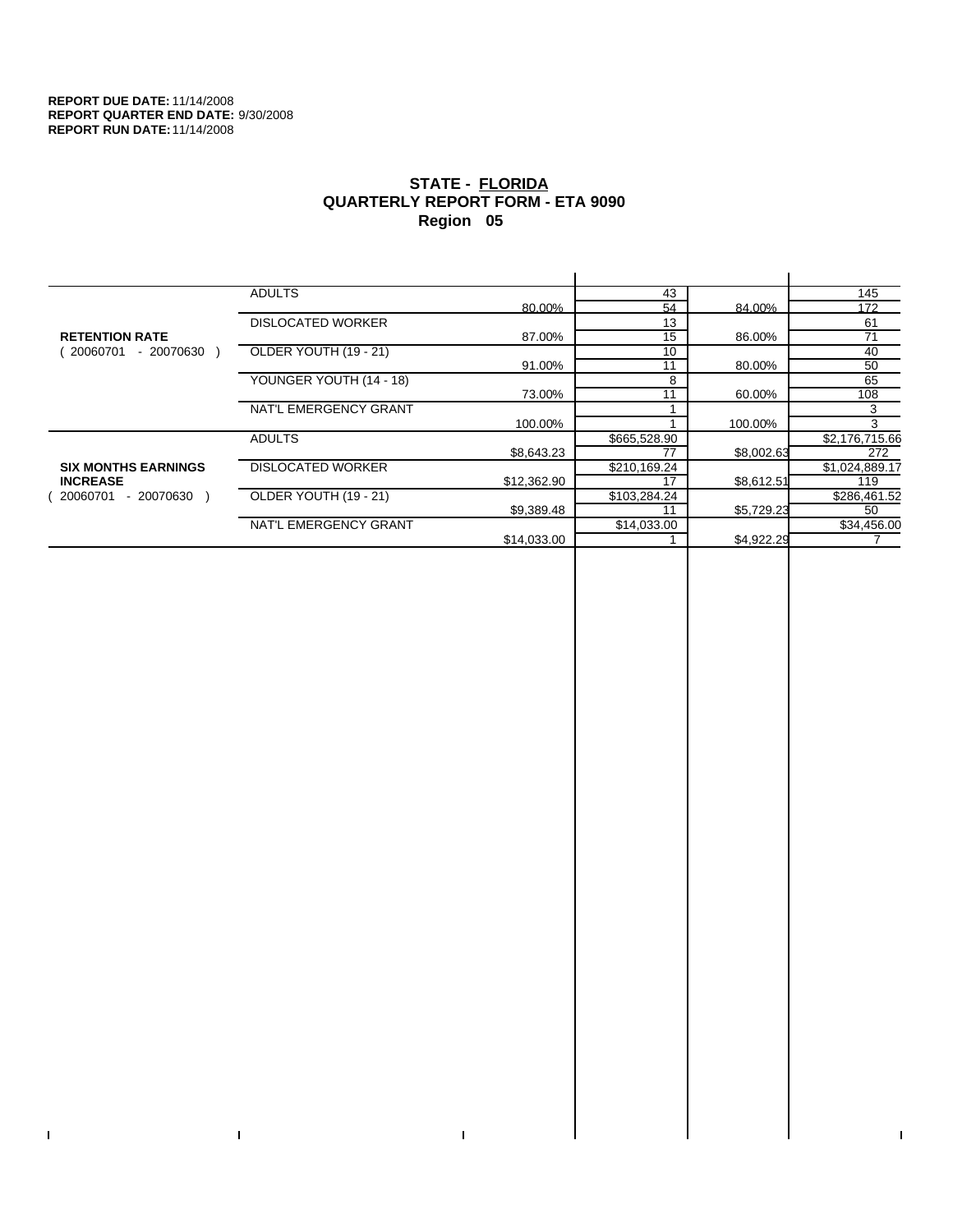$\bar{\Gamma}$ 

 $\mathbf{I}$ 

# **STATE - FLORIDA QUARTERLY REPORT FORM - ETA 9090 Region 05**

|                            | <b>ADULTS</b>            |             | 43           |            | 145            |
|----------------------------|--------------------------|-------------|--------------|------------|----------------|
|                            |                          | 80.00%      | 54           | 84.00%     | 172            |
|                            | <b>DISLOCATED WORKER</b> |             | 13           |            | 61             |
| <b>RETENTION RATE</b>      |                          | 87.00%      | 15           | 86.00%     | 71             |
| - 20070630<br>20060701     | OLDER YOUTH (19 - 21)    |             | 10           |            | 40             |
|                            |                          | 91.00%      | 11           | 80.00%     | 50             |
|                            | YOUNGER YOUTH (14 - 18)  |             | 8            |            | 65             |
|                            |                          | 73.00%      | 11           | 60.00%     | 108            |
|                            | NAT'L EMERGENCY GRANT    |             |              |            | 3              |
|                            |                          | 100.00%     |              | 100.00%    | 3              |
|                            | <b>ADULTS</b>            |             | \$665,528.90 |            | \$2,176,715.66 |
|                            |                          | \$8,643.23  | 77           | \$8,002.63 | 272            |
| <b>SIX MONTHS EARNINGS</b> | <b>DISLOCATED WORKER</b> |             | \$210,169.24 |            | \$1,024,889.17 |
| <b>INCREASE</b>            |                          | \$12,362.90 | 17           | \$8,612.51 | 119            |
| $-20070630$<br>20060701    | OLDER YOUTH (19 - 21)    |             | \$103,284.24 |            | \$286,461.52   |
|                            |                          | \$9,389.48  | 11           | \$5,729.23 | 50             |
|                            | NAT'L EMERGENCY GRANT    |             | \$14,033.00  |            | \$34,456.00    |
|                            |                          | \$14,033.00 |              | \$4,922.29 |                |
|                            |                          |             |              |            |                |

 $\bar{\Gamma}$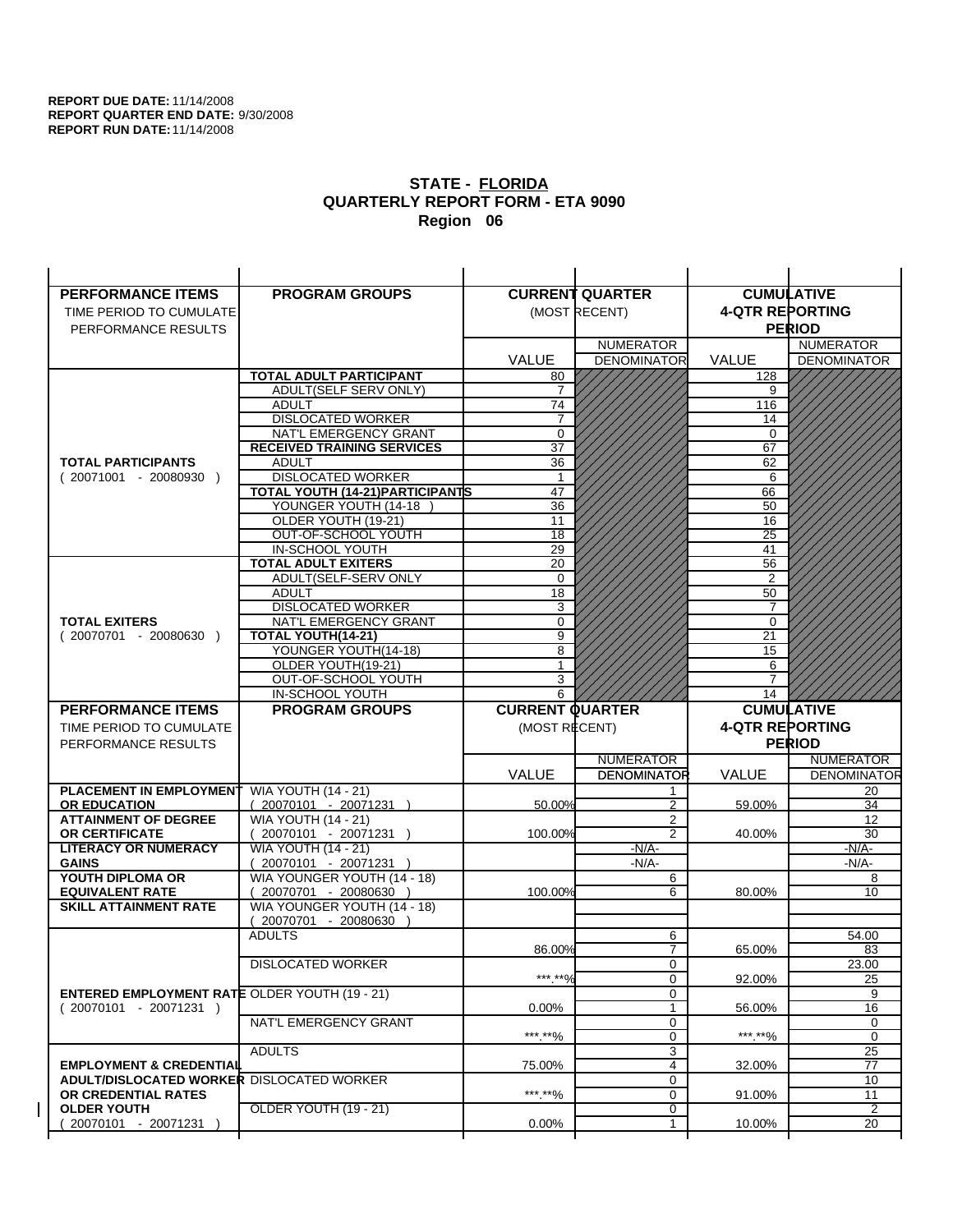| <b>PERFORMANCE ITEMS</b>                             | <b>PROGRAM GROUPS</b>                               |                        | <b>CURRENT QUARTER</b> |                        | <b>CUMULATIVE</b>    |
|------------------------------------------------------|-----------------------------------------------------|------------------------|------------------------|------------------------|----------------------|
| TIME PERIOD TO CUMULATE                              |                                                     |                        | (MOST RECENT)          | <b>4-QTR REPORTING</b> |                      |
| PERFORMANCE RESULTS                                  |                                                     |                        |                        |                        | <b>PERIOD</b>        |
|                                                      |                                                     |                        | <b>NUMERATOR</b>       |                        | <b>NUMERATOR</b>     |
|                                                      |                                                     | <b>VALUE</b>           | <b>DENOMINATOR</b>     | VALUE                  | <b>DENOMINATOR</b>   |
|                                                      | <b>TOTAL ADULT PARTICIPANT</b>                      | 80                     |                        | 128                    |                      |
|                                                      | <b>ADULT(SELF SERV ONLY)</b>                        | 7                      |                        | 9                      |                      |
|                                                      | <b>ADULT</b>                                        | 74                     |                        | 116                    |                      |
|                                                      | <b>DISLOCATED WORKER</b>                            | $\overline{7}$         |                        | 14                     |                      |
|                                                      | NAT'L EMERGENCY GRANT                               | 0                      |                        | $\mathbf 0$            |                      |
|                                                      | <b>RECEIVED TRAINING SERVICES</b>                   | 37                     |                        | 67                     |                      |
| <b>TOTAL PARTICIPANTS</b>                            | <b>ADULT</b>                                        | 36                     |                        | 62                     |                      |
| $(20071001 - 20080930)$                              | <b>DISLOCATED WORKER</b>                            | $\mathbf 1$            |                        | 6                      |                      |
|                                                      | <b>TOTAL YOUTH (14-21) PARTICIPANTS</b>             | 47                     |                        | 66                     |                      |
|                                                      | YOUNGER YOUTH (14-18                                | 36                     |                        | 50                     |                      |
|                                                      | OLDER YOUTH (19-21)                                 | 11                     |                        | 16                     |                      |
|                                                      | OUT-OF-SCHOOL YOUTH                                 | $\overline{18}$        |                        | $\overline{25}$        |                      |
|                                                      | IN-SCHOOL YOUTH<br><b>TOTAL ADULT EXITERS</b>       | 29<br>20               |                        | 41<br>56               |                      |
|                                                      | ADULT(SELF-SERV ONLY                                | 0                      |                        | $\overline{2}$         |                      |
|                                                      | <b>ADULT</b>                                        | 18                     |                        | 50                     |                      |
|                                                      | <b>DISLOCATED WORKER</b>                            | 3                      |                        | $\overline{7}$         |                      |
| <b>TOTAL EXITERS</b>                                 | NAT'L EMERGENCY GRANT                               | 0                      |                        | $\mathbf 0$            |                      |
| $(20070701 - 20080630)$                              | <b>TOTAL YOUTH(14-21)</b>                           | 9                      |                        | 21                     |                      |
|                                                      | YOUNGER YOUTH(14-18)                                | 8                      |                        | 15                     |                      |
|                                                      | OLDER YOUTH(19-21)                                  | 1                      |                        | 6                      |                      |
|                                                      | OUT-OF-SCHOOL YOUTH                                 | 3                      |                        | 7                      |                      |
|                                                      | IN-SCHOOL YOUTH                                     | 6                      |                        | 14                     |                      |
|                                                      |                                                     |                        |                        |                        |                      |
| <b>PERFORMANCE ITEMS</b>                             | <b>PROGRAM GROUPS</b>                               | <b>CURRENT QUARTER</b> |                        |                        | <b>CUMULATIVE</b>    |
| TIME PERIOD TO CUMULATE                              |                                                     | (MOST RECENT)          |                        | <b>4-QTR REPORTING</b> |                      |
| PERFORMANCE RESULTS                                  |                                                     |                        |                        |                        | <b>PERIOD</b>        |
|                                                      |                                                     |                        | <b>NUMERATOR</b>       |                        | <b>NUMERATOR</b>     |
|                                                      |                                                     | <b>VALUE</b>           | <b>DENOMINATOR</b>     | <b>VALUE</b>           | <b>DENOMINATOR</b>   |
| <b>PLACEMENT IN EMPLOYMENT</b>                       | <b>WIA YOUTH (14 - 21)</b>                          |                        | 1                      |                        | 20                   |
| <b>OR EDUCATION</b>                                  | $(20070101 - 20071231)$                             | 50.00%                 | $\overline{2}$         | 59.00%                 | 34                   |
| <b>ATTAINMENT OF DEGREE</b>                          | <b>WIA YOUTH (14 - 21)</b>                          |                        | 2                      |                        | 12                   |
| <b>OR CERTIFICATE</b>                                | $(20070101 - 20071231)$                             | 100.00%                | $\overline{2}$         | 40.00%                 | 30                   |
| <b>LITERACY OR NUMERACY</b>                          | <b>WIA YOUTH (14 - 21)</b>                          |                        | $-N/A-$                |                        | -N/A-                |
| <b>GAINS</b>                                         | 20070101 - 20071231                                 |                        | $-N/A-$                |                        | $-N/A-$              |
| YOUTH DIPLOMA OR                                     | WIA YOUNGER YOUTH (14 - 18)                         |                        | 6                      |                        | 8                    |
| <b>EQUIVALENT RATE</b>                               | 20070701 - 20080630 )                               | 100.00%                | 6                      | 80.00%                 | 10                   |
| <b>SKILL ATTAINMENT RATE</b>                         | WIA YOUNGER YOUTH (14 - 18)<br>(20070701 - 20080630 |                        |                        |                        |                      |
|                                                      | <b>ADULTS</b>                                       |                        | 6                      |                        | 54.00                |
|                                                      |                                                     | 86.00%                 | $\overline{7}$         | 65.00%                 | 83                   |
|                                                      | <b>DISLOCATED WORKER</b>                            |                        | 0                      |                        | 23.00                |
|                                                      |                                                     | ***.**%                | $\Omega$               | 92.00%                 | 25                   |
| <b>ENTERED EMPLOYMENT RATE OLDER YOUTH (19 - 21)</b> |                                                     |                        | 0                      |                        | 9                    |
| $(20070101 - 20071231)$                              |                                                     | $0.00\%$               | 1                      | 56.00%                 | 16                   |
|                                                      | NAT'L EMERGENCY GRANT                               |                        | 0                      |                        | 0                    |
|                                                      |                                                     | ***.**%                | 0                      | *** **%                | 0                    |
|                                                      | <b>ADULTS</b>                                       |                        | 3                      |                        | 25                   |
| <b>EMPLOYMENT &amp; CREDENTIAL</b>                   |                                                     | 75.00%                 | $\overline{4}$         | 32.00%                 | $\overline{77}$      |
| <b>ADULT/DISLOCATED WORKER DISLOCATED WORKER</b>     |                                                     |                        | 0                      |                        | 10                   |
| OR CREDENTIAL RATES<br><b>OLDER YOUTH</b>            | <b>OLDER YOUTH (19 - 21)</b>                        | ***.**%                | 0<br>0                 | 91.00%                 | 11<br>$\overline{2}$ |
| 20070101 - 20071231                                  |                                                     | $0.00\%$               | 1                      | 10.00%                 | 20                   |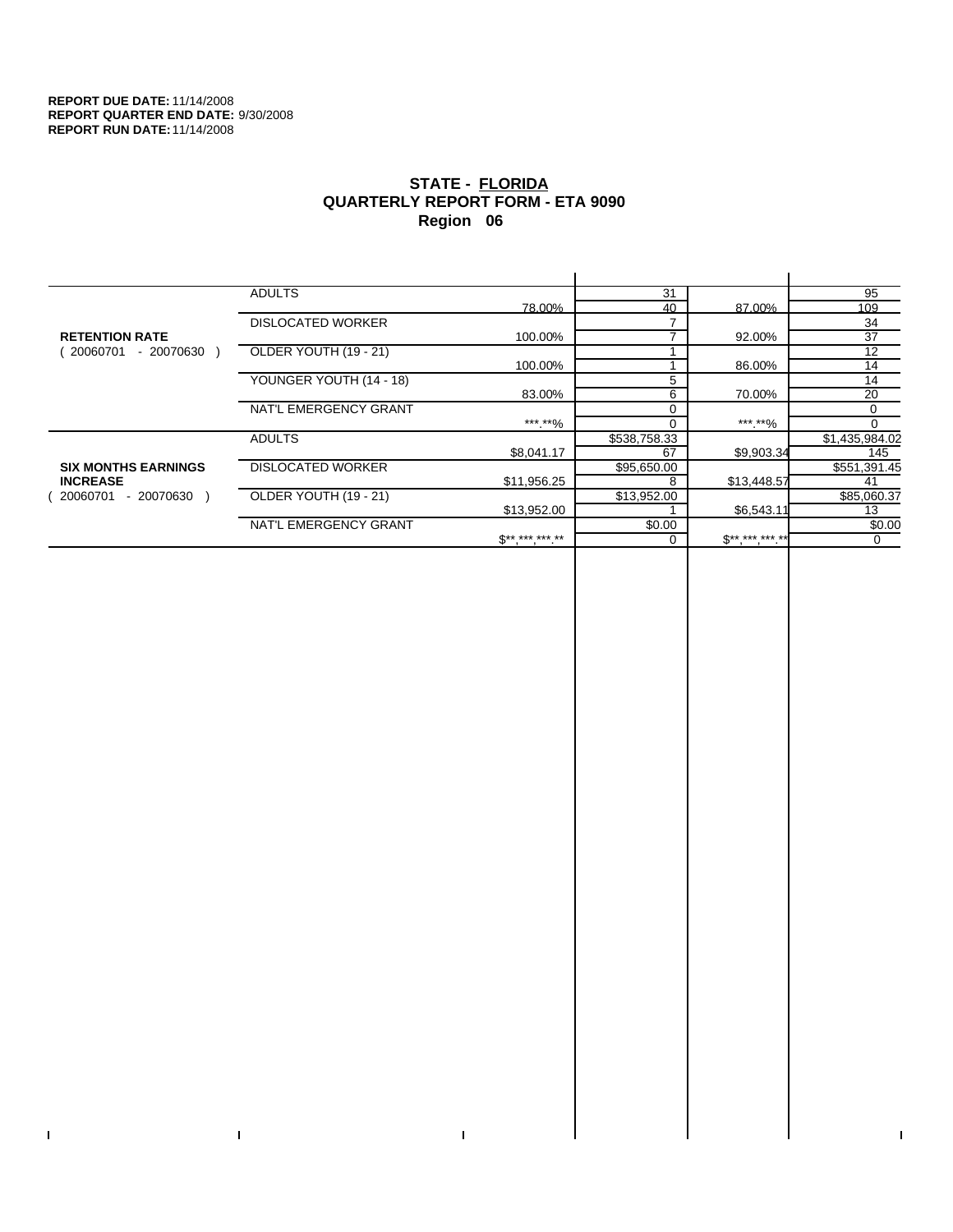$\bar{\Gamma}$ 

 $\mathbf{I}$ 

# **STATE - FLORIDA QUARTERLY REPORT FORM - ETA 9090 Region 06**

|                            | <b>ADULTS</b>            |                                 | 31           |             | 95             |
|----------------------------|--------------------------|---------------------------------|--------------|-------------|----------------|
|                            |                          | 78.00%                          | 40           | 87.00%      | 109            |
|                            | <b>DISLOCATED WORKER</b> |                                 |              |             | 34             |
| <b>RETENTION RATE</b>      |                          | 100.00%                         |              | 92.00%      | 37             |
| 20060701<br>- 20070630     | OLDER YOUTH (19 - 21)    |                                 |              |             | 12             |
|                            |                          | 100.00%                         |              | 86.00%      | 14             |
|                            | YOUNGER YOUTH (14 - 18)  |                                 | 5            |             | 14             |
|                            |                          | 83.00%                          | 6            | 70.00%      | 20             |
|                            | NAT'L EMERGENCY GRANT    |                                 | $\Omega$     |             | 0              |
|                            |                          | ***.**%                         |              | ***.**%     | $\Omega$       |
|                            | <b>ADULTS</b>            |                                 | \$538,758.33 |             | \$1,435,984.02 |
|                            |                          | \$8,041.17                      | 67           | \$9,903.34  | 145            |
| <b>SIX MONTHS EARNINGS</b> | <b>DISLOCATED WORKER</b> |                                 | \$95,650.00  |             | \$551,391.45   |
| <b>INCREASE</b>            |                          | \$11,956.25                     | 8            | \$13,448.57 | 41             |
| - 20070630<br>20060701     | OLDER YOUTH (19 - 21)    |                                 | \$13,952.00  |             | \$85,060.37    |
|                            |                          | \$13,952.00                     |              | \$6,543.11  | 13             |
|                            | NAT'L EMERGENCY GRANT    |                                 | \$0.00       |             | \$0.00         |
|                            |                          | $\mathfrak{S}^{***}$ *** *** ** |              | $$********$ | 0              |
|                            |                          |                                 |              |             |                |

 $\bar{\Gamma}$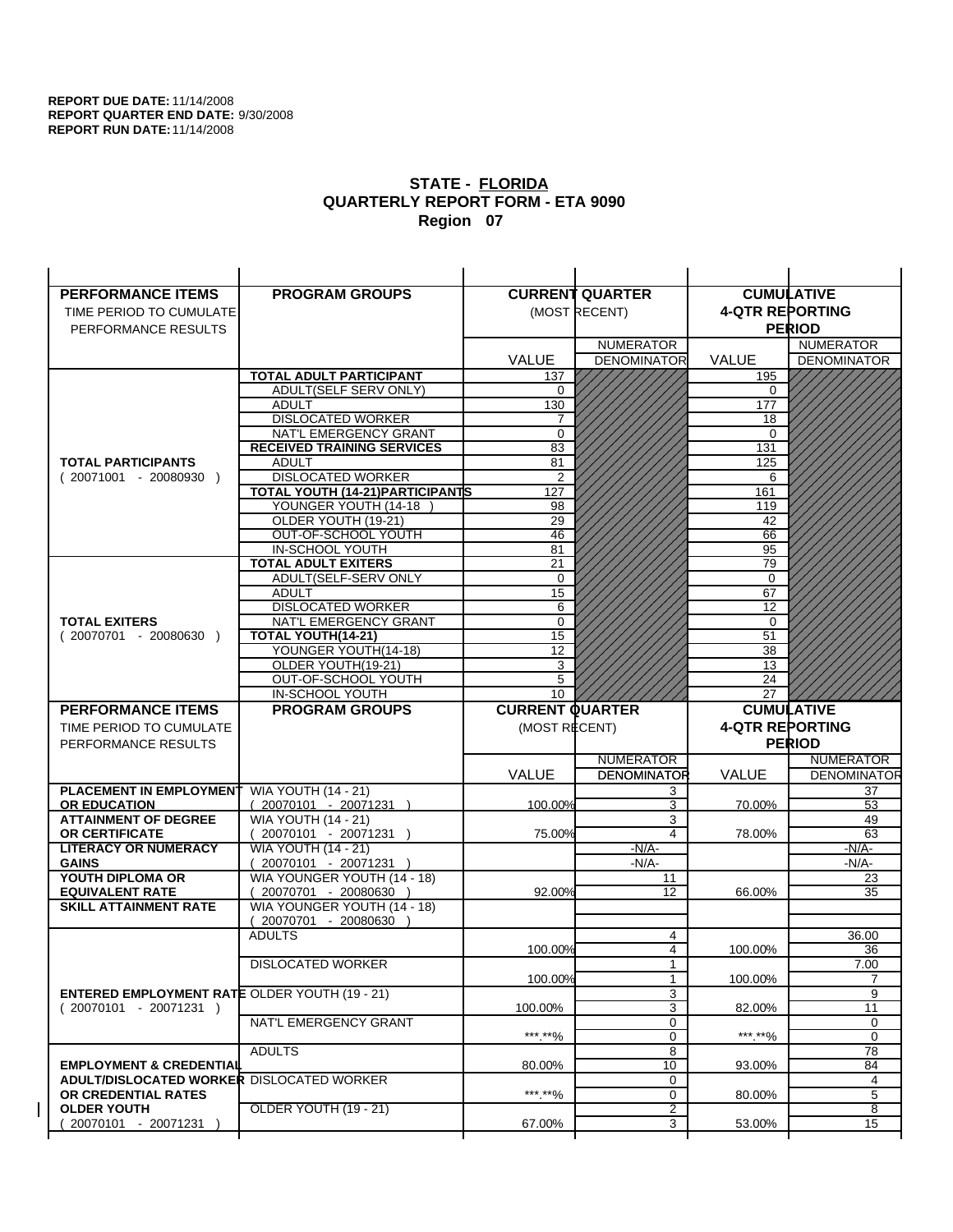| <b>PERFORMANCE ITEMS</b>                             | <b>PROGRAM GROUPS</b>                              |                        | <b>CURRENT QUARTER</b> |                        | <b>CUMULATIVE</b>  |
|------------------------------------------------------|----------------------------------------------------|------------------------|------------------------|------------------------|--------------------|
| TIME PERIOD TO CUMULATE                              |                                                    |                        | (MOST RECENT)          | <b>4-QTR REPORTING</b> |                    |
| PERFORMANCE RESULTS                                  |                                                    |                        |                        |                        | <b>PERIOD</b>      |
|                                                      |                                                    |                        | <b>NUMERATOR</b>       |                        | <b>NUMERATOR</b>   |
|                                                      |                                                    | <b>VALUE</b>           | <b>DENOMINATOR</b>     | <b>VALUE</b>           | <b>DENOMINATOR</b> |
|                                                      | <b>TOTAL ADULT PARTICIPANT</b>                     | 137                    |                        | 195                    |                    |
|                                                      | <b>ADULT(SELF SERV ONLY)</b>                       | 0                      |                        | 0                      |                    |
|                                                      | <b>ADULT</b>                                       | 130                    |                        | 177                    |                    |
|                                                      | <b>DISLOCATED WORKER</b>                           | $\overline{7}$         |                        | 18                     |                    |
|                                                      | NAT'L EMERGENCY GRANT                              | 0                      |                        | $\Omega$               |                    |
|                                                      | <b>RECEIVED TRAINING SERVICES</b>                  | 83                     |                        | 131                    |                    |
| <b>TOTAL PARTICIPANTS</b>                            | <b>ADULT</b>                                       | 81                     |                        | 125                    |                    |
| $(20071001 - 20080930)$                              | <b>DISLOCATED WORKER</b>                           | $\overline{2}$         |                        | 6                      |                    |
|                                                      | <b>TOTAL YOUTH (14-21) PARTICIPANTS</b>            | 127                    |                        | 161                    |                    |
|                                                      | YOUNGER YOUTH (14-18                               | 98                     |                        | 119                    |                    |
|                                                      | OLDER YOUTH (19-21)<br>OUT-OF-SCHOOL YOUTH         | 29<br>46               |                        | 42<br>66               |                    |
|                                                      | IN-SCHOOL YOUTH                                    | 81                     |                        | 95                     |                    |
|                                                      | <b>TOTAL ADULT EXITERS</b>                         | 21                     |                        | 79                     |                    |
|                                                      | ADULT(SELF-SERV ONLY                               | $\mathbf 0$            |                        | 0                      |                    |
|                                                      | <b>ADULT</b>                                       | $\overline{15}$        |                        | 67                     |                    |
|                                                      | <b>DISLOCATED WORKER</b>                           | 6                      |                        | 12                     |                    |
| <b>TOTAL EXITERS</b>                                 | NAT'L EMERGENCY GRANT                              | 0                      |                        | 0                      |                    |
| $(20070701 - 20080630)$                              | TOTAL YOUTH(14-21)                                 | 15                     |                        | 51                     |                    |
|                                                      | YOUNGER YOUTH(14-18)                               | 12                     |                        | 38                     |                    |
|                                                      | OLDER YOUTH(19-21)                                 | 3                      |                        | 13                     |                    |
|                                                      | OUT-OF-SCHOOL YOUTH                                | 5                      |                        | 24                     |                    |
|                                                      | IN-SCHOOL YOUTH                                    | 10                     |                        | 27                     |                    |
|                                                      |                                                    |                        |                        |                        |                    |
| <b>PERFORMANCE ITEMS</b>                             | <b>PROGRAM GROUPS</b>                              | <b>CURRENT QUARTER</b> |                        |                        | <b>CUMULATIVE</b>  |
| TIME PERIOD TO CUMULATE                              |                                                    | (MOST RECENT)          |                        | <b>4-QTR REPORTING</b> |                    |
| PERFORMANCE RESULTS                                  |                                                    |                        |                        |                        | <b>PERIOD</b>      |
|                                                      |                                                    |                        | <b>NUMERATOR</b>       |                        | <b>NUMERATOR</b>   |
|                                                      |                                                    | <b>VALUE</b>           | <b>DENOMINATOR</b>     | <b>VALUE</b>           | <b>DENOMINATOR</b> |
| PLACEMENT IN EMPLOYMENT                              | <b>WIA YOUTH (14 - 21)</b>                         |                        | 3                      |                        | 37                 |
| <b>OR EDUCATION</b>                                  | $(20070101 - 20071231)$                            | 100.00%                | 3                      | 70.00%                 | 53                 |
| <b>ATTAINMENT OF DEGREE</b>                          | <b>WIA YOUTH (14 - 21)</b>                         |                        | 3                      |                        | 49                 |
| <b>OR CERTIFICATE</b>                                | $(20070101 - 20071231)$                            | 75.00%                 | 4                      | 78.00%                 | 63                 |
| <b>LITERACY OR NUMERACY</b>                          | <b>WIA YOUTH (14 - 21)</b>                         |                        | $-N/A$ -               |                        | -N/A-              |
| <b>GAINS</b>                                         | 20070101 - 20071231<br>WIA YOUNGER YOUTH (14 - 18) |                        | $-N/A-$<br>11          |                        | $-N/A-$<br>23      |
| YOUTH DIPLOMA OR<br><b>EQUIVALENT RATE</b>           | 20070701 - 20080630 )                              | 92.00%                 | 12                     | 66.00%                 | 35                 |
| <b>SKILL ATTAINMENT RATE</b>                         | WIA YOUNGER YOUTH (14 - 18)                        |                        |                        |                        |                    |
|                                                      | (20070701 - 20080630                               |                        |                        |                        |                    |
|                                                      | <b>ADULTS</b>                                      |                        | 4                      |                        | 36.00              |
|                                                      |                                                    | 100.00%                | 4                      | 100.00%                | 36                 |
|                                                      | <b>DISLOCATED WORKER</b>                           |                        | $\mathbf{1}$           |                        | 7.00               |
|                                                      |                                                    | 100.00%                | $\mathbf{1}$           | 100.00%                | $\overline{7}$     |
| <b>ENTERED EMPLOYMENT RATE OLDER YOUTH (19 - 21)</b> |                                                    |                        | 3                      |                        | 9                  |
| $(20070101 - 20071231)$                              |                                                    | 100.00%                | 3                      | 82.00%                 | 11                 |
|                                                      | NAT'L EMERGENCY GRANT                              |                        | 0                      |                        | 0                  |
|                                                      |                                                    | ***.**%                | 0                      | *** **%                | 0                  |
| <b>EMPLOYMENT &amp; CREDENTIAL</b>                   | <b>ADULTS</b>                                      | 80.00%                 | 8<br>10                | 93.00%                 | 78<br>84           |
| <b>ADULT/DISLOCATED WORKER DISLOCATED WORKER</b>     |                                                    |                        | 0                      |                        | 4                  |
| OR CREDENTIAL RATES                                  |                                                    | ***.**%                | 0                      | 80.00%                 | 5                  |
| <b>OLDER YOUTH</b><br>20070101 - 20071231            | OLDER YOUTH (19 - 21)                              | 67.00%                 | 2<br>3                 | 53.00%                 | 8<br>15            |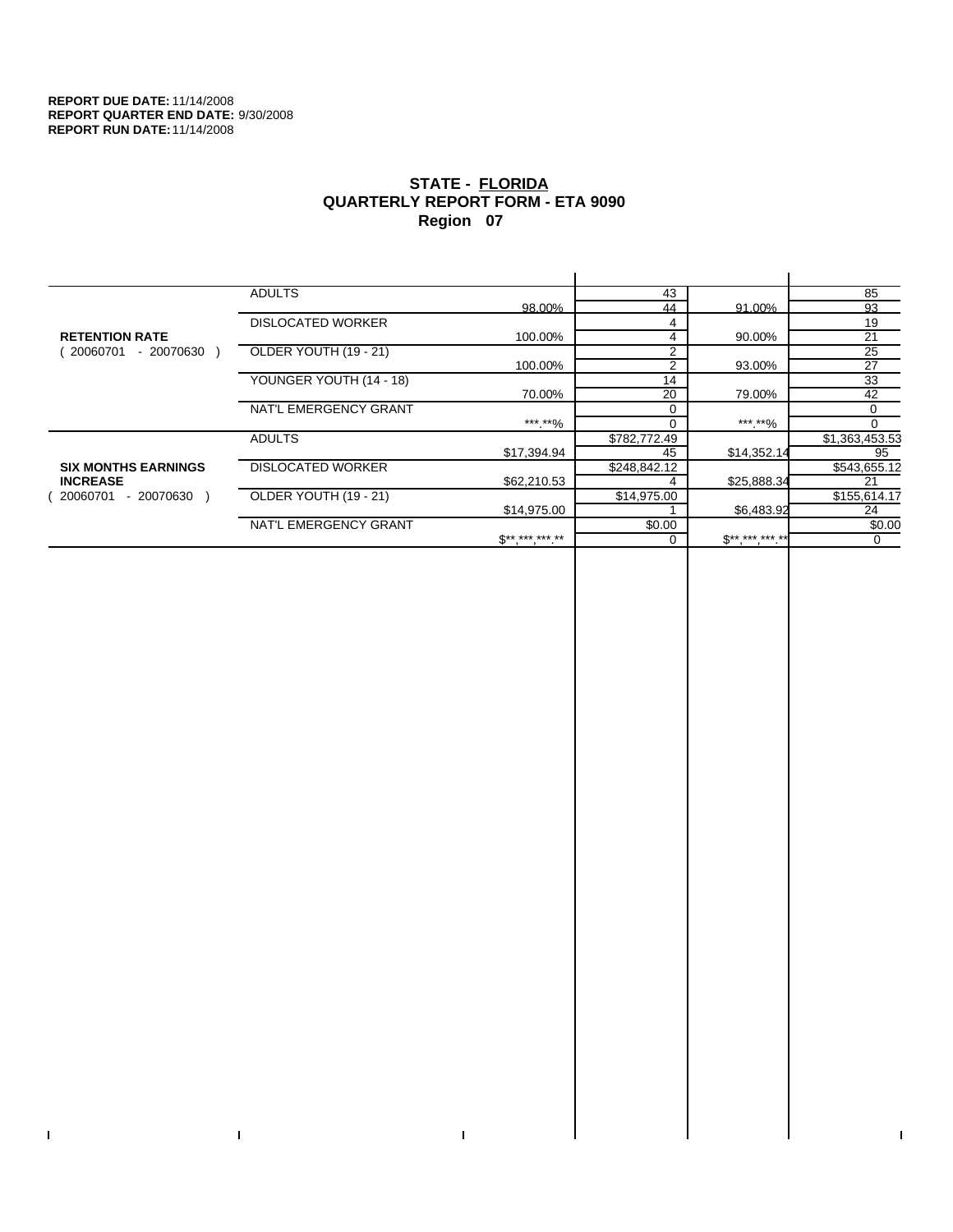$\bar{\Gamma}$ 

 $\mathbf{I}$ 

# **STATE - FLORIDA QUARTERLY REPORT FORM - ETA 9090 Region 07**

|                            | <b>ADULTS</b>            |              | 43             |             | 85              |
|----------------------------|--------------------------|--------------|----------------|-------------|-----------------|
|                            |                          | 98.00%       | 44             | 91.00%      | 93              |
|                            | <b>DISLOCATED WORKER</b> |              | 4              |             | 19              |
| <b>RETENTION RATE</b>      |                          | 100.00%      | 4              | 90.00%      | 21              |
| - 20070630<br>20060701     | OLDER YOUTH (19 - 21)    |              | $\overline{2}$ |             | $\overline{25}$ |
|                            |                          | 100.00%      | 2              | 93.00%      | 27              |
|                            | YOUNGER YOUTH (14 - 18)  |              | 14             |             | 33              |
|                            |                          | 70.00%       | 20             | 79.00%      | 42              |
|                            | NAT'L EMERGENCY GRANT    |              | $\Omega$       |             | 0               |
|                            |                          | ***.**%      |                | ***.**%     |                 |
|                            | <b>ADULTS</b>            |              | \$782,772.49   |             | \$1,363,453.53  |
|                            |                          | \$17,394.94  | 45             | \$14,352.14 | 95              |
| <b>SIX MONTHS EARNINGS</b> | <b>DISLOCATED WORKER</b> |              | \$248,842.12   |             | \$543,655.12    |
| <b>INCREASE</b>            |                          | \$62,210.53  |                | \$25,888.34 | 21              |
| - 20070630<br>20060701     | OLDER YOUTH (19 - 21)    |              | \$14,975.00    |             | \$155,614.17    |
|                            |                          | \$14,975.00  |                | \$6,483.92  | 24              |
|                            | NAT'L EMERGENCY GRANT    |              | \$0.00         |             | \$0.00          |
|                            |                          | $S*********$ |                | $S********$ | 0               |
|                            |                          |              |                |             |                 |

 $\bar{\Gamma}$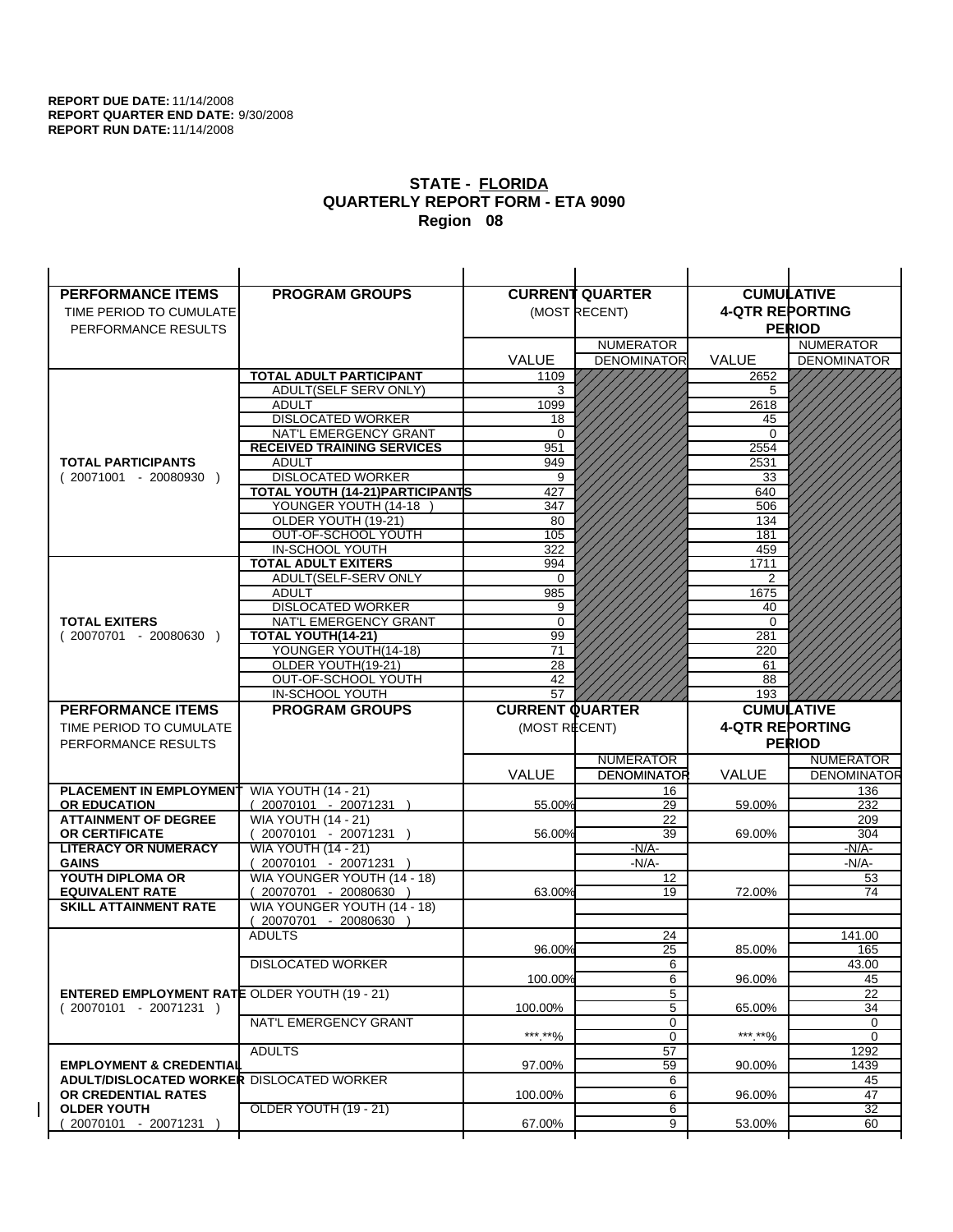| <b>PERFORMANCE ITEMS</b>                               | <b>PROGRAM GROUPS</b>                                    |                        | <b>CURRENT QUARTER</b> |                        | <b>CUMULATIVE</b>         |
|--------------------------------------------------------|----------------------------------------------------------|------------------------|------------------------|------------------------|---------------------------|
| TIME PERIOD TO CUMULATE                                |                                                          |                        | (MOST RECENT)          | <b>4-QTR REPORTING</b> |                           |
| PERFORMANCE RESULTS                                    |                                                          |                        |                        |                        | <b>PERIOD</b>             |
|                                                        |                                                          |                        | <b>NUMERATOR</b>       |                        | <b>NUMERATOR</b>          |
|                                                        |                                                          | <b>VALUE</b>           | <b>DENOMINATOR</b>     | VALUE                  | <b>DENOMINATOR</b>        |
|                                                        | <b>TOTAL ADULT PARTICIPANT</b>                           | 1109                   |                        | 2652                   |                           |
|                                                        | ADULT(SELF SERV ONLY)                                    | 3                      |                        | 5                      |                           |
|                                                        | <b>ADULT</b>                                             | 1099                   |                        | 2618                   |                           |
|                                                        | <b>DISLOCATED WORKER</b>                                 | 18                     |                        | 45                     |                           |
|                                                        | NAT'L EMERGENCY GRANT                                    | $\Omega$               |                        | 0                      |                           |
|                                                        | <b>RECEIVED TRAINING SERVICES</b>                        | 951                    |                        | 2554                   |                           |
| <b>TOTAL PARTICIPANTS</b>                              | <b>ADULT</b>                                             | 949                    |                        | 2531                   |                           |
| $(20071001 - 20080930)$                                | <b>DISLOCATED WORKER</b>                                 | 9                      |                        | 33                     |                           |
|                                                        | TOTAL YOUTH (14-21) PARTICIPANTS<br>YOUNGER YOUTH (14-18 | 427<br>347             |                        | 640<br>506             |                           |
|                                                        | OLDER YOUTH (19-21)                                      | 80                     |                        | 134                    |                           |
|                                                        | OUT-OF-SCHOOL YOUTH                                      | 105                    |                        | 181                    |                           |
|                                                        | IN-SCHOOL YOUTH                                          | 322                    |                        | 459                    |                           |
|                                                        | <b>TOTAL ADULT EXITERS</b>                               | 994                    |                        | 1711                   |                           |
|                                                        | ADULT(SELF-SERV ONLY                                     | 0                      |                        | 2                      |                           |
|                                                        | <b>ADULT</b>                                             | 985                    |                        | 1675                   |                           |
|                                                        | <b>DISLOCATED WORKER</b>                                 | 9                      |                        | 40                     |                           |
| <b>TOTAL EXITERS</b>                                   | NAT'L EMERGENCY GRANT                                    | $\mathbf 0$            |                        | $\mathbf 0$            |                           |
| $(20070701 - 20080630)$                                | TOTAL YOUTH(14-21)                                       | 99<br>71               |                        | 281                    |                           |
|                                                        | YOUNGER YOUTH(14-18)<br>OLDER YOUTH(19-21)               | $\overline{28}$        |                        | 220<br>61              |                           |
|                                                        | OUT-OF-SCHOOL YOUTH                                      | 42                     |                        | 88                     |                           |
|                                                        | IN-SCHOOL YOUTH                                          | 57                     |                        | 193                    |                           |
|                                                        |                                                          |                        |                        |                        |                           |
| <b>PERFORMANCE ITEMS</b>                               | <b>PROGRAM GROUPS</b>                                    | <b>CURRENT QUARTER</b> |                        |                        | <b>CUMULATIVE</b>         |
| TIME PERIOD TO CUMULATE                                |                                                          | (MOST RECENT)          |                        | <b>4-QTR REPORTING</b> |                           |
| PERFORMANCE RESULTS                                    |                                                          |                        |                        |                        | <b>PERIOD</b>             |
|                                                        |                                                          |                        | <b>NUMERATOR</b>       |                        | <b>NUMERATOR</b>          |
|                                                        |                                                          | <b>VALUE</b>           | <b>DENOMINATOR</b>     | <b>VALUE</b>           |                           |
| <b>PLACEMENT IN EMPLOYMENT</b>                         | <b>WIA YOUTH (14 - 21)</b>                               |                        | 16                     |                        | <b>DENOMINATOR</b><br>136 |
| <b>OR EDUCATION</b>                                    | $(20070101 - 20071231)$                                  | 55.00%                 | 29                     | 59.00%                 | 232                       |
| <b>ATTAINMENT OF DEGREE</b>                            | <b>WIA YOUTH (14 - 21)</b>                               |                        | 22                     |                        | 209                       |
| OR CERTIFICATE                                         | $(20070101 - 20071231)$                                  | 56.00%                 | 39                     | 69.00%                 | 304                       |
| <b>LITERACY OR NUMERACY</b>                            | <b>WIA YOUTH (14 - 21)</b>                               |                        | $-N/A$ -               |                        | -N/A-                     |
| <b>GAINS</b>                                           | 20070101 - 20071231 )                                    |                        | $-N/A-$                |                        | $-N/A-$                   |
| YOUTH DIPLOMA OR                                       | WIA YOUNGER YOUTH (14 - 18)                              |                        | 12<br>19               |                        | 53<br>74                  |
| <b>EQUIVALENT RATE</b><br><b>SKILL ATTAINMENT RATE</b> | 20070701 - 20080630 )<br>WIA YOUNGER YOUTH (14 - 18)     | 63.00%                 |                        | 72.00%                 |                           |
|                                                        | (20070701 - 20080630                                     |                        |                        |                        |                           |
|                                                        | <b>ADULTS</b>                                            |                        | 24                     |                        | 141.00                    |
|                                                        |                                                          | 96.00%                 | 25                     | 85.00%                 | 165                       |
|                                                        | <b>DISLOCATED WORKER</b>                                 |                        | 6                      |                        | 43.00                     |
|                                                        |                                                          | 100.00%                | 6                      | 96.00%                 | 45                        |
| <b>ENTERED EMPLOYMENT RATE OLDER YOUTH (19 - 21)</b>   |                                                          |                        | 5                      |                        | 22                        |
| $(20070101 - 20071231)$                                |                                                          | 100.00%                | 5                      | 65.00%                 | 34                        |
|                                                        | NAT'L EMERGENCY GRANT                                    | *** **%                | 0                      | ***.**%                | 0<br>$\Omega$             |
|                                                        | <b>ADULTS</b>                                            |                        | 0<br>57                |                        | 1292                      |
| <b>EMPLOYMENT &amp; CREDENTIAL</b>                     |                                                          | 97.00%                 | 59                     | 90.00%                 | 1439                      |
| <b>ADULT/DISLOCATED WORKER DISLOCATED WORKER</b>       |                                                          |                        | 6                      |                        | 45                        |
| OR CREDENTIAL RATES                                    |                                                          | 100.00%                | 6                      | 96.00%                 | 47                        |
| <b>OLDER YOUTH</b><br>20070101 - 20071231              | OLDER YOUTH (19 - 21)                                    | 67.00%                 | 6<br>9                 | 53.00%                 | 32<br>60                  |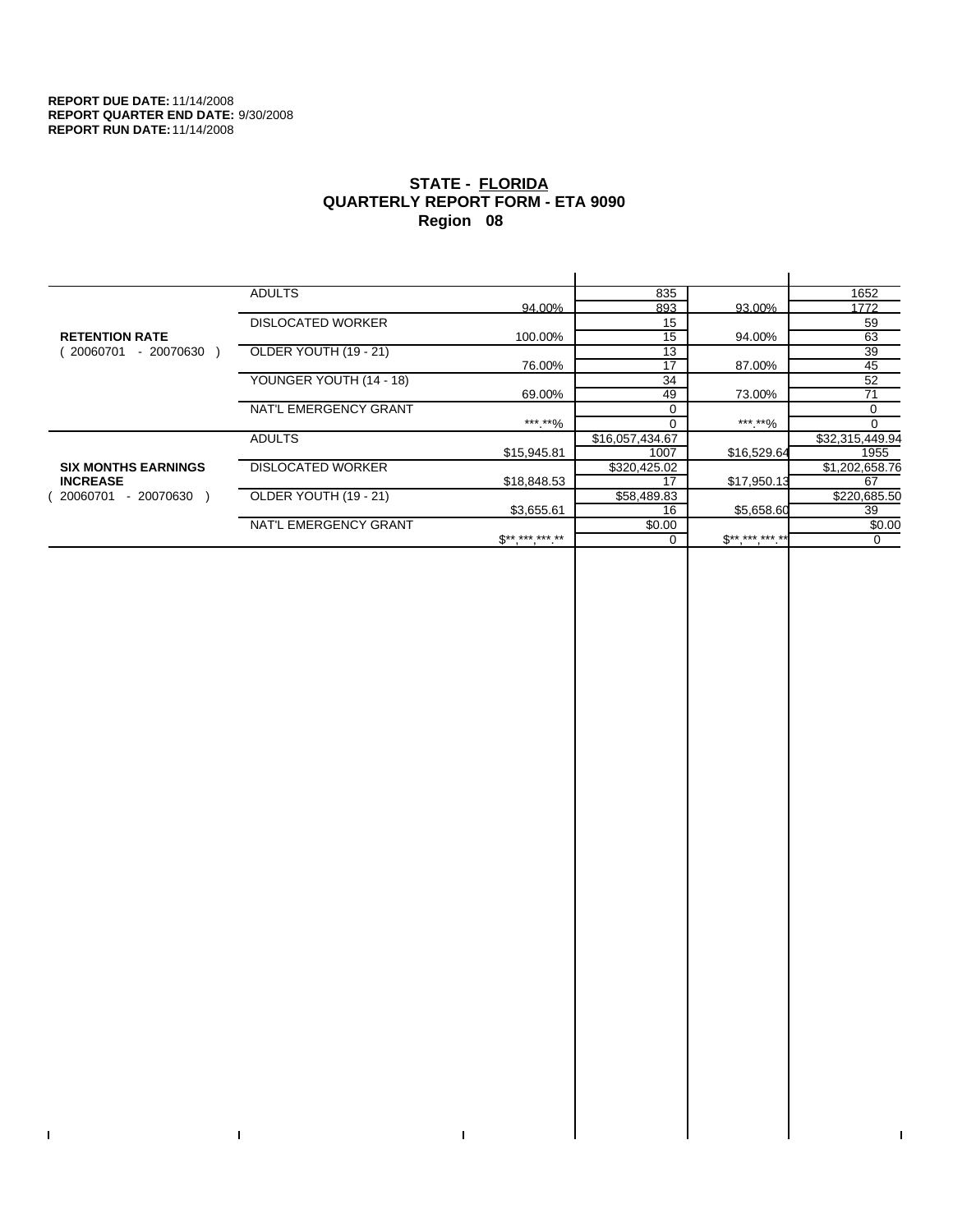$\bar{\Gamma}$ 

 $\Gamma$ 

# **STATE - FLORIDA QUARTERLY REPORT FORM - ETA 9090 Region 08**

|                            | <b>ADULTS</b>            |                                                   | 835             |                                                       | 1652            |
|----------------------------|--------------------------|---------------------------------------------------|-----------------|-------------------------------------------------------|-----------------|
|                            |                          | 94.00%                                            | 893             | 93.00%                                                | 1772            |
|                            | <b>DISLOCATED WORKER</b> |                                                   | 15              |                                                       | 59              |
| <b>RETENTION RATE</b>      |                          | 100.00%                                           | 15              | 94.00%                                                | 63              |
| - 20070630<br>20060701     | OLDER YOUTH (19 - 21)    |                                                   | 13              |                                                       | 39              |
|                            |                          | 76.00%                                            | 17              | 87.00%                                                | 45              |
|                            | YOUNGER YOUTH (14 - 18)  |                                                   | 34              |                                                       | 52              |
|                            |                          | 69.00%                                            | 49              | 73.00%                                                | 71              |
|                            | NAT'L EMERGENCY GRANT    |                                                   |                 |                                                       | 0               |
|                            |                          | ***.**%                                           |                 | ***.**%                                               | 0               |
|                            | <b>ADULTS</b>            |                                                   | \$16,057,434.67 |                                                       | \$32,315,449.94 |
|                            |                          | \$15,945.81                                       | 1007            | \$16,529.64                                           | 1955            |
| <b>SIX MONTHS EARNINGS</b> | <b>DISLOCATED WORKER</b> |                                                   | \$320,425.02    |                                                       | \$1,202,658.76  |
| <b>INCREASE</b>            |                          | \$18,848.53                                       | 17              | \$17,950.13                                           | 67              |
| $-20070630$<br>20060701    | OLDER YOUTH (19 - 21)    |                                                   | \$58,489.83     |                                                       | \$220,685.50    |
|                            |                          | \$3,655.61                                        | 16              | \$5,658.60                                            | 39              |
|                            | NAT'L EMERGENCY GRANT    |                                                   | \$0.00          |                                                       | \$0.00          |
|                            |                          | $\mathfrak{S}^{***}$ *** *** **<br><b>Service</b> |                 | $\mathfrak{F}^{\star\star}, \dots, \dots, \star\star$ | 0               |
|                            |                          |                                                   |                 |                                                       |                 |

 $\bar{\Gamma}$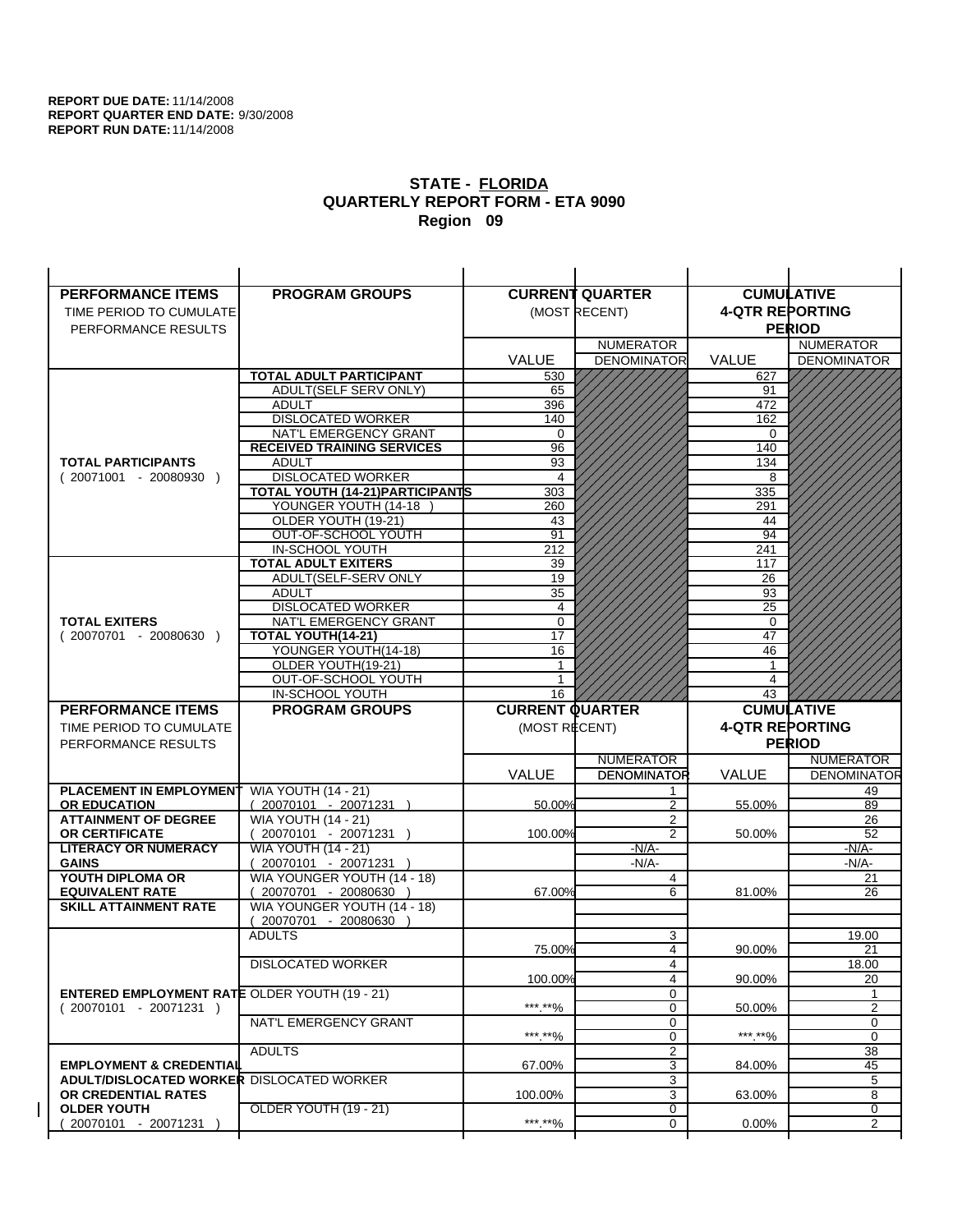| <b>PERFORMANCE ITEMS</b>                             | <b>PROGRAM GROUPS</b>                              |                        | <b>CURRENT QUARTER</b>       |                        | <b>CUMULATIVE</b>  |
|------------------------------------------------------|----------------------------------------------------|------------------------|------------------------------|------------------------|--------------------|
| TIME PERIOD TO CUMULATE                              |                                                    |                        | (MOST RECENT)                | <b>4-QTR REPORTING</b> |                    |
| PERFORMANCE RESULTS                                  |                                                    |                        |                              |                        | <b>PERIOD</b>      |
|                                                      |                                                    |                        | <b>NUMERATOR</b>             |                        | <b>NUMERATOR</b>   |
|                                                      |                                                    | <b>VALUE</b>           | <b>DENOMINATOR</b>           | <b>VALUE</b>           | <b>DENOMINATOR</b> |
|                                                      | <b>TOTAL ADULT PARTICIPANT</b>                     | 530                    |                              | 627                    |                    |
|                                                      | ADULT(SELF SERV ONLY)                              | 65                     |                              | 91                     |                    |
|                                                      | <b>ADULT</b>                                       | 396                    |                              | 472                    |                    |
|                                                      | <b>DISLOCATED WORKER</b>                           | 140                    |                              | 162                    |                    |
|                                                      | NAT'L EMERGENCY GRANT                              | $\Omega$               |                              | $\Omega$               |                    |
|                                                      | <b>RECEIVED TRAINING SERVICES</b>                  | 96                     |                              | 140                    |                    |
| <b>TOTAL PARTICIPANTS</b>                            | <b>ADULT</b>                                       | 93                     |                              | 134                    |                    |
| $(20071001 - 20080930)$                              | <b>DISLOCATED WORKER</b>                           | 4                      |                              | 8                      |                    |
|                                                      | <b>TOTAL YOUTH (14-21) PARTICIPANTS</b>            | 303                    |                              | 335                    |                    |
|                                                      | YOUNGER YOUTH (14-18                               | 260                    |                              | 291                    |                    |
|                                                      | OLDER YOUTH (19-21)<br>OUT-OF-SCHOOL YOUTH         | 43<br>91               |                              | 44<br>94               |                    |
|                                                      | IN-SCHOOL YOUTH                                    | 212                    |                              | 241                    |                    |
|                                                      | <b>TOTAL ADULT EXITERS</b>                         | 39                     |                              | 117                    |                    |
|                                                      | ADULT(SELF-SERV ONLY                               | 19                     |                              | 26                     |                    |
|                                                      | <b>ADULT</b>                                       | 35                     |                              | 93                     |                    |
|                                                      | <b>DISLOCATED WORKER</b>                           | 4                      |                              | 25                     |                    |
| <b>TOTAL EXITERS</b>                                 | NAT'L EMERGENCY GRANT                              | $\mathbf 0$            |                              | 0                      |                    |
| $(20070701 - 20080630)$                              | TOTAL YOUTH(14-21)                                 | 17                     |                              | 47                     |                    |
|                                                      | YOUNGER YOUTH(14-18)                               | 16                     |                              | 46                     |                    |
|                                                      | OLDER YOUTH(19-21)                                 | 1                      |                              | 1                      |                    |
|                                                      | OUT-OF-SCHOOL YOUTH                                |                        |                              | 4                      |                    |
|                                                      | IN-SCHOOL YOUTH                                    | 16                     |                              | 43                     |                    |
|                                                      |                                                    |                        |                              |                        |                    |
| <b>PERFORMANCE ITEMS</b>                             | <b>PROGRAM GROUPS</b>                              | <b>CURRENT QUARTER</b> |                              |                        | <b>CUMULATIVE</b>  |
| TIME PERIOD TO CUMULATE                              |                                                    | (MOST RECENT)          |                              | <b>4-QTR REPORTING</b> |                    |
| PERFORMANCE RESULTS                                  |                                                    |                        |                              |                        | <b>PERIOD</b>      |
|                                                      |                                                    |                        | <b>NUMERATOR</b>             |                        | <b>NUMERATOR</b>   |
|                                                      |                                                    | <b>VALUE</b>           | <b>DENOMINATOR</b>           | VALUE                  | <b>DENOMINATOR</b> |
| PLACEMENT IN EMPLOYMENT                              | <b>WIA YOUTH (14 - 21)</b>                         |                        | 1                            |                        | 49                 |
| <b>OR EDUCATION</b>                                  | $(20070101 - 20071231)$                            | 50.00%                 | 2                            | 55.00%                 | 89                 |
| <b>ATTAINMENT OF DEGREE</b>                          | <b>WIA YOUTH (14 - 21)</b>                         |                        | 2                            |                        | 26                 |
| <b>OR CERTIFICATE</b>                                | 20070101 - 20071231 )                              | 100.00%                | $\overline{2}$               | 50.00%                 | 52                 |
| <b>LITERACY OR NUMERACY</b>                          | <b>WIA YOUTH (14 - 21)</b>                         |                        | $-N/A-$                      |                        | $-N/A$ -           |
| <b>GAINS</b>                                         | 20070101 - 20071231 )                              |                        | $-N/A$ -                     |                        | -N/A-              |
| YOUTH DIPLOMA OR<br><b>EQUIVALENT RATE</b>           | WIA YOUNGER YOUTH (14 - 18)<br>20070701 - 20080630 | 67.00%                 | 4<br>6                       | 81.00%                 | 21<br>26           |
| <b>SKILL ATTAINMENT RATE</b>                         | WIA YOUNGER YOUTH (14 - 18)                        |                        |                              |                        |                    |
|                                                      | (20070701 - 20080630                               |                        |                              |                        |                    |
|                                                      | <b>ADULTS</b>                                      |                        | 3                            |                        | 19.00              |
|                                                      |                                                    | 75.00%                 | 4                            | 90.00%                 | 21                 |
|                                                      | <b>DISLOCATED WORKER</b>                           |                        | 4                            |                        | 18.00              |
|                                                      |                                                    | 100.00%                | 4                            | 90.00%                 | 20                 |
| <b>ENTERED EMPLOYMENT RATE OLDER YOUTH (19 - 21)</b> |                                                    |                        | 0                            |                        | 1                  |
| $(20070101 - 20071231)$                              |                                                    | ***.**%                | 0                            | 50.00%                 | $\overline{2}$     |
|                                                      | NAT'L EMERGENCY GRANT                              |                        | 0                            |                        | 0                  |
|                                                      |                                                    | ***.**%                | 0                            | ***.**%                | $\mathbf 0$        |
| <b>EMPLOYMENT &amp; CREDENTIAL</b>                   | <b>ADULTS</b>                                      | 67.00%                 | $\overline{\mathbf{c}}$<br>3 | 84.00%                 | 38<br>45           |
| <b>ADULT/DISLOCATED WORKER DISLOCATED WORKER</b>     |                                                    |                        | 3                            |                        | 5                  |
| OR CREDENTIAL RATES                                  |                                                    | 100.00%                | 3                            | 63.00%                 | 8                  |
| <b>OLDER YOUTH</b>                                   | <b>OLDER YOUTH (19 - 21)</b>                       |                        | 0                            |                        | 0                  |
| 20070101 - 20071231                                  |                                                    | ***.**%                | $\mathbf 0$                  | $0.00\%$               | $\overline{2}$     |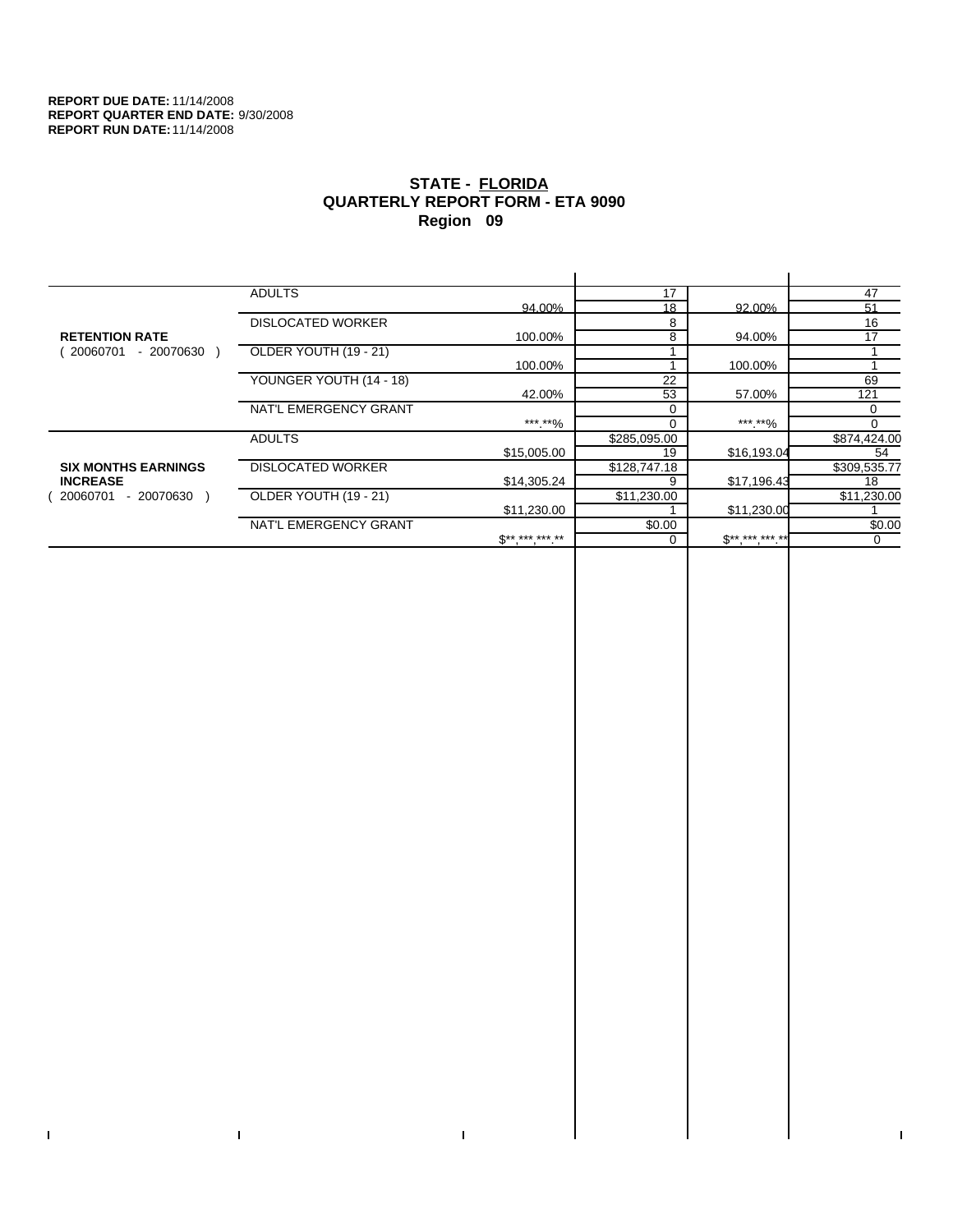$\bar{\Gamma}$ 

 $\Gamma$ 

# **STATE - FLORIDA QUARTERLY REPORT FORM - ETA 9090 Region 09**

|                            | <b>ADULTS</b>            |                     | 17           |              | 47           |
|----------------------------|--------------------------|---------------------|--------------|--------------|--------------|
|                            |                          | 94.00%              | 18           | 92.00%       | 51           |
|                            | <b>DISLOCATED WORKER</b> |                     | 8            |              | 16           |
| <b>RETENTION RATE</b>      |                          | 100.00%             | 8            | 94.00%       | 17           |
| - 20070630<br>20060701     | OLDER YOUTH (19 - 21)    |                     |              |              |              |
|                            |                          | 100.00%             |              | 100.00%      |              |
|                            | YOUNGER YOUTH (14 - 18)  |                     | 22           |              | 69           |
|                            |                          | 42.00%              | 53           | 57.00%       | 121          |
|                            | NAT'L EMERGENCY GRANT    |                     |              |              | $\Omega$     |
|                            |                          | ***.**%             |              | ***.**%      |              |
|                            | <b>ADULTS</b>            |                     | \$285,095.00 |              | \$874,424.00 |
|                            |                          | \$15,005.00         | 19           | \$16,193.04  | 54           |
| <b>SIX MONTHS EARNINGS</b> | <b>DISLOCATED WORKER</b> |                     | \$128,747.18 |              | \$309,535.77 |
| <b>INCREASE</b>            |                          | \$14,305.24         |              | \$17,196.43  | 18           |
| - 20070630<br>20060701     | OLDER YOUTH (19 - 21)    |                     | \$11,230.00  |              | \$11,230.00  |
|                            |                          | \$11,230.00         |              | \$11,230.00  |              |
|                            | NAT'L EMERGENCY GRANT    |                     | \$0.00       |              | \$0.00       |
|                            |                          | $S^{**}$ *** *** ** |              | $$********"$ | 0            |
|                            |                          |                     |              |              |              |

 $\bar{\Gamma}$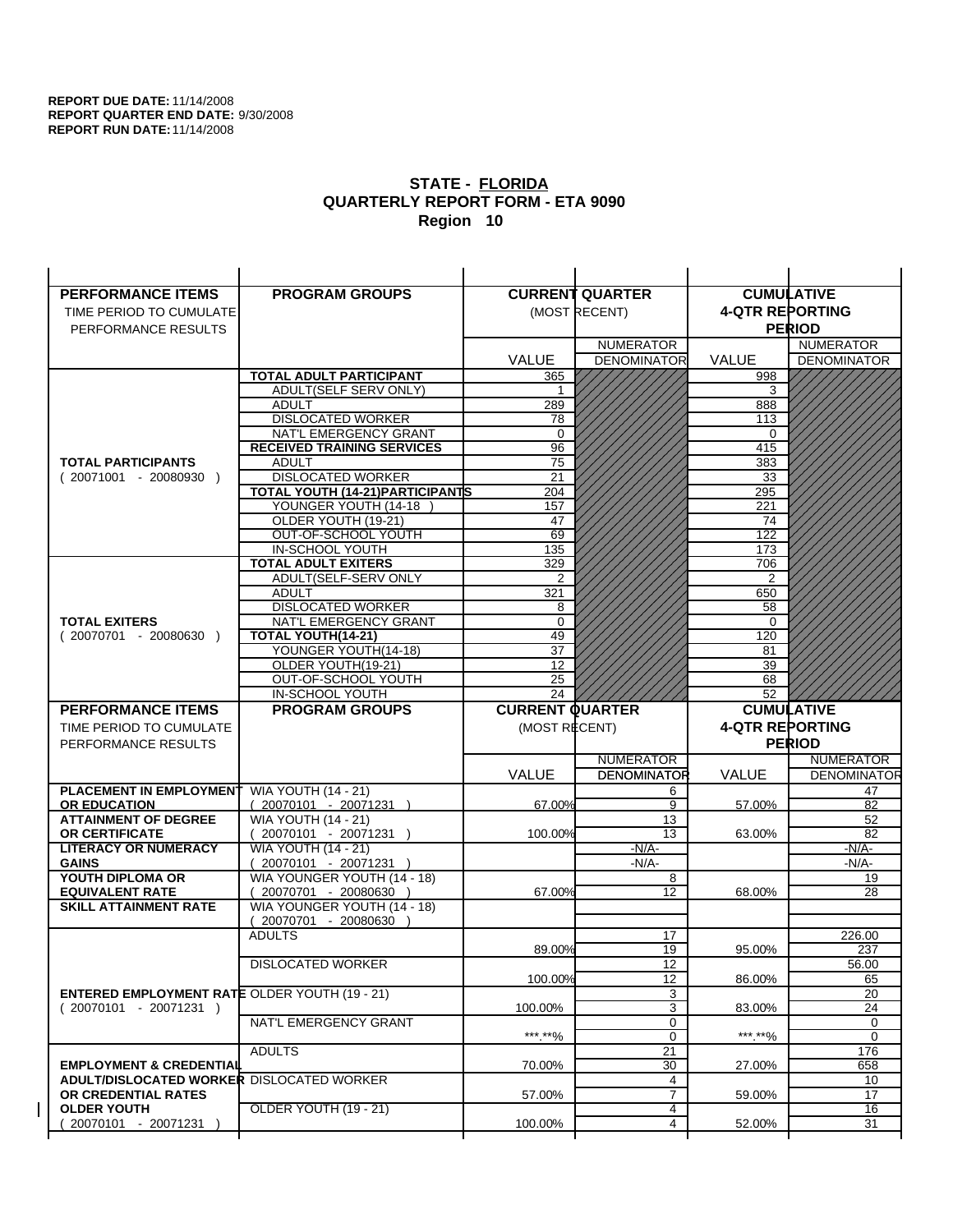| <b>PERFORMANCE ITEMS</b>                             | <b>PROGRAM GROUPS</b>                                 |                        | <b>CURRENT QUARTER</b>                 |                        | <b>CUMULATIVE</b>                      |
|------------------------------------------------------|-------------------------------------------------------|------------------------|----------------------------------------|------------------------|----------------------------------------|
| TIME PERIOD TO CUMULATE                              |                                                       |                        | (MOST RECENT)                          | <b>4-QTR REPORTING</b> |                                        |
| PERFORMANCE RESULTS                                  |                                                       |                        |                                        |                        | <b>PERIOD</b>                          |
|                                                      |                                                       |                        | <b>NUMERATOR</b>                       |                        | <b>NUMERATOR</b>                       |
|                                                      |                                                       | <b>VALUE</b>           | <b>DENOMINATOR</b>                     | VALUE                  | <b>DENOMINATOR</b>                     |
|                                                      | <b>TOTAL ADULT PARTICIPANT</b>                        | 365                    |                                        | 998                    |                                        |
|                                                      | <b>ADULT(SELF SERV ONLY)</b>                          | 1                      |                                        | 3                      |                                        |
|                                                      | <b>ADULT</b>                                          | 289                    |                                        | 888                    |                                        |
|                                                      | <b>DISLOCATED WORKER</b>                              | 78                     |                                        | 113                    |                                        |
|                                                      | NAT'L EMERGENCY GRANT                                 | 0                      |                                        | 0                      |                                        |
|                                                      | <b>RECEIVED TRAINING SERVICES</b>                     | 96                     |                                        | 415                    |                                        |
| <b>TOTAL PARTICIPANTS</b>                            | <b>ADULT</b>                                          | 75                     |                                        | 383                    |                                        |
| $(20071001 - 20080930)$                              | <b>DISLOCATED WORKER</b>                              | 21                     |                                        | 33                     |                                        |
|                                                      | TOTAL YOUTH (14-21) PARTICIPANTS                      | 204                    |                                        | 295                    |                                        |
|                                                      | YOUNGER YOUTH (14-18                                  | 157                    |                                        | 221                    |                                        |
|                                                      | OLDER YOUTH (19-21)                                   | 47                     |                                        | 74                     |                                        |
|                                                      | OUT-OF-SCHOOL YOUTH                                   | 69                     |                                        | 122                    |                                        |
|                                                      | IN-SCHOOL YOUTH                                       | 135                    |                                        | 173                    |                                        |
|                                                      | <b>TOTAL ADULT EXITERS</b>                            | 329                    |                                        | 706                    |                                        |
|                                                      | ADULT(SELF-SERV ONLY                                  | 2                      |                                        | 2                      |                                        |
|                                                      | <b>ADULT</b><br><b>DISLOCATED WORKER</b>              | 321<br>8               |                                        | 650<br>58              |                                        |
| <b>TOTAL EXITERS</b>                                 | NAT'L EMERGENCY GRANT                                 | 0                      |                                        | 0                      |                                        |
| $(20070701 - 20080630)$                              | TOTAL YOUTH(14-21)                                    | 49                     |                                        | 120                    |                                        |
|                                                      | YOUNGER YOUTH(14-18)                                  | 37                     |                                        | 81                     |                                        |
|                                                      | OLDER YOUTH(19-21)                                    | 12                     |                                        | 39                     |                                        |
|                                                      | OUT-OF-SCHOOL YOUTH                                   | 25                     |                                        | 68                     |                                        |
|                                                      | IN-SCHOOL YOUTH                                       | 24                     |                                        | 52                     |                                        |
|                                                      |                                                       |                        |                                        |                        |                                        |
| <b>PERFORMANCE ITEMS</b>                             | <b>PROGRAM GROUPS</b>                                 | <b>CURRENT QUARTER</b> |                                        |                        | <b>CUMULATIVE</b>                      |
| TIME PERIOD TO CUMULATE                              |                                                       |                        |                                        |                        |                                        |
|                                                      |                                                       | (MOST RECENT)          |                                        | <b>4-QTR REPORTING</b> |                                        |
| PERFORMANCE RESULTS                                  |                                                       |                        |                                        |                        | <b>PERIOD</b>                          |
|                                                      |                                                       |                        | <b>NUMERATOR</b><br><b>DENOMINATOR</b> | <b>VALUE</b>           | <b>NUMERATOR</b><br><b>DENOMINATOR</b> |
| <b>PLACEMENT IN EMPLOYMENT</b>                       |                                                       | <b>VALUE</b>           | 6                                      |                        | 47                                     |
| <b>OR EDUCATION</b>                                  | <b>WIA YOUTH (14 - 21)</b>                            | 67.00%                 | 9                                      | 57.00%                 | 82                                     |
| <b>ATTAINMENT OF DEGREE</b>                          | $(20070101 - 20071231)$<br><b>WIA YOUTH (14 - 21)</b> |                        | 13                                     |                        | 52                                     |
| <b>OR CERTIFICATE</b>                                | $(20070101 - 20071231)$                               | 100.00%                | 13                                     | 63.00%                 | 82                                     |
| <b>LITERACY OR NUMERACY</b>                          | <b>WIA YOUTH (14 - 21)</b>                            |                        | $-N/A-$                                |                        | <u>-N/A-</u>                           |
| <b>GAINS</b>                                         | 20070101 - 20071231                                   |                        | $-N/A-$                                |                        | $-N/A-$                                |
| YOUTH DIPLOMA OR                                     | WIA YOUNGER YOUTH (14 - 18)                           |                        | 8                                      |                        | 19                                     |
| <b>EQUIVALENT RATE</b>                               | 20070701 - 20080630 )                                 | 67.00%                 | 12                                     | 68.00%                 | 28                                     |
| <b>SKILL ATTAINMENT RATE</b>                         | WIA YOUNGER YOUTH (14 - 18)                           |                        |                                        |                        |                                        |
|                                                      | (20070701 - 20080630                                  |                        |                                        |                        |                                        |
|                                                      | <b>ADULTS</b>                                         |                        | 17                                     |                        | 226.00                                 |
|                                                      |                                                       | 89.00%                 | 19                                     | 95.00%                 | 237                                    |
|                                                      | <b>DISLOCATED WORKER</b>                              |                        | 12                                     |                        | 56.00                                  |
|                                                      |                                                       | 100.00%                | 12                                     | 86.00%                 | 65                                     |
| <b>ENTERED EMPLOYMENT RATE OLDER YOUTH (19 - 21)</b> |                                                       |                        | 3                                      |                        | 20                                     |
| $(20070101 - 20071231)$                              | NAT'L EMERGENCY GRANT                                 | 100.00%                | 3                                      | 83.00%                 | 24<br>0                                |
|                                                      |                                                       | ***.**%                | 0<br>$\mathbf 0$                       | *** **%                | 0                                      |
|                                                      | <b>ADULTS</b>                                         |                        | 21                                     |                        | 176                                    |
| <b>EMPLOYMENT &amp; CREDENTIAL</b>                   |                                                       | 70.00%                 | 30                                     | 27.00%                 | 658                                    |
| <b>ADULT/DISLOCATED WORKER DISLOCATED WORKER</b>     |                                                       |                        | 4                                      |                        | 10                                     |
| OR CREDENTIAL RATES                                  |                                                       | 57.00%                 | $\overline{7}$                         | 59.00%                 | 17                                     |
| <b>OLDER YOUTH</b><br>20070101 - 20071231            | OLDER YOUTH (19 - 21)                                 | 100.00%                | 4<br>4                                 | 52.00%                 | 16<br>31                               |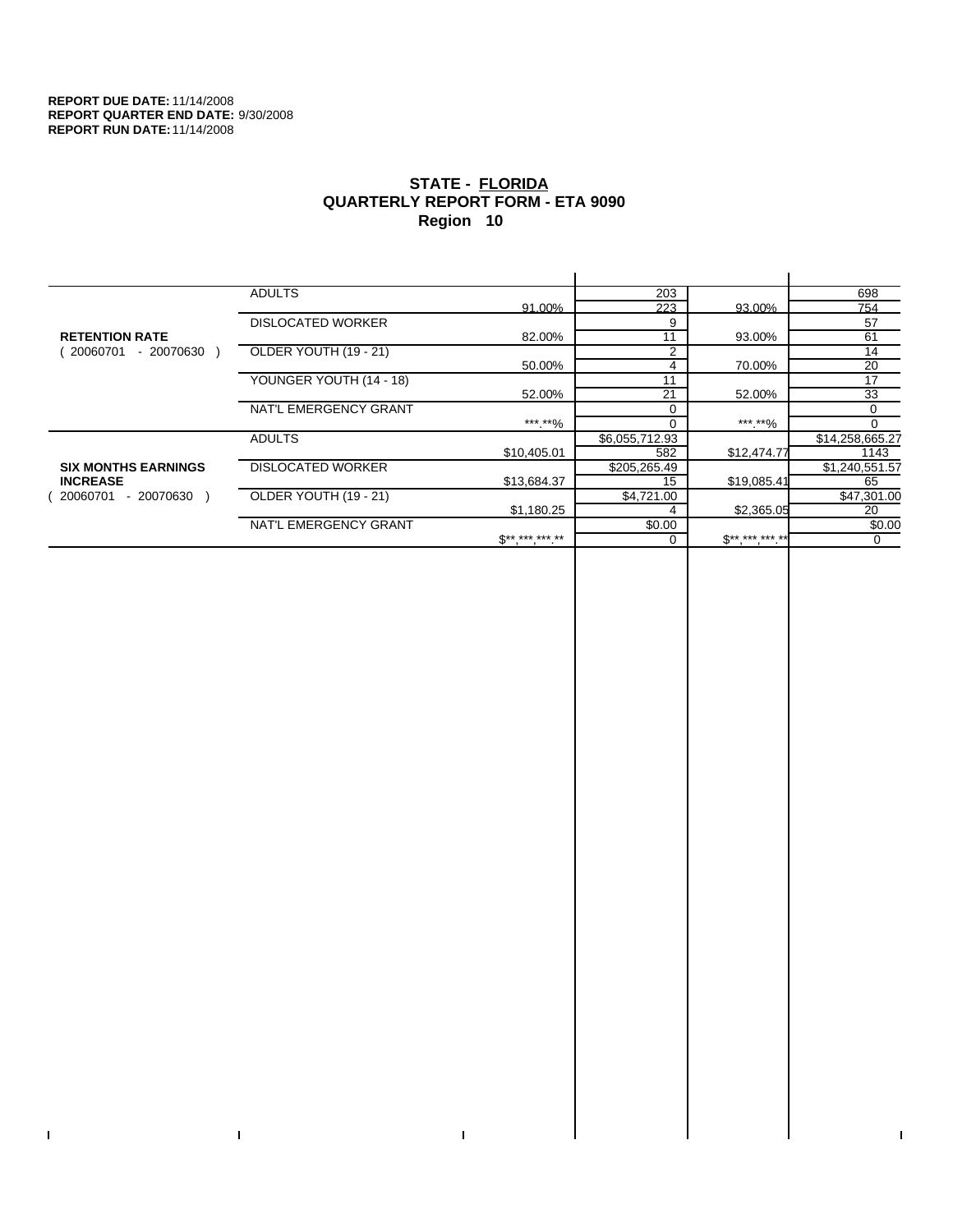$\bar{\Gamma}$ 

 $\Gamma$ 

# **STATE - FLORIDA QUARTERLY REPORT FORM - ETA 9090 Region 10**

|                            | <b>ADULTS</b>            |              | 203            |              | 698             |
|----------------------------|--------------------------|--------------|----------------|--------------|-----------------|
|                            |                          | 91.00%       | 223            | 93.00%       | 754             |
|                            | <b>DISLOCATED WORKER</b> |              | 9              |              | 57              |
| <b>RETENTION RATE</b>      |                          | 82.00%       | 11             | 93.00%       | 61              |
| - 20070630<br>20060701     | OLDER YOUTH (19 - 21)    |              | 2              |              | 14              |
|                            |                          | 50.00%       | 4              | 70.00%       | 20              |
|                            | YOUNGER YOUTH (14 - 18)  |              | 11             |              | 17              |
|                            |                          | 52.00%       | 21             | 52.00%       | 33              |
|                            | NAT'L EMERGENCY GRANT    |              |                |              | 0               |
|                            |                          | ***.**%      | $\Omega$       | ***.**%      | $\Omega$        |
|                            | <b>ADULTS</b>            |              | \$6,055,712.93 |              | \$14,258,665.27 |
|                            |                          | \$10,405.01  | 582            | \$12,474.77  | 1143            |
| <b>SIX MONTHS EARNINGS</b> | <b>DISLOCATED WORKER</b> |              | \$205,265.49   |              | \$1,240,551.57  |
| <b>INCREASE</b>            |                          | \$13,684.37  | 15             | \$19,085.41  | 65              |
| - 20070630<br>20060701     | OLDER YOUTH (19 - 21)    |              | \$4,721.00     |              | \$47,301.00     |
|                            |                          | \$1,180.25   |                | \$2,365.05   | 20              |
|                            | NAT'L EMERGENCY GRANT    |              | \$0.00         |              | \$0.00          |
|                            |                          | $S*********$ |                | $$********"$ | 0               |
|                            |                          |              |                |              |                 |

 $\bar{\Gamma}$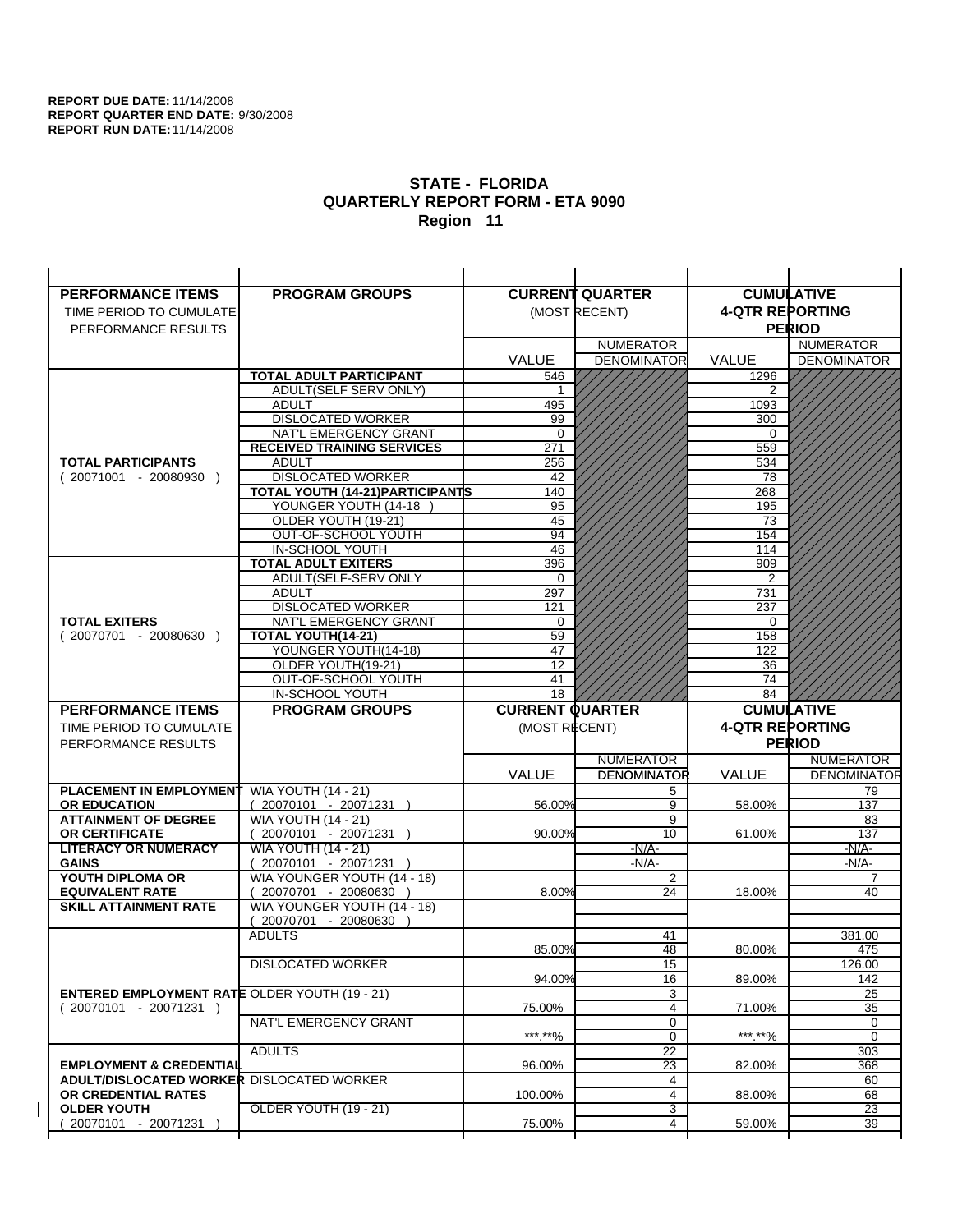| <b>PERFORMANCE ITEMS</b>                             | <b>PROGRAM GROUPS</b>                                |                        | <b>CURRENT QUARTER</b> |                        | <b>CUMULATIVE</b>         |
|------------------------------------------------------|------------------------------------------------------|------------------------|------------------------|------------------------|---------------------------|
| TIME PERIOD TO CUMULATE                              |                                                      |                        | (MOST RECENT)          | <b>4-QTR REPORTING</b> |                           |
| PERFORMANCE RESULTS                                  |                                                      |                        |                        |                        | <b>PERIOD</b>             |
|                                                      |                                                      |                        | <b>NUMERATOR</b>       |                        | <b>NUMERATOR</b>          |
|                                                      |                                                      | <b>VALUE</b>           | <b>DENOMINATOR</b>     | VALUE                  | <b>DENOMINATOR</b>        |
|                                                      | <b>TOTAL ADULT PARTICIPANT</b>                       | 546                    |                        | 1296                   |                           |
|                                                      | <b>ADULT(SELF SERV ONLY)</b>                         | 1                      |                        | 2                      |                           |
|                                                      | <b>ADULT</b>                                         | 495                    |                        | 1093                   |                           |
|                                                      | <b>DISLOCATED WORKER</b>                             | 99                     |                        | 300                    |                           |
|                                                      | NAT'L EMERGENCY GRANT                                | $\Omega$               |                        | $\Omega$               |                           |
|                                                      | <b>RECEIVED TRAINING SERVICES</b>                    | 271                    |                        | 559                    |                           |
| <b>TOTAL PARTICIPANTS</b>                            | <b>ADULT</b>                                         | 256                    |                        | 534                    |                           |
| $(20071001 - 20080930)$                              | <b>DISLOCATED WORKER</b>                             | 42                     |                        | 78                     |                           |
|                                                      | <b>TOTAL YOUTH (14-21) PARTICIPANTS</b>              | 140                    |                        | 268                    |                           |
|                                                      | YOUNGER YOUTH (14-18                                 | 95                     |                        | 195                    |                           |
|                                                      | OLDER YOUTH (19-21)                                  | 45<br>94               |                        | 73<br>154              |                           |
|                                                      | OUT-OF-SCHOOL YOUTH<br>IN-SCHOOL YOUTH               | 46                     |                        | 114                    |                           |
|                                                      | <b>TOTAL ADULT EXITERS</b>                           | 396                    |                        | 909                    |                           |
|                                                      | ADULT(SELF-SERV ONLY                                 | $\Omega$               |                        | 2                      |                           |
|                                                      | <b>ADULT</b>                                         | 297                    |                        | 731                    |                           |
|                                                      | <b>DISLOCATED WORKER</b>                             | 121                    |                        | 237                    |                           |
| <b>TOTAL EXITERS</b>                                 | NAT'L EMERGENCY GRANT                                | 0                      |                        | 0                      |                           |
| $(20070701 - 20080630)$                              | TOTAL YOUTH(14-21)                                   | 59                     |                        | 158                    |                           |
|                                                      | YOUNGER YOUTH(14-18)                                 | 47                     |                        | 122                    |                           |
|                                                      | OLDER YOUTH(19-21)                                   | 12                     |                        | 36                     |                           |
|                                                      | OUT-OF-SCHOOL YOUTH                                  | 41                     |                        | 74                     |                           |
|                                                      | IN-SCHOOL YOUTH                                      | 18                     |                        | 84                     |                           |
|                                                      |                                                      |                        |                        |                        |                           |
| <b>PERFORMANCE ITEMS</b>                             | <b>PROGRAM GROUPS</b>                                | <b>CURRENT QUARTER</b> |                        |                        | <b>CUMULATIVE</b>         |
| TIME PERIOD TO CUMULATE                              |                                                      | (MOST RECENT)          |                        | <b>4-QTR REPORTING</b> |                           |
| PERFORMANCE RESULTS                                  |                                                      |                        |                        |                        | <b>PERIOD</b>             |
|                                                      |                                                      |                        | <b>NUMERATOR</b>       |                        | <b>NUMERATOR</b>          |
|                                                      |                                                      | <b>VALUE</b>           | <b>DENOMINATOR</b>     | <b>VALUE</b>           |                           |
| <b>PLACEMENT IN EMPLOYMENT</b>                       | <b>WIA YOUTH (14 - 21)</b>                           |                        | 5                      |                        | 79                        |
| <b>OR EDUCATION</b>                                  | $(20070101 - 20071231)$                              | 56.00%                 | 9                      | 58.00%                 | <b>DENOMINATOR</b><br>137 |
| <b>ATTAINMENT OF DEGREE</b>                          | <b>WIA YOUTH (14 - 21)</b>                           |                        | 9                      |                        | 83                        |
| <b>OR CERTIFICATE</b>                                | $(20070101 - 20071231)$                              | 90.00%                 | 10                     | 61.00%                 | 137                       |
| <b>LITERACY OR NUMERACY</b>                          | <b>WIA YOUTH (14 - 21)</b>                           |                        | $-N/A-$                |                        | -N/A-                     |
| <b>GAINS</b>                                         | 20070101 - 20071231                                  |                        | $-N/A-$                |                        | $-N/A-$                   |
| YOUTH DIPLOMA OR<br><b>EQUIVALENT RATE</b>           | WIA YOUNGER YOUTH (14 - 18)                          | 8.00%                  | 2<br>24                | 18.00%                 | $\overline{7}$<br>40      |
| <b>SKILL ATTAINMENT RATE</b>                         | 20070701 - 20080630 )<br>WIA YOUNGER YOUTH (14 - 18) |                        |                        |                        |                           |
|                                                      | (20070701 - 20080630                                 |                        |                        |                        |                           |
|                                                      | <b>ADULTS</b>                                        |                        | 41                     |                        | 381.00                    |
|                                                      |                                                      | 85.00%                 | 48                     | 80.00%                 | 475                       |
|                                                      | <b>DISLOCATED WORKER</b>                             |                        | 15                     |                        | 126.00                    |
|                                                      |                                                      | 94.00%                 | 16                     | 89.00%                 | 142                       |
| <b>ENTERED EMPLOYMENT RATE OLDER YOUTH (19 - 21)</b> |                                                      |                        | 3                      |                        | 25                        |
| $(20070101 - 20071231)$                              |                                                      | 75.00%                 | 4                      | 71.00%                 | 35                        |
|                                                      | NAT'L EMERGENCY GRANT                                |                        | 0                      |                        | 0                         |
|                                                      |                                                      | ***.**%                | 0                      | *** **%                | 0                         |
| <b>EMPLOYMENT &amp; CREDENTIAL</b>                   | <b>ADULTS</b>                                        | 96.00%                 | 22                     | 82.00%                 | 303                       |
| <b>ADULT/DISLOCATED WORKER DISLOCATED WORKER</b>     |                                                      |                        | 23<br>4                |                        | 368<br>60                 |
| OR CREDENTIAL RATES                                  |                                                      | 100.00%                | $\overline{4}$         | 88.00%                 | 68                        |
| <b>OLDER YOUTH</b>                                   | OLDER YOUTH (19 - 21)                                |                        | 3                      |                        | $\overline{23}$           |
| 20070101 - 20071231                                  |                                                      | 75.00%                 | 4                      | 59.00%                 | 39                        |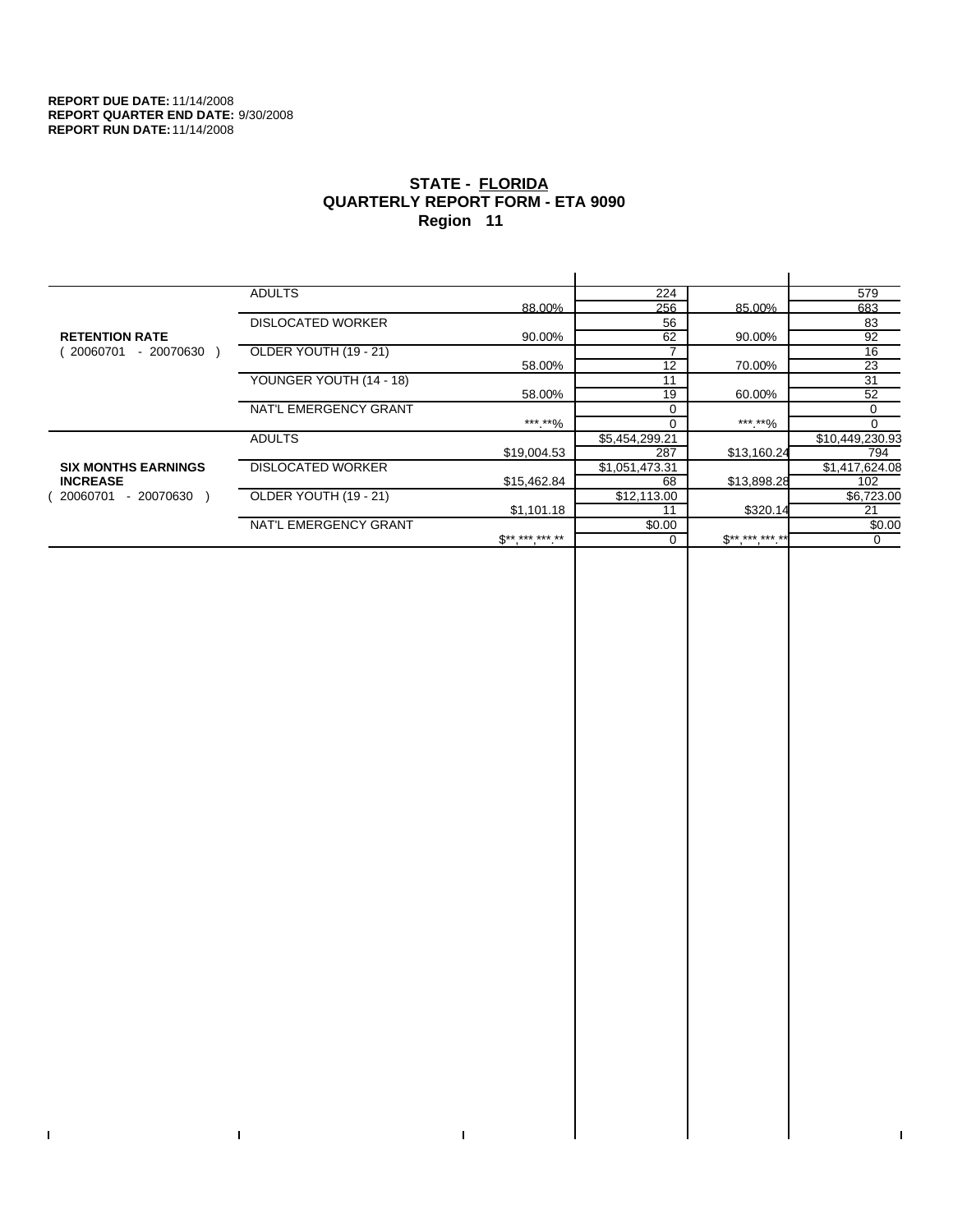$\bar{\Gamma}$ 

 $\Gamma$ 

# **STATE - FLORIDA QUARTERLY REPORT FORM - ETA 9090 Region 11**

|                            | <b>ADULTS</b>            |                     | 224            |                                          | 579             |
|----------------------------|--------------------------|---------------------|----------------|------------------------------------------|-----------------|
|                            |                          | 88.00%              | 256            | 85.00%                                   | 683             |
|                            | <b>DISLOCATED WORKER</b> |                     | 56             |                                          | 83              |
| <b>RETENTION RATE</b>      |                          | 90.00%              | 62             | 90.00%                                   | 92              |
| - 20070630<br>20060701     | OLDER YOUTH (19 - 21)    |                     |                |                                          | 16              |
|                            |                          | 58.00%              | 12             | 70.00%                                   | 23              |
|                            | YOUNGER YOUTH (14 - 18)  |                     | 11             |                                          | 31              |
|                            |                          | 58.00%              | 19             | 60.00%                                   | 52              |
|                            | NAT'L EMERGENCY GRANT    |                     |                |                                          | 0               |
|                            |                          | ***.**%             |                | ***.**%                                  | $\Omega$        |
|                            | <b>ADULTS</b>            |                     | \$5,454,299.21 |                                          | \$10,449,230.93 |
|                            |                          | \$19,004.53         | 287            | \$13,160.24                              | 794             |
| <b>SIX MONTHS EARNINGS</b> | <b>DISLOCATED WORKER</b> |                     | \$1,051,473.31 |                                          | \$1,417,624.08  |
| <b>INCREASE</b>            |                          | \$15,462.84         | 68             | \$13,898.28                              | 102             |
| - 20070630<br>20060701     | OLDER YOUTH (19 - 21)    |                     | \$12,113.00    |                                          | \$6,723.00      |
|                            |                          | \$1,101.18          | 11             | \$320.14                                 | 21              |
|                            | NAT'L EMERGENCY GRANT    |                     | \$0.00         |                                          | \$0.00          |
|                            |                          | $S^{**}$ *** *** ** |                | $\mathfrak{F}^{\star\star}$ , *** *** ** | 0               |
|                            |                          |                     |                |                                          |                 |

 $\bar{\Gamma}$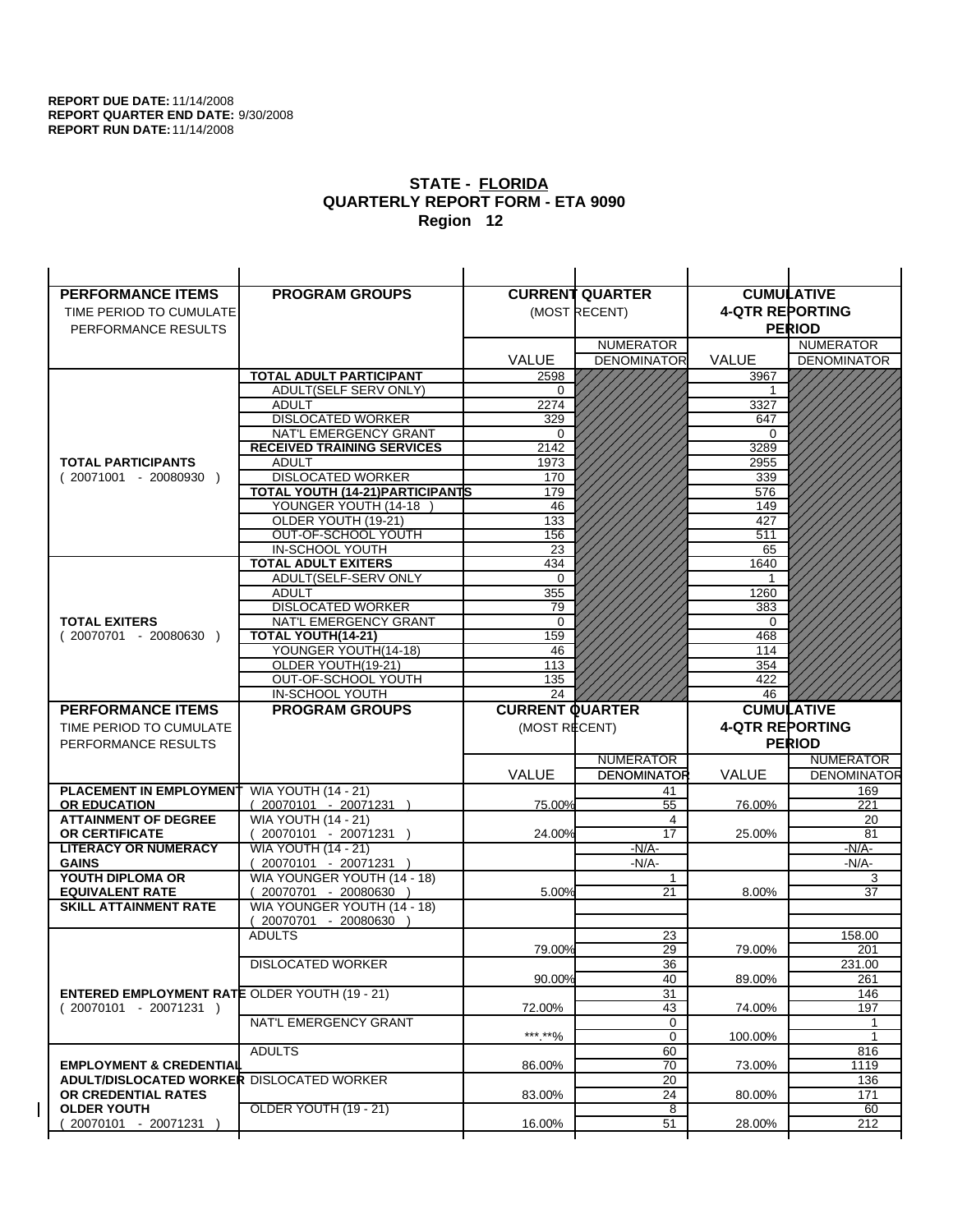| <b>PERFORMANCE ITEMS</b>                                         | <b>PROGRAM GROUPS</b>                                 |                        | <b>CURRENT QUARTER</b> |                        | <b>CUMULATIVE</b>  |
|------------------------------------------------------------------|-------------------------------------------------------|------------------------|------------------------|------------------------|--------------------|
| TIME PERIOD TO CUMULATE                                          |                                                       |                        | (MOST RECENT)          | <b>4-QTR REPORTING</b> |                    |
| PERFORMANCE RESULTS                                              |                                                       |                        |                        |                        | <b>PERIOD</b>      |
|                                                                  |                                                       |                        | <b>NUMERATOR</b>       |                        | <b>NUMERATOR</b>   |
|                                                                  |                                                       | <b>VALUE</b>           | <b>DENOMINATOR</b>     | VALUE                  | <b>DENOMINATOR</b> |
|                                                                  | <b>TOTAL ADULT PARTICIPANT</b>                        | 2598                   |                        | 3967                   |                    |
|                                                                  | ADULT(SELF SERV ONLY)                                 | 0                      |                        | -1                     |                    |
|                                                                  | <b>ADULT</b>                                          | 2274                   |                        | 3327                   |                    |
|                                                                  | <b>DISLOCATED WORKER</b>                              | 329                    |                        | 647                    |                    |
|                                                                  | NAT'L EMERGENCY GRANT                                 | 0                      |                        | 0                      |                    |
|                                                                  | <b>RECEIVED TRAINING SERVICES</b>                     | 2142                   |                        | 3289                   |                    |
| <b>TOTAL PARTICIPANTS</b>                                        | <b>ADULT</b>                                          | 1973                   |                        | 2955                   |                    |
| $(20071001 - 20080930)$                                          | <b>DISLOCATED WORKER</b>                              | 170                    |                        | 339                    |                    |
|                                                                  | TOTAL YOUTH (14-21) PARTICIPANTS                      | 179                    |                        | 576                    |                    |
|                                                                  | YOUNGER YOUTH (14-18<br>OLDER YOUTH (19-21)           | 46<br>133              |                        | 149<br>427             |                    |
|                                                                  | OUT-OF-SCHOOL YOUTH                                   | 156                    |                        | 511                    |                    |
|                                                                  | IN-SCHOOL YOUTH                                       | 23                     |                        | 65                     |                    |
|                                                                  | <b>TOTAL ADULT EXITERS</b>                            | 434                    |                        | 1640                   |                    |
|                                                                  | ADULT(SELF-SERV ONLY                                  | $\Omega$               |                        |                        |                    |
|                                                                  | <b>ADULT</b>                                          | 355                    |                        | 1260                   |                    |
|                                                                  | <b>DISLOCATED WORKER</b>                              | 79                     |                        | 383                    |                    |
| <b>TOTAL EXITERS</b>                                             | NAT'L EMERGENCY GRANT                                 | $\mathbf 0$            |                        | $\mathbf 0$            |                    |
| $(20070701 - 20080630)$                                          | TOTAL YOUTH(14-21)                                    | 159                    |                        | 468                    |                    |
|                                                                  | YOUNGER YOUTH(14-18)                                  | 46                     |                        | 114                    |                    |
|                                                                  | OLDER YOUTH(19-21)<br>OUT-OF-SCHOOL YOUTH             | 113                    |                        | 354<br>422             |                    |
|                                                                  | IN-SCHOOL YOUTH                                       | 135<br>24              |                        | 46                     |                    |
|                                                                  |                                                       |                        |                        |                        |                    |
|                                                                  |                                                       |                        |                        |                        |                    |
| <b>PERFORMANCE ITEMS</b>                                         | <b>PROGRAM GROUPS</b>                                 | <b>CURRENT QUARTER</b> |                        |                        | <b>CUMULATIVE</b>  |
| TIME PERIOD TO CUMULATE                                          |                                                       | (MOST RECENT)          |                        | <b>4-QTR REPORTING</b> |                    |
| PERFORMANCE RESULTS                                              |                                                       |                        |                        |                        | <b>PERIOD</b>      |
|                                                                  |                                                       |                        | <b>NUMERATOR</b>       |                        | <b>NUMERATOR</b>   |
|                                                                  |                                                       | <b>VALUE</b>           | <b>DENOMINATOR</b>     | <b>VALUE</b>           | <b>DENOMINATOR</b> |
| <b>PLACEMENT IN EMPLOYMENT</b><br><b>OR EDUCATION</b>            | <b>WIA YOUTH (14 - 21)</b><br>$(20070101 - 20071231)$ | 75.00%                 | 41<br>$\overline{55}$  | 76.00%                 | 169<br>221         |
| <b>ATTAINMENT OF DEGREE</b>                                      | <b>WIA YOUTH (14 - 21)</b>                            |                        | 4                      |                        | 20                 |
| OR CERTIFICATE                                                   | (20070101 - 20071231 )                                | 24.00%                 | 17                     | 25.00%                 | 81                 |
| <b>LITERACY OR NUMERACY</b>                                      | <b>WIA YOUTH (14 - 21)</b>                            |                        | $-N/A$ -               |                        | -N/A-              |
| <b>GAINS</b>                                                     | 20070101 - 20071231                                   |                        | $-N/A-$                |                        | $-N/A-$            |
| YOUTH DIPLOMA OR                                                 | WIA YOUNGER YOUTH (14 - 18)                           |                        | $\mathbf{1}$           |                        | 3                  |
| <b>EQUIVALENT RATE</b>                                           | $(20070701 - 20080630)$                               | 5.00%                  | 21                     | 8.00%                  | 37                 |
| <b>SKILL ATTAINMENT RATE</b>                                     | WIA YOUNGER YOUTH (14 - 18)                           |                        |                        |                        |                    |
|                                                                  | (20070701 - 20080630                                  |                        |                        |                        |                    |
|                                                                  | <b>ADULTS</b>                                         | 79.00%                 | 23<br>29               | 79.00%                 | 158.00<br>201      |
|                                                                  |                                                       |                        |                        |                        |                    |
|                                                                  | <b>DISLOCATED WORKER</b>                              | 90.00%                 | $\overline{36}$<br>40  | 89.00%                 | 231.00<br>261      |
| <b>ENTERED EMPLOYMENT RATE OLDER YOUTH (19 - 21)</b>             |                                                       |                        | 31                     |                        | 146                |
| $(20070101 - 20071231)$                                          |                                                       | 72.00%                 | 43                     | 74.00%                 | 197                |
|                                                                  | NAT'L EMERGENCY GRANT                                 |                        | 0                      |                        | 1                  |
|                                                                  |                                                       | *** **%                | $\mathbf 0$            | 100.00%                | $\mathbf{1}$       |
|                                                                  | <b>ADULTS</b>                                         |                        | 60                     |                        | 816                |
| <b>EMPLOYMENT &amp; CREDENTIAL</b>                               |                                                       | 86.00%                 | 70                     | 73.00%                 | 1119               |
| ADULT/DISLOCATED WORKER DISLOCATED WORKER<br>OR CREDENTIAL RATES |                                                       | 83.00%                 | 20                     |                        | 136<br>171         |
| <b>OLDER YOUTH</b>                                               | OLDER YOUTH (19 - 21)                                 |                        | 24<br>8                | 80.00%                 | 60                 |
| 20070101 - 20071231                                              |                                                       | 16.00%                 | 51                     | 28.00%                 | 212                |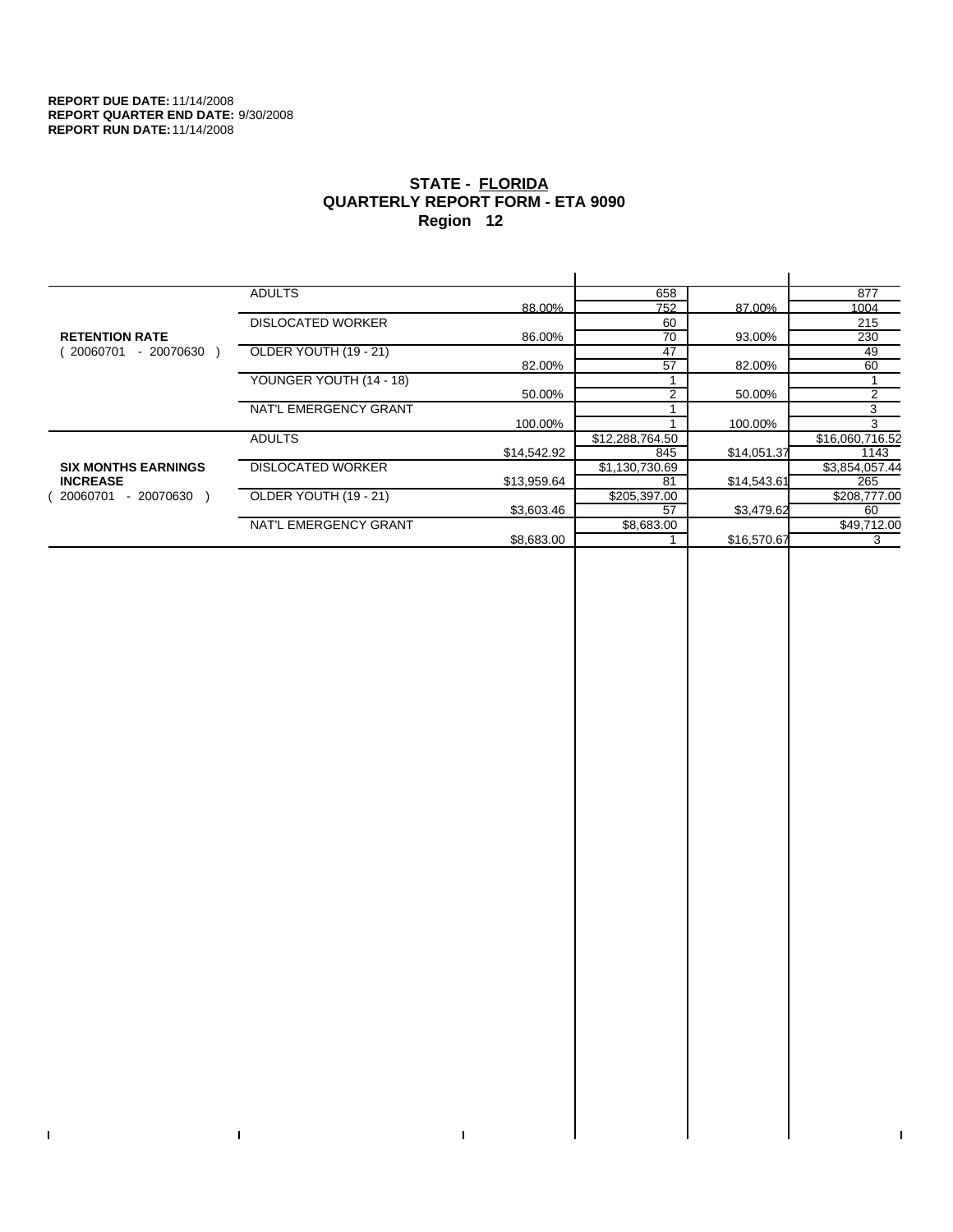$\bar{\Gamma}$ 

 $\mathbf{I}$ 

# **STATE - FLORIDA QUARTERLY REPORT FORM - ETA 9090 Region 12**

|                            | <b>ADULTS</b>            |             | 658             |             | 877             |
|----------------------------|--------------------------|-------------|-----------------|-------------|-----------------|
|                            |                          | 88.00%      | 752             | 87.00%      | 1004            |
|                            | <b>DISLOCATED WORKER</b> |             | 60              |             | 215             |
| <b>RETENTION RATE</b>      |                          | 86.00%      | 70              | 93.00%      | 230             |
| 20060701<br>- 20070630     | OLDER YOUTH (19 - 21)    |             | 47              |             | 49              |
|                            |                          | 82.00%      | 57              | 82.00%      | 60              |
|                            | YOUNGER YOUTH (14 - 18)  |             |                 |             |                 |
|                            |                          | 50.00%      | $\overline{2}$  | 50.00%      | 2               |
|                            | NAT'L EMERGENCY GRANT    |             |                 |             | 3               |
|                            |                          | 100.00%     |                 | 100.00%     | 3               |
|                            | <b>ADULTS</b>            |             | \$12,288,764.50 |             | \$16,060,716.52 |
|                            |                          | \$14,542.92 | 845             | \$14,051.37 | 1143            |
| <b>SIX MONTHS EARNINGS</b> | <b>DISLOCATED WORKER</b> |             | \$1,130,730.69  |             | \$3,854,057.44  |
| <b>INCREASE</b>            |                          | \$13,959.64 | 81              | \$14,543.61 | 265             |
| 20060701<br>$-20070630$    | OLDER YOUTH (19 - 21)    |             | \$205,397.00    |             | \$208,777.00    |
|                            |                          | \$3,603.46  | 57              | \$3,479.62  | 60              |
|                            | NAT'L EMERGENCY GRANT    |             | \$8,683.00      |             | \$49,712.00     |
|                            |                          | \$8,683.00  |                 | \$16,570.67 | 3               |
|                            |                          |             |                 |             |                 |

 $\bar{\Gamma}$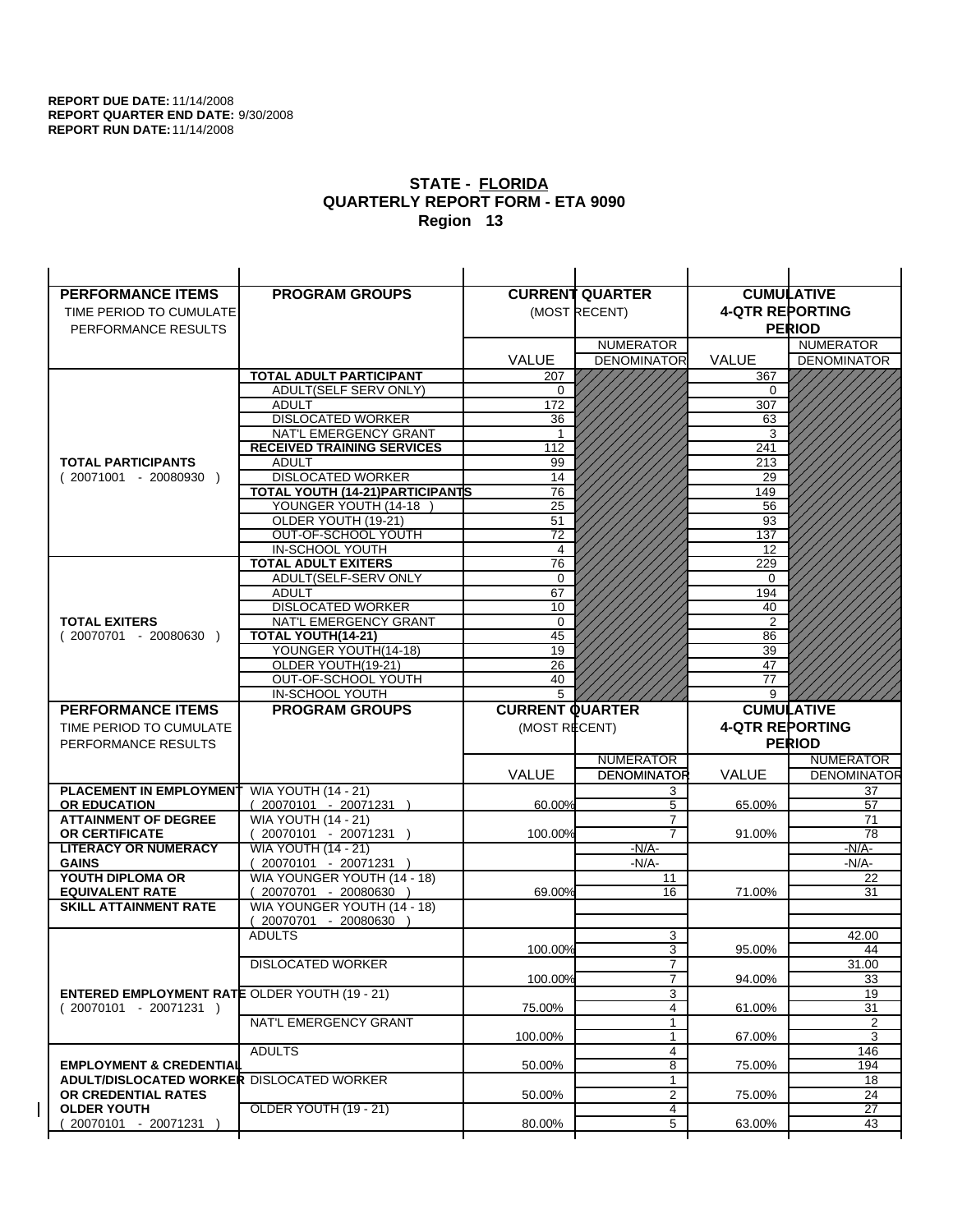| <b>PERFORMANCE ITEMS</b>                             | <b>PROGRAM GROUPS</b>                              |                        | <b>CURRENT QUARTER</b> |                        | <b>CUMULATIVE</b>     |
|------------------------------------------------------|----------------------------------------------------|------------------------|------------------------|------------------------|-----------------------|
| TIME PERIOD TO CUMULATE                              |                                                    |                        | (MOST RECENT)          | <b>4-QTR REPORTING</b> |                       |
| PERFORMANCE RESULTS                                  |                                                    |                        |                        |                        | <b>PERIOD</b>         |
|                                                      |                                                    |                        | <b>NUMERATOR</b>       |                        | <b>NUMERATOR</b>      |
|                                                      |                                                    | <b>VALUE</b>           | <b>DENOMINATOR</b>     | VALUE                  | <b>DENOMINATOR</b>    |
|                                                      | <b>TOTAL ADULT PARTICIPANT</b>                     | 207                    |                        | 367                    |                       |
|                                                      | <b>ADULT(SELF SERV ONLY)</b>                       | 0                      |                        | 0                      |                       |
|                                                      | <b>ADULT</b>                                       | 172                    |                        | 307                    |                       |
|                                                      | <b>DISLOCATED WORKER</b>                           | 36                     |                        | 63                     |                       |
|                                                      | NAT'L EMERGENCY GRANT                              |                        |                        | 3                      |                       |
|                                                      | <b>RECEIVED TRAINING SERVICES</b>                  | 112                    |                        | 241                    |                       |
| <b>TOTAL PARTICIPANTS</b>                            | <b>ADULT</b>                                       | 99                     |                        | 213                    |                       |
| $(20071001 - 20080930)$                              | <b>DISLOCATED WORKER</b>                           | 14                     |                        | 29                     |                       |
|                                                      | <b>TOTAL YOUTH (14-21) PARTICIPANTS</b>            | 76                     |                        | 149                    |                       |
|                                                      | YOUNGER YOUTH (14-18                               | 25                     |                        | 56                     |                       |
|                                                      | OLDER YOUTH (19-21)<br>OUT-OF-SCHOOL YOUTH         | 51<br>$\overline{72}$  |                        | 93<br>137              |                       |
|                                                      | IN-SCHOOL YOUTH                                    | $\overline{4}$         |                        | 12                     |                       |
|                                                      | <b>TOTAL ADULT EXITERS</b>                         | 76                     |                        | 229                    |                       |
|                                                      | ADULT(SELF-SERV ONLY                               | $\mathbf 0$            |                        | 0                      |                       |
|                                                      | <b>ADULT</b>                                       | 67                     |                        | 194                    |                       |
|                                                      | <b>DISLOCATED WORKER</b>                           | 10                     |                        | 40                     |                       |
| <b>TOTAL EXITERS</b>                                 | NAT'L EMERGENCY GRANT                              | $\mathbf 0$            |                        | 2                      |                       |
| $(20070701 - 20080630)$                              | TOTAL YOUTH(14-21)                                 | 45                     |                        | 86                     |                       |
|                                                      | YOUNGER YOUTH(14-18)                               | 19                     |                        | 39                     |                       |
|                                                      | OLDER YOUTH(19-21)                                 | 26                     |                        | 47                     |                       |
|                                                      | OUT-OF-SCHOOL YOUTH                                | 40                     |                        | 77                     |                       |
|                                                      | IN-SCHOOL YOUTH                                    | 5                      |                        | 9                      |                       |
|                                                      |                                                    |                        |                        |                        |                       |
| <b>PERFORMANCE ITEMS</b>                             | <b>PROGRAM GROUPS</b>                              | <b>CURRENT QUARTER</b> |                        |                        | <b>CUMULATIVE</b>     |
| TIME PERIOD TO CUMULATE                              |                                                    | (MOST RECENT)          |                        | <b>4-QTR REPORTING</b> |                       |
| PERFORMANCE RESULTS                                  |                                                    |                        |                        |                        | <b>PERIOD</b>         |
|                                                      |                                                    |                        | <b>NUMERATOR</b>       |                        | <b>NUMERATOR</b>      |
|                                                      |                                                    | <b>VALUE</b>           | <b>DENOMINATOR</b>     | <b>VALUE</b>           | <b>DENOMINATOR</b>    |
| <b>PLACEMENT IN EMPLOYMENT</b>                       | <b>WIA YOUTH (14 - 21)</b>                         |                        | 3                      |                        | 37                    |
| <b>OR EDUCATION</b>                                  | $(20070101 - 20071231)$                            | 60.00%                 | 5                      | 65.00%                 | 57                    |
| <b>ATTAINMENT OF DEGREE</b>                          | <b>WIA YOUTH (14 - 21)</b>                         |                        | $\overline{7}$         |                        | 71                    |
| <b>OR CERTIFICATE</b>                                | $(20070101 - 20071231)$                            | 100.00%                | $\overline{7}$         | 91.00%                 | 78                    |
| <b>LITERACY OR NUMERACY</b><br><b>GAINS</b>          | <b>WIA YOUTH (14 - 21)</b>                         |                        | $-N/A$ -<br>$-N/A-$    |                        | -N/A-<br>$-N/A-$      |
| YOUTH DIPLOMA OR                                     | 20070101 - 20071231<br>WIA YOUNGER YOUTH (14 - 18) |                        | 11                     |                        | 22                    |
| <b>EQUIVALENT RATE</b>                               | 20070701 - 20080630 )                              | 69.00%                 | 16                     | 71.00%                 | 31                    |
| <b>SKILL ATTAINMENT RATE</b>                         | WIA YOUNGER YOUTH (14 - 18)                        |                        |                        |                        |                       |
|                                                      | (20070701 - 20080630                               |                        |                        |                        |                       |
|                                                      | <b>ADULTS</b>                                      |                        | 3                      |                        | 42.00                 |
|                                                      |                                                    | 100.00%                | 3                      | 95.00%                 | 44                    |
|                                                      | <b>DISLOCATED WORKER</b>                           |                        | $\overline{7}$         |                        | 31.00                 |
|                                                      |                                                    | 100.00%                | $\overline{7}$         | 94.00%                 | 33                    |
| <b>ENTERED EMPLOYMENT RATE OLDER YOUTH (19 - 21)</b> |                                                    |                        | 3                      |                        | 19                    |
| $(20070101 - 20071231)$                              |                                                    | 75.00%                 | 4<br>$\mathbf{1}$      | 61.00%                 | 31                    |
|                                                      | NAT'L EMERGENCY GRANT                              | 100.00%                | 1                      |                        | 2<br>3                |
|                                                      | <b>ADULTS</b>                                      |                        | 4                      | 67.00%                 | 146                   |
| <b>EMPLOYMENT &amp; CREDENTIAL</b>                   |                                                    | 50.00%                 | 8                      | 75.00%                 | 194                   |
| <b>ADULT/DISLOCATED WORKER DISLOCATED WORKER</b>     |                                                    |                        | 1                      |                        | 18                    |
| OR CREDENTIAL RATES                                  |                                                    | 50.00%                 | $\overline{2}$         | 75.00%                 | 24                    |
| <b>OLDER YOUTH</b><br>20070101 - 20071231            | OLDER YOUTH (19 - 21)                              | 80.00%                 | 4<br>5                 | 63.00%                 | $\overline{27}$<br>43 |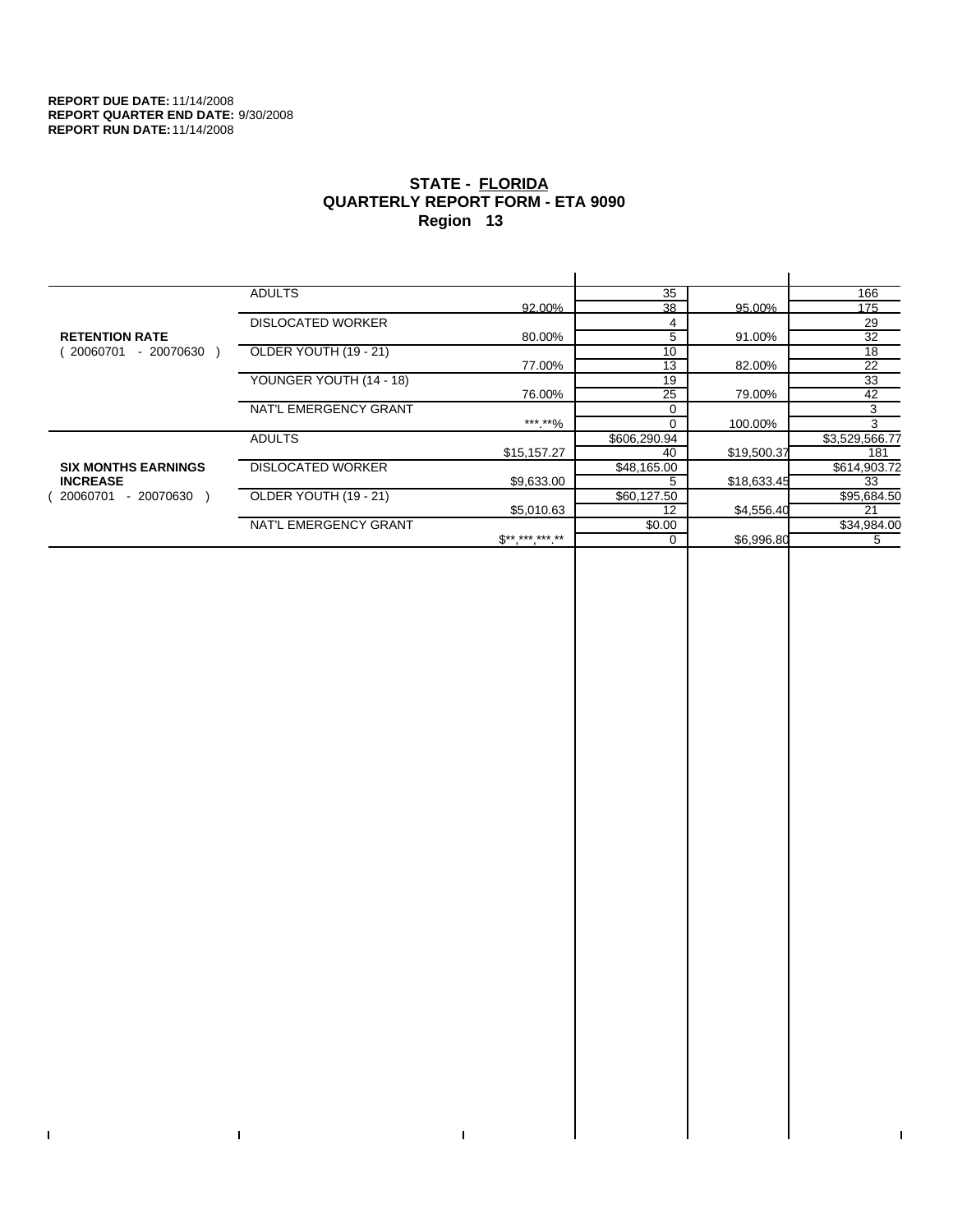$\bar{\Gamma}$ 

 $\Gamma$ 

# **STATE - FLORIDA QUARTERLY REPORT FORM - ETA 9090 Region 13**

|                            | <b>ADULTS</b>            |              | 35           |             | 166            |
|----------------------------|--------------------------|--------------|--------------|-------------|----------------|
|                            |                          | 92.00%       | 38           | 95.00%      | 175            |
|                            | <b>DISLOCATED WORKER</b> |              | 4            |             | 29             |
| <b>RETENTION RATE</b>      |                          | 80.00%       | 5            | 91.00%      | 32             |
| - 20070630<br>20060701     | OLDER YOUTH (19 - 21)    |              | 10           |             | 18             |
|                            |                          | 77.00%       | 13           | 82.00%      | 22             |
|                            | YOUNGER YOUTH (14 - 18)  |              | 19           |             | 33             |
|                            |                          | 76.00%       | 25           | 79.00%      | 42             |
|                            | NAT'L EMERGENCY GRANT    |              |              |             | 3              |
|                            |                          | ***.**%      |              | 100.00%     | 3              |
|                            | <b>ADULTS</b>            |              | \$606,290.94 |             | \$3,529,566.77 |
|                            |                          | \$15,157.27  | 40           | \$19,500.37 | 181            |
| <b>SIX MONTHS EARNINGS</b> | <b>DISLOCATED WORKER</b> |              | \$48,165.00  |             | \$614,903.72   |
| <b>INCREASE</b>            |                          | \$9,633.00   |              | \$18,633.45 | 33             |
| $-20070630$<br>20060701    | OLDER YOUTH (19 - 21)    |              | \$60,127.50  |             | \$95,684.50    |
|                            |                          | \$5,010.63   | 12           | \$4,556.40  | 21             |
|                            | NAT'L EMERGENCY GRANT    |              | \$0.00       |             | \$34,984.00    |
|                            |                          | $S*********$ | $\Omega$     | \$6,996.80  | 5              |
|                            |                          |              |              |             |                |

 $\bar{\Gamma}$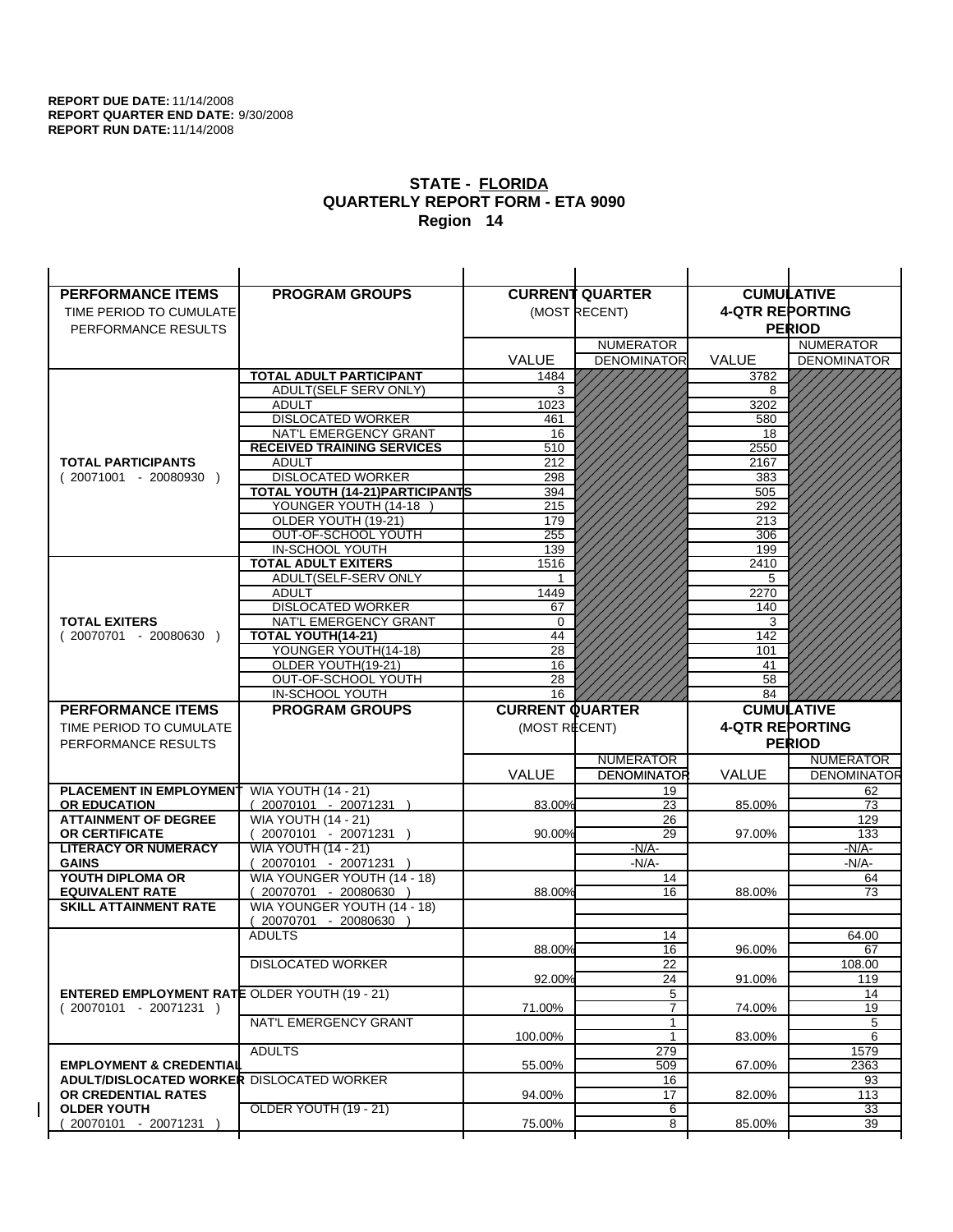| <b>PERFORMANCE ITEMS</b>                              | <b>PROGRAM GROUPS</b>                                 |                        | <b>CURRENT QUARTER</b> |                        | <b>CUMULATIVE</b>  |
|-------------------------------------------------------|-------------------------------------------------------|------------------------|------------------------|------------------------|--------------------|
| TIME PERIOD TO CUMULATE                               |                                                       |                        | (MOST RECENT)          | <b>4-QTR REPORTING</b> |                    |
| PERFORMANCE RESULTS                                   |                                                       |                        |                        |                        | <b>PERIOD</b>      |
|                                                       |                                                       |                        | <b>NUMERATOR</b>       |                        | <b>NUMERATOR</b>   |
|                                                       |                                                       | <b>VALUE</b>           | <b>DENOMINATOR</b>     | VALUE                  | <b>DENOMINATOR</b> |
|                                                       | <b>TOTAL ADULT PARTICIPANT</b>                        | 1484                   |                        | 3782                   |                    |
|                                                       | ADULT(SELF SERV ONLY)                                 | 3                      |                        | 8                      |                    |
|                                                       | <b>ADULT</b>                                          | 1023                   |                        | 3202                   |                    |
|                                                       | <b>DISLOCATED WORKER</b>                              | 461                    |                        | 580                    |                    |
|                                                       | NAT'L EMERGENCY GRANT                                 | 16                     |                        | 18                     |                    |
|                                                       | <b>RECEIVED TRAINING SERVICES</b>                     | 510                    |                        | 2550                   |                    |
| <b>TOTAL PARTICIPANTS</b>                             | <b>ADULT</b>                                          | 212                    |                        | 2167                   |                    |
| $(20071001 - 20080930)$                               | <b>DISLOCATED WORKER</b>                              | 298                    |                        | 383                    |                    |
|                                                       | TOTAL YOUTH (14-21) PARTICIPANTS                      | 394                    |                        | 505                    |                    |
|                                                       | YOUNGER YOUTH (14-18<br>OLDER YOUTH (19-21)           | 215<br>179             |                        | 292<br>213             |                    |
|                                                       | OUT-OF-SCHOOL YOUTH                                   | 255                    |                        | 306                    |                    |
|                                                       | IN-SCHOOL YOUTH                                       | 139                    |                        | 199                    |                    |
|                                                       | <b>TOTAL ADULT EXITERS</b>                            | 1516                   |                        | 2410                   |                    |
|                                                       | ADULT(SELF-SERV ONLY                                  |                        |                        | 5                      |                    |
|                                                       | <b>ADULT</b>                                          | 1449                   |                        | 2270                   |                    |
|                                                       | <b>DISLOCATED WORKER</b>                              | 67                     |                        | 140                    |                    |
| <b>TOTAL EXITERS</b>                                  | NAT'L EMERGENCY GRANT                                 | $\mathbf 0$            |                        | 3                      |                    |
| $(20070701 - 20080630)$                               | TOTAL YOUTH(14-21)                                    | 44                     |                        | 142                    |                    |
|                                                       | YOUNGER YOUTH(14-18)                                  | 28                     |                        | 101                    |                    |
|                                                       | OLDER YOUTH(19-21)<br>OUT-OF-SCHOOL YOUTH             | 16<br>28               |                        | 41<br>58               |                    |
|                                                       | IN-SCHOOL YOUTH                                       | 16                     |                        | 84                     |                    |
|                                                       |                                                       |                        |                        |                        |                    |
|                                                       |                                                       |                        |                        |                        |                    |
| <b>PERFORMANCE ITEMS</b>                              | <b>PROGRAM GROUPS</b>                                 | <b>CURRENT QUARTER</b> |                        |                        | <b>CUMULATIVE</b>  |
| TIME PERIOD TO CUMULATE                               |                                                       | (MOST RECENT)          |                        | <b>4-QTR REPORTING</b> |                    |
| PERFORMANCE RESULTS                                   |                                                       |                        |                        |                        | <b>PERIOD</b>      |
|                                                       |                                                       |                        | <b>NUMERATOR</b>       |                        | <b>NUMERATOR</b>   |
|                                                       |                                                       | <b>VALUE</b>           | <b>DENOMINATOR</b>     | <b>VALUE</b>           | <b>DENOMINATOR</b> |
| <b>PLACEMENT IN EMPLOYMENT</b><br><b>OR EDUCATION</b> | <b>WIA YOUTH (14 - 21)</b><br>$(20070101 - 20071231)$ | 83.00%                 | 19<br>23               | 85.00%                 | 62<br>73           |
| <b>ATTAINMENT OF DEGREE</b>                           | <b>WIA YOUTH (14 - 21)</b>                            |                        | 26                     |                        | 129                |
| OR CERTIFICATE                                        | (20070101 - 20071231 )                                | 90.00%                 | 29                     | 97.00%                 | 133                |
| <b>LITERACY OR NUMERACY</b>                           | <b>WIA YOUTH (14 - 21)</b>                            |                        | $-N/A$ -               |                        | -N/A-              |
| <b>GAINS</b>                                          | 20070101 - 20071231                                   |                        | $-N/A-$                |                        | $-N/A-$            |
| YOUTH DIPLOMA OR                                      | WIA YOUNGER YOUTH (14 - 18)                           |                        | 14                     |                        | 64                 |
| <b>EQUIVALENT RATE</b>                                | $(20070701 - 20080630)$                               | 88.00%                 | 16                     | 88.00%                 | 73                 |
| <b>SKILL ATTAINMENT RATE</b>                          | WIA YOUNGER YOUTH (14 - 18)                           |                        |                        |                        |                    |
|                                                       | (20070701 - 20080630                                  |                        |                        |                        |                    |
|                                                       | <b>ADULTS</b>                                         |                        | 14<br>16               |                        | 64.00<br>67        |
|                                                       |                                                       | 88.00%                 |                        | 96.00%                 | 108.00             |
|                                                       | <b>DISLOCATED WORKER</b>                              | 92.00%                 | $\overline{22}$<br>24  | 91.00%                 | 119                |
| <b>ENTERED EMPLOYMENT RATE OLDER YOUTH (19 - 21)</b>  |                                                       |                        | 5                      |                        | 14                 |
| $(20070101 - 20071231)$                               |                                                       | 71.00%                 | $\overline{7}$         | 74.00%                 | 19                 |
|                                                       | NAT'L EMERGENCY GRANT                                 |                        | 1                      |                        | 5                  |
|                                                       |                                                       | 100.00%                | $\mathbf{1}$           | 83.00%                 | 6                  |
|                                                       | <b>ADULTS</b>                                         |                        | 279                    |                        | 1579               |
| <b>EMPLOYMENT &amp; CREDENTIAL</b>                    |                                                       | 55.00%                 | 509                    | 67.00%                 | 2363               |
| ADULT/DISLOCATED WORKER DISLOCATED WORKER             |                                                       |                        | 16                     |                        | 93                 |
| OR CREDENTIAL RATES<br><b>OLDER YOUTH</b>             | OLDER YOUTH (19 - 21)                                 | 94.00%                 | 17<br>6                | 82.00%                 | 113<br>33          |
| 20070101 - 20071231                                   |                                                       | 75.00%                 | 8                      | 85.00%                 | 39                 |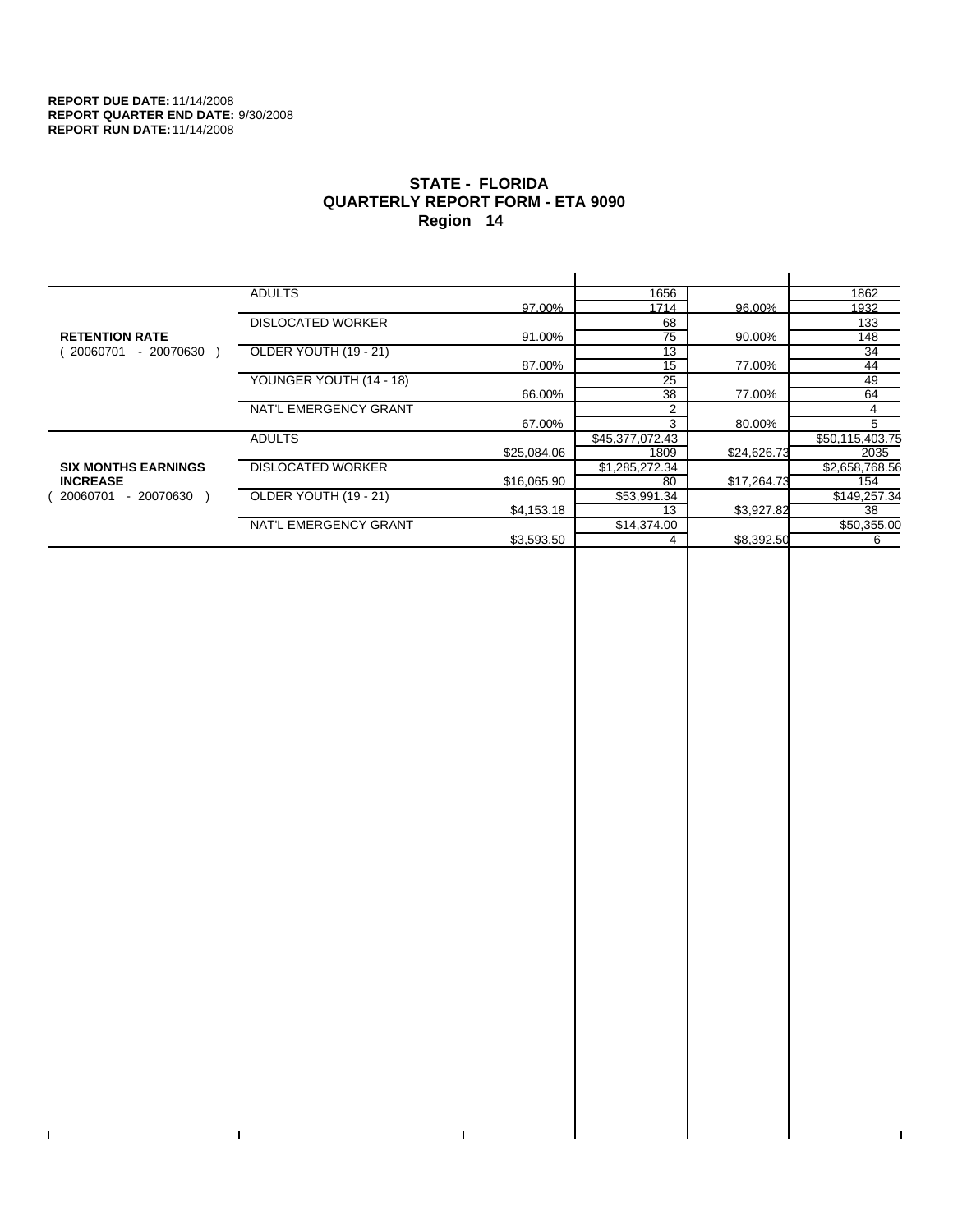$\bar{\Gamma}$ 

 $\Gamma$ 

# **STATE - FLORIDA QUARTERLY REPORT FORM - ETA 9090 Region 14**

|                            | <b>ADULTS</b>            |             | 1656            |             | 1862            |
|----------------------------|--------------------------|-------------|-----------------|-------------|-----------------|
|                            |                          | 97.00%      | 1714            | 96.00%      | 1932            |
|                            | <b>DISLOCATED WORKER</b> |             | 68              |             | 133             |
| <b>RETENTION RATE</b>      |                          | 91.00%      | 75              | 90.00%      | 148             |
| - 20070630<br>20060701     | OLDER YOUTH (19 - 21)    |             | 13              |             | 34              |
|                            |                          | 87.00%      | 15              | 77.00%      | 44              |
|                            | YOUNGER YOUTH (14 - 18)  |             | 25              |             | 49              |
|                            |                          | 66.00%      | 38              | 77.00%      | 64              |
|                            | NAT'L EMERGENCY GRANT    |             |                 |             | 4               |
|                            |                          | 67.00%      | 3               | 80.00%      | 5               |
|                            | <b>ADULTS</b>            |             | \$45,377,072.43 |             | \$50,115,403.75 |
|                            |                          | \$25,084.06 | 1809            | \$24,626.73 | 2035            |
| <b>SIX MONTHS EARNINGS</b> | <b>DISLOCATED WORKER</b> |             | \$1,285,272.34  |             | \$2,658,768.56  |
| <b>INCREASE</b>            |                          | \$16,065.90 | 80              | \$17,264.73 | 154             |
| $-20070630$<br>20060701    | OLDER YOUTH (19 - 21)    |             | \$53,991.34     |             | \$149,257.34    |
|                            |                          | \$4,153.18  | 13              | \$3,927.82  | 38              |
|                            | NAT'L EMERGENCY GRANT    |             | \$14,374.00     |             | \$50,355.00     |
|                            |                          | \$3,593.50  |                 | \$8,392.50  | 6               |
|                            |                          |             |                 |             |                 |

 $\bar{\Gamma}$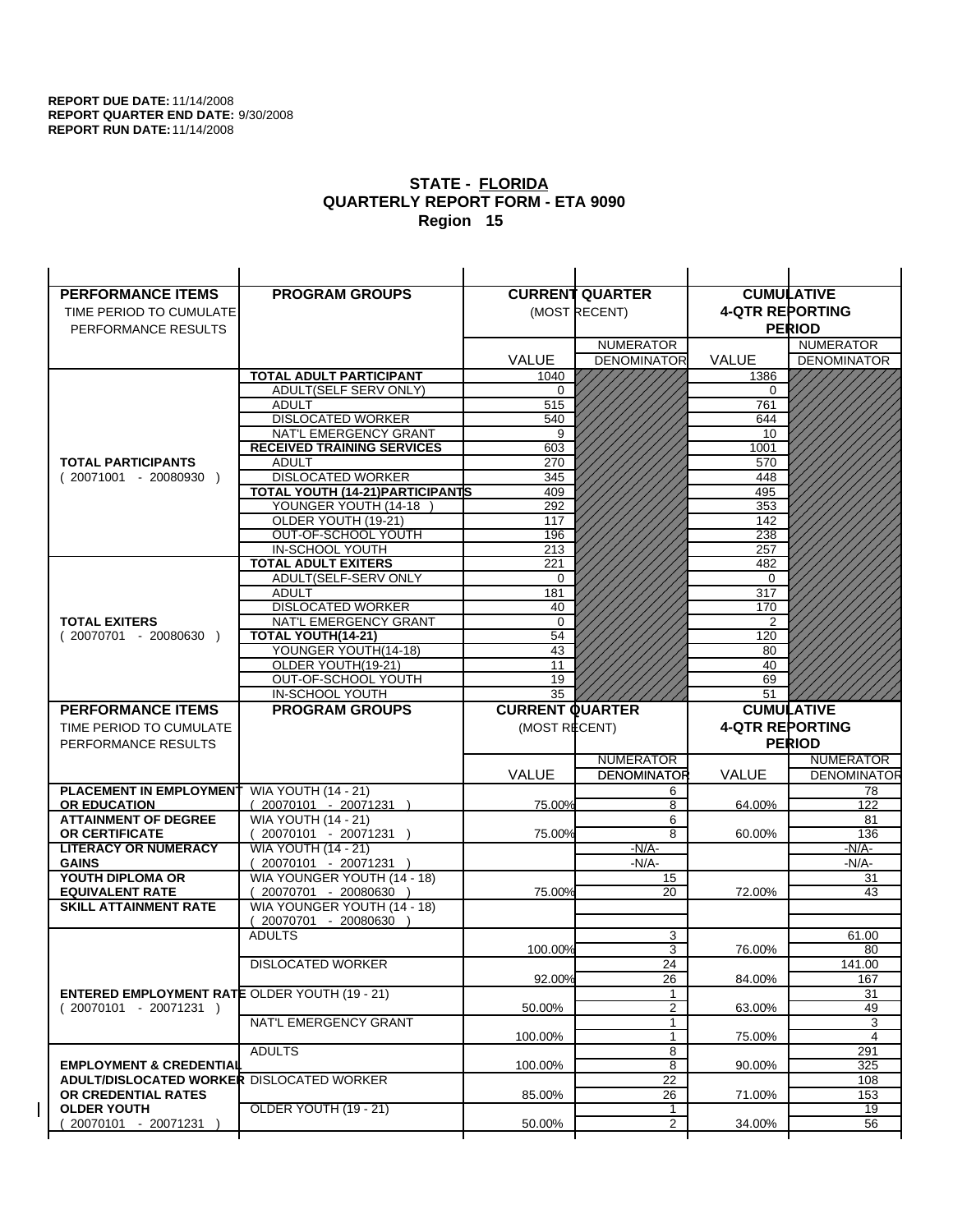| <b>PERFORMANCE ITEMS</b>                             | <b>PROGRAM GROUPS</b>                         |                        | <b>CURRENT QUARTER</b> |                        | <b>CUMULATIVE</b>  |
|------------------------------------------------------|-----------------------------------------------|------------------------|------------------------|------------------------|--------------------|
| TIME PERIOD TO CUMULATE                              |                                               |                        | (MOST RECENT)          | <b>4-QTR REPORTING</b> |                    |
| PERFORMANCE RESULTS                                  |                                               |                        |                        |                        | <b>PERIOD</b>      |
|                                                      |                                               |                        | <b>NUMERATOR</b>       |                        | <b>NUMERATOR</b>   |
|                                                      |                                               | <b>VALUE</b>           | <b>DENOMINATOR</b>     | VALUE                  | <b>DENOMINATOR</b> |
|                                                      | <b>TOTAL ADULT PARTICIPANT</b>                | 1040                   |                        | 1386                   |                    |
|                                                      | ADULT(SELF SERV ONLY)                         | 0                      |                        | 0                      |                    |
|                                                      | <b>ADULT</b>                                  | 515                    |                        | 761                    |                    |
|                                                      | <b>DISLOCATED WORKER</b>                      | 540                    |                        | 644                    |                    |
|                                                      | NAT'L EMERGENCY GRANT                         | 9                      |                        | 10                     |                    |
|                                                      | <b>RECEIVED TRAINING SERVICES</b>             | 603                    |                        | 1001                   |                    |
| <b>TOTAL PARTICIPANTS</b>                            | <b>ADULT</b>                                  | 270                    |                        | 570                    |                    |
| $(20071001 - 20080930)$                              | <b>DISLOCATED WORKER</b>                      | 345                    |                        | 448                    |                    |
|                                                      | <b>TOTAL YOUTH (14-21) PARTICIPANTS</b>       | 409                    |                        | 495                    |                    |
|                                                      | YOUNGER YOUTH (14-18                          | 292                    |                        | 353                    |                    |
|                                                      | OLDER YOUTH (19-21)                           | 117                    |                        | 142                    |                    |
|                                                      | OUT-OF-SCHOOL YOUTH                           | 196                    |                        | 238                    |                    |
|                                                      | IN-SCHOOL YOUTH<br><b>TOTAL ADULT EXITERS</b> | 213<br>221             |                        | 257<br>482             |                    |
|                                                      | ADULT(SELF-SERV ONLY                          | $\Omega$               |                        | 0                      |                    |
|                                                      | <b>ADULT</b>                                  | 181                    |                        | 317                    |                    |
|                                                      | <b>DISLOCATED WORKER</b>                      | 40                     |                        | 170                    |                    |
| <b>TOTAL EXITERS</b>                                 | <b>NAT'L EMERGENCY GRANT</b>                  | $\mathbf 0$            |                        | 2                      |                    |
| $(20070701 - 20080630)$                              | <b>TOTAL YOUTH(14-21)</b>                     | 54                     |                        | 120                    |                    |
|                                                      | YOUNGER YOUTH(14-18)                          | 43                     |                        | 80                     |                    |
|                                                      | OLDER YOUTH(19-21)                            | 11                     |                        | 40                     |                    |
|                                                      | OUT-OF-SCHOOL YOUTH                           | 19                     |                        | 69                     |                    |
|                                                      | IN-SCHOOL YOUTH                               | $\overline{35}$        |                        | 51                     |                    |
|                                                      |                                               |                        |                        |                        |                    |
| <b>PERFORMANCE ITEMS</b>                             | <b>PROGRAM GROUPS</b>                         | <b>CURRENT QUARTER</b> |                        |                        | <b>CUMULATIVE</b>  |
| TIME PERIOD TO CUMULATE                              |                                               | (MOST RECENT)          |                        | <b>4-QTR REPORTING</b> |                    |
| PERFORMANCE RESULTS                                  |                                               |                        |                        |                        | <b>PERIOD</b>      |
|                                                      |                                               |                        | <b>NUMERATOR</b>       |                        | <b>NUMERATOR</b>   |
|                                                      |                                               | <b>VALUE</b>           | <b>DENOMINATOR</b>     | <b>VALUE</b>           | <b>DENOMINATOR</b> |
| <b>PLACEMENT IN EMPLOYMENT</b>                       | <b>WIA YOUTH (14 - 21)</b>                    |                        | 6                      |                        | 78                 |
| <b>OR EDUCATION</b>                                  | $(20070101 - 20071231)$                       | 75.00%                 | 8                      | 64.00%                 | 122                |
| <b>ATTAINMENT OF DEGREE</b>                          | <b>WIA YOUTH (14 - 21)</b>                    |                        | 6                      |                        | 81                 |
| <b>OR CERTIFICATE</b>                                | $(20070101 - 20071231)$                       | 75.00%                 | 8                      | 60.00%                 | 136                |
| <b>LITERACY OR NUMERACY</b>                          | <b>WIA YOUTH (14 - 21)</b>                    |                        | -N/A-                  |                        | -N/A-              |
| <b>GAINS</b>                                         | 20070101 - 20071231                           |                        | $-N/A-$                |                        | $-N/A-$            |
| YOUTH DIPLOMA OR                                     | WIA YOUNGER YOUTH (14 - 18)                   |                        | 15                     |                        | 31                 |
| <b>EQUIVALENT RATE</b>                               | 20070701 - 20080630 )                         | 75.00%                 | 20                     | 72.00%                 | 43                 |
| <b>SKILL ATTAINMENT RATE</b>                         | WIA YOUNGER YOUTH (14 - 18)                   |                        |                        |                        |                    |
|                                                      | (20070701 - 20080630<br><b>ADULTS</b>         |                        | 3                      |                        | 61.00              |
|                                                      |                                               | 100.00%                | 3                      | 76.00%                 | 80                 |
|                                                      | <b>DISLOCATED WORKER</b>                      |                        | $\overline{24}$        |                        | 141.00             |
|                                                      |                                               | 92.00%                 | 26                     | 84.00%                 | 167                |
| <b>ENTERED EMPLOYMENT RATE OLDER YOUTH (19 - 21)</b> |                                               |                        | 1                      |                        | 31                 |
| $(20070101 - 20071231)$                              |                                               | 50.00%                 | $\overline{2}$         | 63.00%                 | 49                 |
|                                                      | NAT'L EMERGENCY GRANT                         |                        | $\mathbf{1}$           |                        | 3                  |
|                                                      |                                               | 100.00%                | $\mathbf{1}$           | 75.00%                 | 4                  |
|                                                      | <b>ADULTS</b>                                 |                        | 8                      |                        | 291                |
| <b>EMPLOYMENT &amp; CREDENTIAL</b>                   |                                               | 100.00%                | 8                      | 90.00%                 | 325                |
| <b>ADULT/DISLOCATED WORKER DISLOCATED WORKER</b>     |                                               |                        | 22                     |                        | 108                |
| OR CREDENTIAL RATES                                  |                                               | 85.00%                 | 26                     | 71.00%                 | 153                |
| <b>OLDER YOUTH</b><br>20070101 - 20071231            | OLDER YOUTH (19 - 21)                         | 50.00%                 | 1<br>$\overline{2}$    | 34.00%                 | 19<br>56           |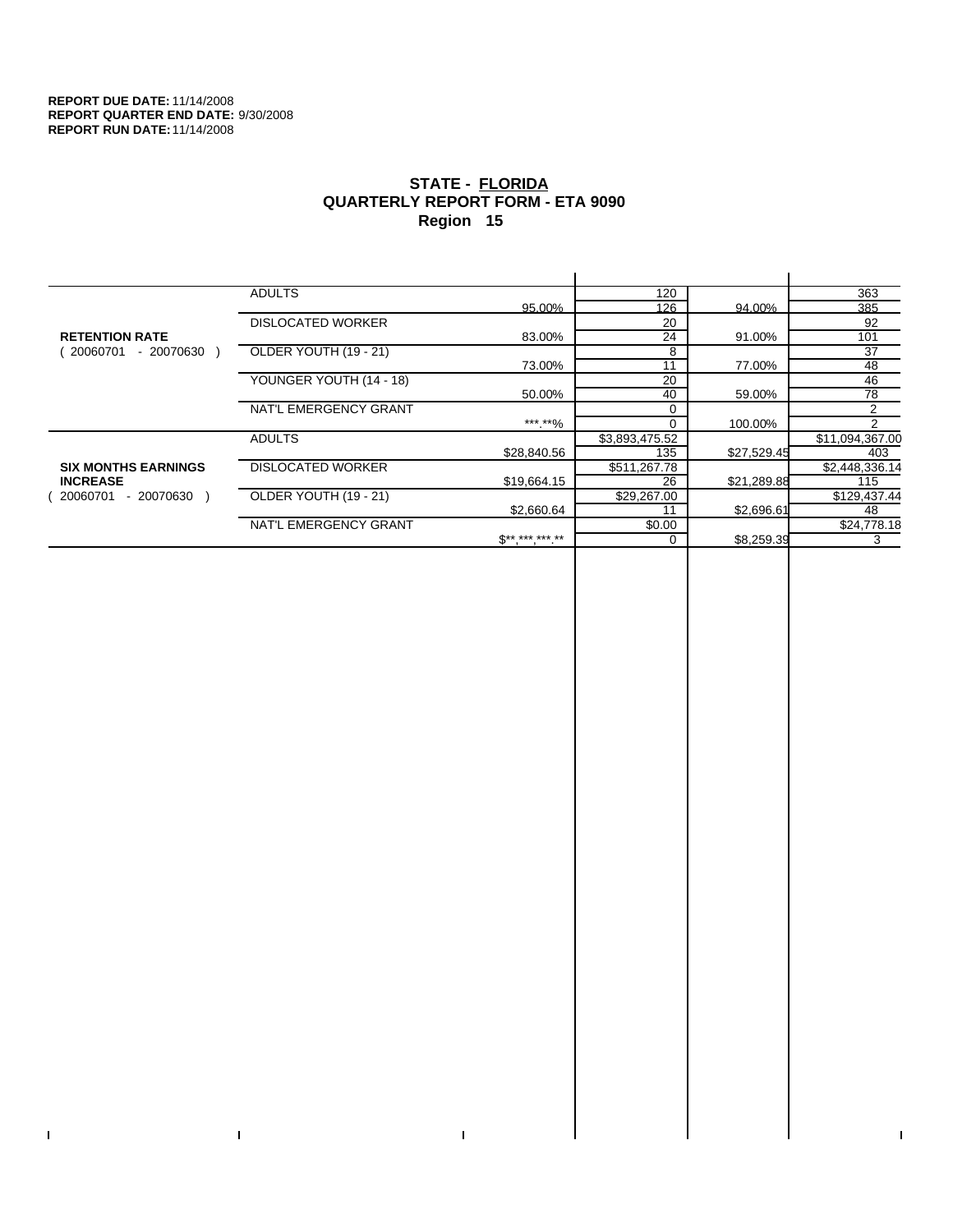$\bar{\Gamma}$ 

 $\Gamma$ 

# **STATE - FLORIDA QUARTERLY REPORT FORM - ETA 9090 Region 15**

|                            | <b>ADULTS</b>            |                              | 120            |             | 363             |
|----------------------------|--------------------------|------------------------------|----------------|-------------|-----------------|
|                            |                          | 95.00%                       | 126            | 94.00%      | 385             |
|                            | <b>DISLOCATED WORKER</b> |                              | 20             |             | 92              |
| <b>RETENTION RATE</b>      |                          | 83.00%                       | 24             | 91.00%      | 101             |
| - 20070630<br>20060701     | OLDER YOUTH (19 - 21)    |                              | 8              |             | 37              |
|                            |                          | 73.00%                       | 11             | 77.00%      | 48              |
|                            | YOUNGER YOUTH (14 - 18)  |                              | 20             |             | 46              |
|                            |                          | 50.00%                       | 40             | 59.00%      | 78              |
|                            | NAT'L EMERGENCY GRANT    |                              |                |             | 2               |
|                            |                          | ***.**%                      |                | 100.00%     | $\mathcal{P}$   |
|                            | <b>ADULTS</b>            |                              | \$3,893,475.52 |             | \$11,094,367.00 |
|                            |                          | \$28,840.56                  | 135            | \$27,529.45 | 403             |
| <b>SIX MONTHS EARNINGS</b> | <b>DISLOCATED WORKER</b> |                              | \$511,267.78   |             | \$2,448,336.14  |
| <b>INCREASE</b>            |                          | \$19.664.15                  | 26             | \$21,289.88 | 115             |
| - 20070630<br>20060701     | OLDER YOUTH (19 - 21)    |                              | \$29,267.00    |             | \$129,437.44    |
|                            |                          | \$2,660.64                   | 11             | \$2,696.61  | 48              |
|                            | NAT'L EMERGENCY GRANT    |                              | \$0.00         |             | \$24,778.18     |
|                            |                          | $\mathbb{S}^{**}$ *** *** ** |                | \$8,259.39  | 3               |
|                            |                          |                              |                |             |                 |

 $\bar{\Gamma}$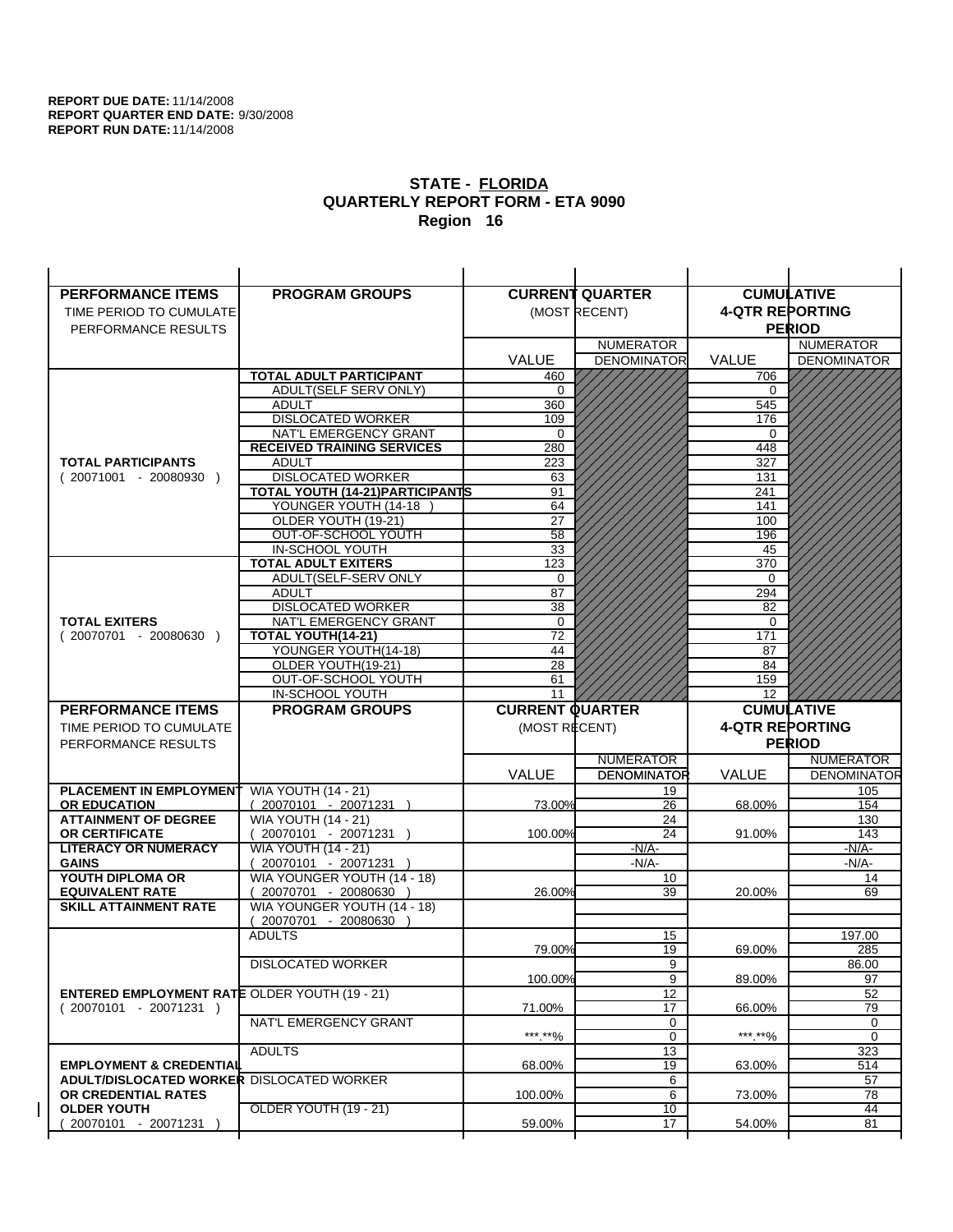| <b>PERFORMANCE ITEMS</b>                             | <b>PROGRAM GROUPS</b>                              |                        | <b>CURRENT QUARTER</b> |                        | <b>CUMULATIVE</b>        |
|------------------------------------------------------|----------------------------------------------------|------------------------|------------------------|------------------------|--------------------------|
| TIME PERIOD TO CUMULATE                              |                                                    |                        | (MOST RECENT)          | <b>4-QTR REPORTING</b> |                          |
| PERFORMANCE RESULTS                                  |                                                    |                        |                        |                        | <b>PERIOD</b>            |
|                                                      |                                                    |                        | <b>NUMERATOR</b>       |                        | <b>NUMERATOR</b>         |
|                                                      |                                                    | <b>VALUE</b>           | <b>DENOMINATOR</b>     | <b>VALUE</b>           | <b>DENOMINATOR</b>       |
|                                                      | <b>TOTAL ADULT PARTICIPANT</b>                     | 460                    |                        | 706                    |                          |
|                                                      | ADULT(SELF SERV ONLY)                              | 0                      |                        | 0                      |                          |
|                                                      | <b>ADULT</b>                                       | 360                    |                        | 545                    |                          |
|                                                      | <b>DISLOCATED WORKER</b>                           | 109                    |                        | 176                    |                          |
|                                                      | NAT'L EMERGENCY GRANT                              | $\Omega$               |                        | $\Omega$               |                          |
|                                                      | <b>RECEIVED TRAINING SERVICES</b>                  | 280                    |                        | 448                    |                          |
| <b>TOTAL PARTICIPANTS</b>                            | <b>ADULT</b>                                       | 223                    |                        | 327                    |                          |
| $(20071001 - 20080930)$                              | <b>DISLOCATED WORKER</b>                           | 63                     |                        | 131                    |                          |
|                                                      | <b>TOTAL YOUTH (14-21) PARTICIPANTS</b>            | 91                     |                        | 241                    |                          |
|                                                      | YOUNGER YOUTH (14-18                               | 64                     |                        | 141                    |                          |
|                                                      | OLDER YOUTH (19-21)<br>OUT-OF-SCHOOL YOUTH         | 27<br>$\overline{58}$  |                        | 100<br>196             |                          |
|                                                      | IN-SCHOOL YOUTH                                    | 33                     |                        | 45                     |                          |
|                                                      | <b>TOTAL ADULT EXITERS</b>                         | 123                    |                        | 370                    |                          |
|                                                      | ADULT(SELF-SERV ONLY                               | $\mathbf 0$            |                        | $\Omega$               |                          |
|                                                      | <b>ADULT</b>                                       | 87                     |                        | 294                    |                          |
|                                                      | <b>DISLOCATED WORKER</b>                           | 38                     |                        | 82                     |                          |
| <b>TOTAL EXITERS</b>                                 | NAT'L EMERGENCY GRANT                              | 0                      |                        | 0                      |                          |
| $(20070701 - 20080630)$                              | TOTAL YOUTH(14-21)                                 | $\overline{72}$        |                        | 171                    |                          |
|                                                      | YOUNGER YOUTH(14-18)                               | 44                     |                        | 87                     |                          |
|                                                      | OLDER YOUTH(19-21)                                 | $\overline{28}$        |                        | 84                     |                          |
|                                                      | OUT-OF-SCHOOL YOUTH                                | 61                     |                        | 159                    |                          |
|                                                      | IN-SCHOOL YOUTH                                    | 11                     |                        | 12                     |                          |
|                                                      |                                                    |                        |                        |                        |                          |
| <b>PERFORMANCE ITEMS</b>                             | <b>PROGRAM GROUPS</b>                              | <b>CURRENT QUARTER</b> |                        |                        | <b>CUMULATIVE</b>        |
| TIME PERIOD TO CUMULATE                              |                                                    | (MOST RECENT)          |                        | <b>4-QTR REPORTING</b> |                          |
| PERFORMANCE RESULTS                                  |                                                    |                        |                        |                        | <b>PERIOD</b>            |
|                                                      |                                                    |                        | <b>NUMERATOR</b>       |                        | <b>NUMERATOR</b>         |
|                                                      |                                                    | <b>VALUE</b>           | <b>DENOMINATOR</b>     | VALUE                  |                          |
| PLACEMENT IN EMPLOYMENT                              | <b>WIA YOUTH (14 - 21)</b>                         |                        | 19                     |                        | 105                      |
| <b>OR EDUCATION</b>                                  | $(20070101 - 20071231)$                            | 73.00%                 | 26                     | 68.00%                 | 154                      |
| <b>ATTAINMENT OF DEGREE</b>                          | <b>WIA YOUTH (14 - 21)</b>                         |                        | 24                     |                        | 130                      |
| <b>OR CERTIFICATE</b>                                | 20070101 - 20071231 )                              | 100.00%                | 24                     | 91.00%                 | 143                      |
| <b>LITERACY OR NUMERACY</b>                          | <b>WIA YOUTH (14 - 21)</b>                         |                        | $-N/A-$                |                        | $-N/A$ -                 |
| <b>GAINS</b>                                         | 20070101 - 20071231 )                              |                        | -N/A-<br>10            |                        | -N/A-<br>14              |
| YOUTH DIPLOMA OR<br><b>EQUIVALENT RATE</b>           | WIA YOUNGER YOUTH (14 - 18)<br>20070701 - 20080630 | 26.00%                 | 39                     | 20.00%                 | 69                       |
| <b>SKILL ATTAINMENT RATE</b>                         | WIA YOUNGER YOUTH (14 - 18)                        |                        |                        |                        |                          |
|                                                      | (20070701 - 20080630                               |                        |                        |                        |                          |
|                                                      | <b>ADULTS</b>                                      |                        | 15                     |                        | 197.00                   |
|                                                      |                                                    | 79.00%                 | 19                     | 69.00%                 | 285                      |
|                                                      | <b>DISLOCATED WORKER</b>                           |                        | $\overline{9}$         |                        | 86.00                    |
|                                                      |                                                    | 100.00%                | 9                      | 89.00%                 | <b>DENOMINATOR</b><br>97 |
| <b>ENTERED EMPLOYMENT RATE OLDER YOUTH (19 - 21)</b> |                                                    |                        | 12                     |                        | 52                       |
| $(20070101 - 20071231)$                              |                                                    | 71.00%                 | 17                     | 66.00%                 | 79                       |
|                                                      | NAT'L EMERGENCY GRANT                              |                        | 0                      |                        | 0                        |
|                                                      | <b>ADULTS</b>                                      | ***.**%                | 0                      | ***.**%                | $\mathbf 0$              |
| <b>EMPLOYMENT &amp; CREDENTIAL</b>                   |                                                    | 68.00%                 | 13<br>19               | 63.00%                 | 323<br>514               |
| <b>ADULT/DISLOCATED WORKER DISLOCATED WORKER</b>     |                                                    |                        | 6                      |                        | 57                       |
| OR CREDENTIAL RATES                                  |                                                    | 100.00%                | 6                      | 73.00%                 | 78                       |
| <b>OLDER YOUTH</b><br>20070101 - 20071231            | <b>OLDER YOUTH (19 - 21)</b>                       | 59.00%                 | 10<br>$\overline{17}$  | 54.00%                 | 44<br>81                 |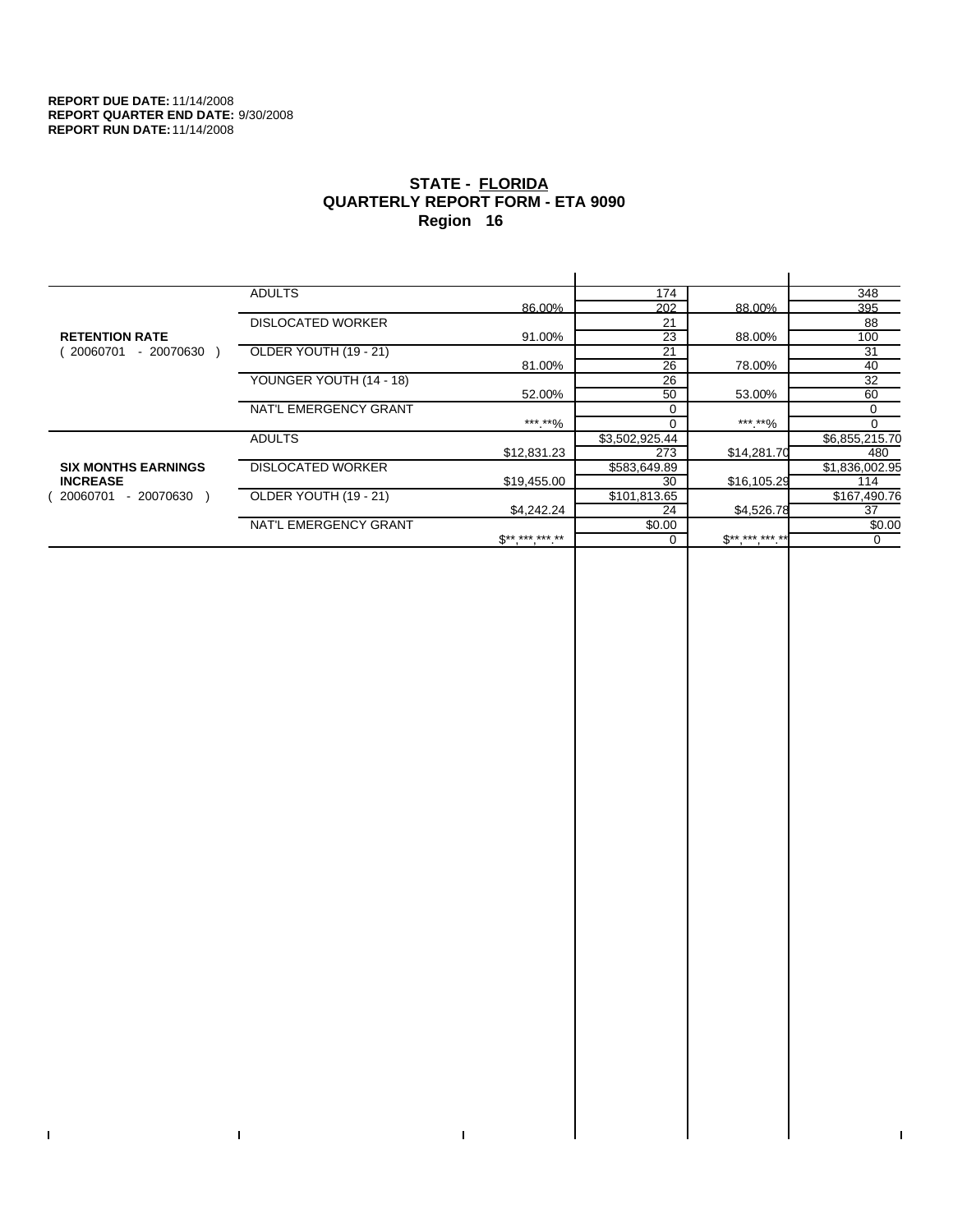$\bar{\Gamma}$ 

 $\Gamma$ 

# **STATE - FLORIDA QUARTERLY REPORT FORM - ETA 9090 Region 16**

|                            | <b>ADULTS</b>            |                | 174            |              | 348            |
|----------------------------|--------------------------|----------------|----------------|--------------|----------------|
|                            |                          | 86.00%         | 202            | 88.00%       | 395            |
|                            | <b>DISLOCATED WORKER</b> |                | 21             |              | 88             |
| <b>RETENTION RATE</b>      |                          | 91.00%         | 23             | 88.00%       | 100            |
| - 20070630<br>20060701     | OLDER YOUTH (19 - 21)    |                | 21             |              | 31             |
|                            |                          | 81.00%         | 26             | 78.00%       | 40             |
|                            | YOUNGER YOUTH (14 - 18)  |                | 26             |              | 32             |
|                            |                          | 52.00%         | 50             | 53.00%       | 60             |
|                            | NAT'L EMERGENCY GRANT    |                | $\Omega$       |              | 0              |
|                            |                          | ***.**%        | $\Omega$       | ***.**%      | $\Omega$       |
|                            | <b>ADULTS</b>            |                | \$3,502,925.44 |              | \$6,855,215.70 |
|                            |                          | \$12,831.23    | 273            | \$14,281.70  | 480            |
| <b>SIX MONTHS EARNINGS</b> | <b>DISLOCATED WORKER</b> |                | \$583,649.89   |              | \$1,836,002.95 |
| <b>INCREASE</b>            |                          | \$19,455.00    | 30             | \$16,105.29  | 114            |
| - 20070630<br>20060701     | OLDER YOUTH (19 - 21)    |                | \$101,813.65   |              | \$167,490.76   |
|                            |                          | \$4,242,24     | 24             | \$4,526.78   | 37             |
|                            | NAT'L EMERGENCY GRANT    |                | \$0.00         |              | \$0.00         |
|                            |                          | $S^{********}$ |                | $$********"$ | 0              |
|                            |                          |                |                |              |                |

 $\bar{\Gamma}$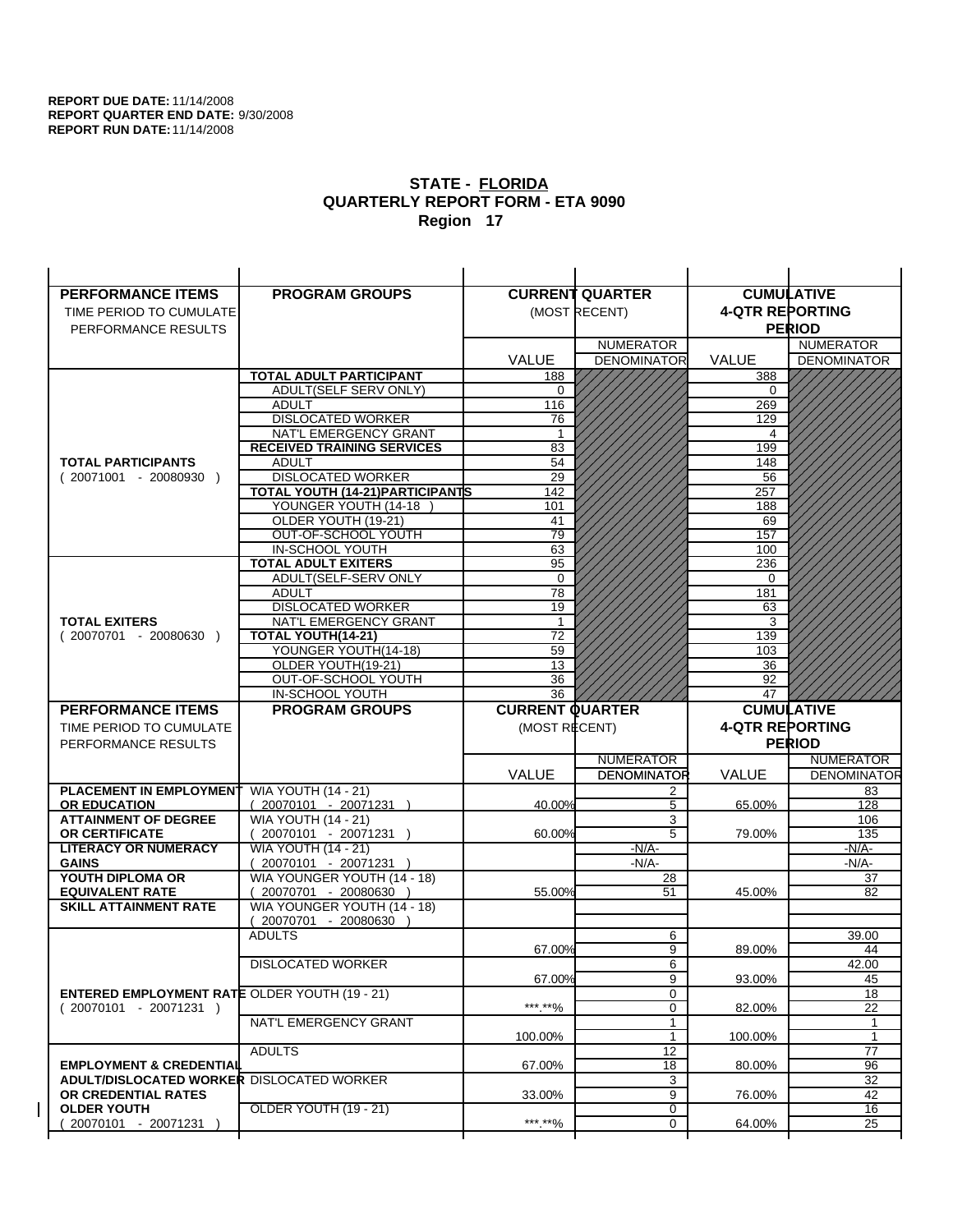| <b>PERFORMANCE ITEMS</b>                                                | <b>PROGRAM GROUPS</b>                                    |                        | <b>CURRENT QUARTER</b> |                        | <b>CUMULATIVE</b>        |
|-------------------------------------------------------------------------|----------------------------------------------------------|------------------------|------------------------|------------------------|--------------------------|
| TIME PERIOD TO CUMULATE                                                 |                                                          |                        | (MOST RECENT)          | <b>4-QTR REPORTING</b> |                          |
| PERFORMANCE RESULTS                                                     |                                                          |                        |                        |                        | <b>PERIOD</b>            |
|                                                                         |                                                          |                        | <b>NUMERATOR</b>       |                        | <b>NUMERATOR</b>         |
|                                                                         |                                                          | <b>VALUE</b>           | <b>DENOMINATOR</b>     | <b>VALUE</b>           | <b>DENOMINATOR</b>       |
|                                                                         | <b>TOTAL ADULT PARTICIPANT</b>                           | 188                    |                        | 388                    |                          |
|                                                                         | ADULT(SELF SERV ONLY)                                    | 0                      |                        | 0                      |                          |
|                                                                         | <b>ADULT</b>                                             | 116                    |                        | 269                    |                          |
|                                                                         | <b>DISLOCATED WORKER</b>                                 | 76                     |                        | 129                    |                          |
|                                                                         | NAT'L EMERGENCY GRANT                                    | 1                      |                        | 4                      |                          |
|                                                                         | <b>RECEIVED TRAINING SERVICES</b>                        | 83                     |                        | 199                    |                          |
| <b>TOTAL PARTICIPANTS</b>                                               | <b>ADULT</b>                                             | 54                     |                        | 148                    |                          |
| $(20071001 - 20080930)$                                                 | <b>DISLOCATED WORKER</b>                                 | 29                     |                        | 56                     |                          |
|                                                                         | TOTAL YOUTH (14-21) PARTICIPANTS<br>YOUNGER YOUTH (14-18 | 142<br>101             |                        | 257<br>188             |                          |
|                                                                         | OLDER YOUTH (19-21)                                      | 41                     |                        | 69                     |                          |
|                                                                         | OUT-OF-SCHOOL YOUTH                                      | 79                     |                        | 157                    |                          |
|                                                                         | IN-SCHOOL YOUTH                                          | 63                     |                        | 100                    |                          |
|                                                                         | <b>TOTAL ADULT EXITERS</b>                               | 95                     |                        | 236                    |                          |
|                                                                         | ADULT(SELF-SERV ONLY                                     | $\Omega$               |                        | $\Omega$               |                          |
|                                                                         | <b>ADULT</b>                                             | 78                     |                        | 181                    |                          |
|                                                                         | <b>DISLOCATED WORKER</b>                                 | 19                     |                        | 63                     |                          |
| <b>TOTAL EXITERS</b>                                                    | NAT'L EMERGENCY GRANT                                    | 1                      |                        | 3                      |                          |
| $(20070701 - 20080630)$                                                 | TOTAL YOUTH(14-21)                                       | $\overline{72}$        |                        | 139                    |                          |
|                                                                         | YOUNGER YOUTH(14-18)                                     | 59                     |                        | 103                    |                          |
|                                                                         | OLDER YOUTH(19-21)<br>OUT-OF-SCHOOL YOUTH                | 13<br>36               |                        | 36<br>92               |                          |
|                                                                         | IN-SCHOOL YOUTH                                          | 36                     |                        | 47                     |                          |
|                                                                         |                                                          |                        |                        |                        |                          |
|                                                                         |                                                          |                        |                        |                        |                          |
| <b>PERFORMANCE ITEMS</b>                                                | <b>PROGRAM GROUPS</b>                                    | <b>CURRENT QUARTER</b> |                        |                        | <b>CUMULATIVE</b>        |
| TIME PERIOD TO CUMULATE                                                 |                                                          | (MOST RECENT)          |                        | <b>4-QTR REPORTING</b> |                          |
| PERFORMANCE RESULTS                                                     |                                                          |                        |                        |                        | <b>PERIOD</b>            |
|                                                                         |                                                          |                        | <b>NUMERATOR</b>       |                        | <b>NUMERATOR</b>         |
|                                                                         |                                                          | <b>VALUE</b>           | <b>DENOMINATOR</b>     | VALUE                  |                          |
| PLACEMENT IN EMPLOYMENT<br><b>OR EDUCATION</b>                          | <b>WIA YOUTH (14 - 21)</b>                               | 40.00%                 | 2<br>5                 | 65.00%                 | 83<br>128                |
| <b>ATTAINMENT OF DEGREE</b>                                             | $(20070101 - 20071231)$<br><b>WIA YOUTH (14 - 21)</b>    |                        | 3                      |                        | 106                      |
| <b>OR CERTIFICATE</b>                                                   | 20070101 - 20071231 )                                    | 60.00%                 | $\overline{5}$         | 79.00%                 | 135                      |
| <b>LITERACY OR NUMERACY</b>                                             | <b>WIA YOUTH (14 - 21)</b>                               |                        | $-N/A-$                |                        | -N/A-                    |
| <b>GAINS</b>                                                            | 20070101 - 20071231 )                                    |                        | $-N/A-$                |                        | -N/A-                    |
| YOUTH DIPLOMA OR                                                        | WIA YOUNGER YOUTH (14 - 18)                              |                        | 28                     |                        | 37                       |
| <b>EQUIVALENT RATE</b>                                                  | 20070701 - 20080630                                      | 55.00%                 | 51                     | 45.00%                 | 82                       |
| <b>SKILL ATTAINMENT RATE</b>                                            | WIA YOUNGER YOUTH (14 - 18)                              |                        |                        |                        |                          |
|                                                                         | (20070701 - 20080630                                     |                        |                        |                        |                          |
|                                                                         | <b>ADULTS</b>                                            | 67.00%                 | 6<br>9                 | 89.00%                 | 39.00<br>44              |
|                                                                         | <b>DISLOCATED WORKER</b>                                 |                        | 6                      |                        | 42.00                    |
|                                                                         |                                                          | 67.00%                 | 9                      | 93.00%                 | 45                       |
| <b>ENTERED EMPLOYMENT RATE OLDER YOUTH (19 - 21)</b>                    |                                                          |                        | 0                      |                        | <b>DENOMINATOR</b><br>18 |
| $(20070101 - 20071231)$                                                 |                                                          | ***.**%                | 0                      | 82.00%                 | 22                       |
|                                                                         | NAT'L EMERGENCY GRANT                                    |                        | $\mathbf{1}$           |                        | 1                        |
|                                                                         |                                                          | 100.00%                | $\mathbf{1}$           | 100.00%                | $\mathbf{1}$             |
|                                                                         | <b>ADULTS</b>                                            |                        | 12                     |                        | 77                       |
| <b>EMPLOYMENT &amp; CREDENTIAL</b>                                      |                                                          | 67.00%                 | 18                     | 80.00%                 | 96                       |
| <b>ADULT/DISLOCATED WORKER DISLOCATED WORKER</b><br>OR CREDENTIAL RATES |                                                          |                        | 3<br>9                 |                        | 32<br>42                 |
| <b>OLDER YOUTH</b>                                                      | <b>OLDER YOUTH (19 - 21)</b>                             | 33.00%                 | 0                      | 76.00%                 | 16                       |
| 20070101 - 20071231                                                     |                                                          | ***.**%                | $\mathbf 0$            | 64.00%                 | $\overline{25}$          |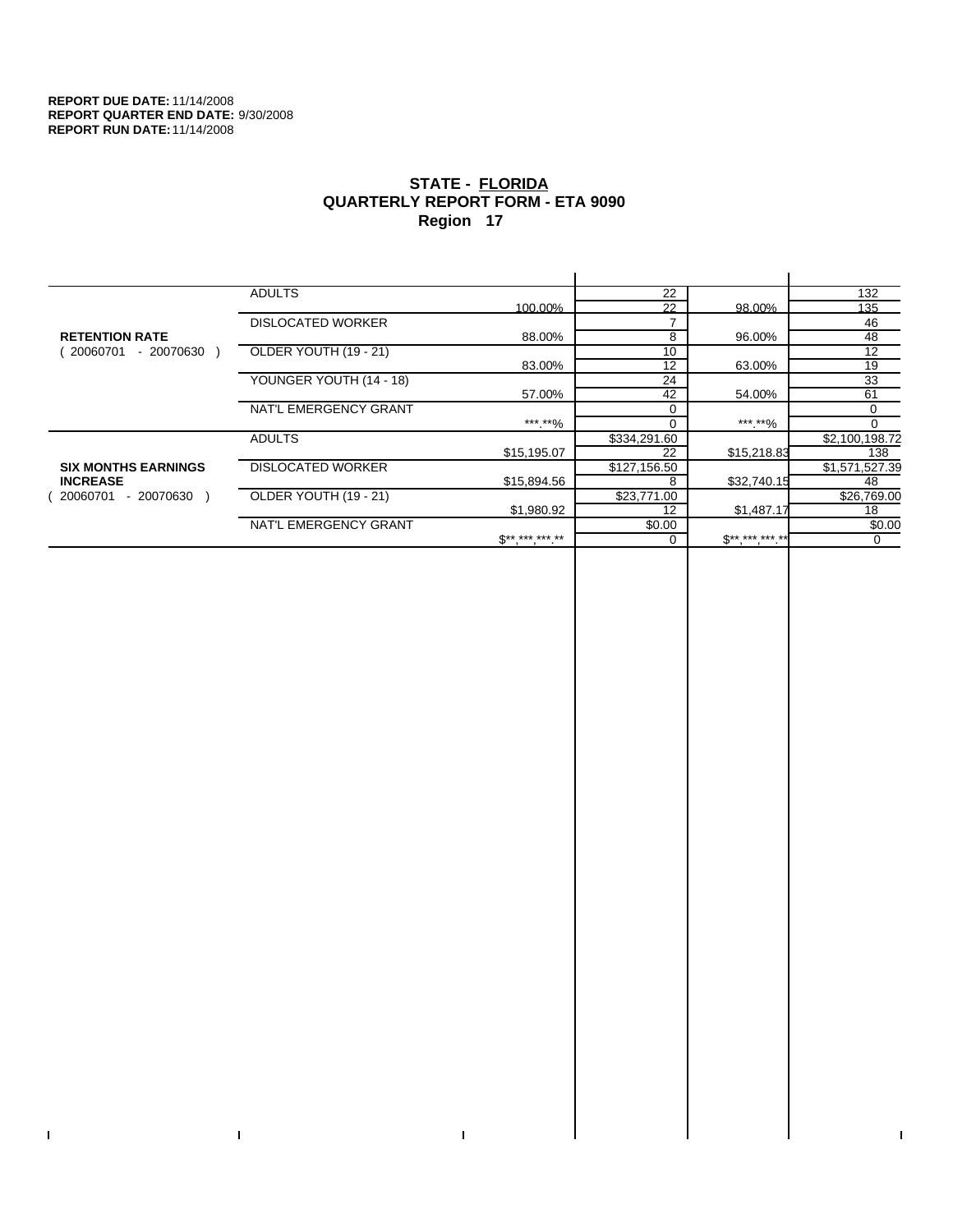$\bar{\Gamma}$ 

 $\Gamma$ 

# **STATE - FLORIDA QUARTERLY REPORT FORM - ETA 9090 Region 17**

|                            | <b>ADULTS</b>            |                 | 22           |              | 132            |
|----------------------------|--------------------------|-----------------|--------------|--------------|----------------|
|                            |                          | 100.00%         | 22           | 98.00%       | 135            |
|                            | <b>DISLOCATED WORKER</b> |                 |              |              | 46             |
| <b>RETENTION RATE</b>      |                          | 88.00%          | 8            | 96.00%       | 48             |
| - 20070630<br>20060701     | OLDER YOUTH (19 - 21)    |                 | 10           |              | 12             |
|                            |                          | 83.00%          | 12           | 63.00%       | 19             |
|                            | YOUNGER YOUTH (14 - 18)  |                 | 24           |              | 33             |
|                            |                          | 57.00%          | 42           | 54.00%       | 61             |
|                            | NAT'L EMERGENCY GRANT    |                 |              |              | 0              |
|                            |                          | ***.**%         |              | ***.**%      |                |
|                            | <b>ADULTS</b>            |                 | \$334,291.60 |              | \$2,100,198.72 |
|                            |                          | \$15,195.07     | 22           | \$15,218.83  | 138            |
| <b>SIX MONTHS EARNINGS</b> | <b>DISLOCATED WORKER</b> |                 | \$127,156.50 |              | \$1,571,527.39 |
| <b>INCREASE</b>            |                          | \$15,894.56     | 8            | \$32,740.15  | 48             |
| $-20070630$<br>20060701    | OLDER YOUTH (19 - 21)    |                 | \$23,771.00  |              | \$26,769.00    |
|                            |                          | \$1,980.92      | 12           | \$1,487.17   | 18             |
|                            | NAT'L EMERGENCY GRANT    |                 | \$0.00       |              | \$0.00         |
|                            |                          | $S^{*********}$ |              | $S*********$ | $\mathbf 0$    |
|                            |                          |                 |              |              |                |

 $\bar{\Gamma}$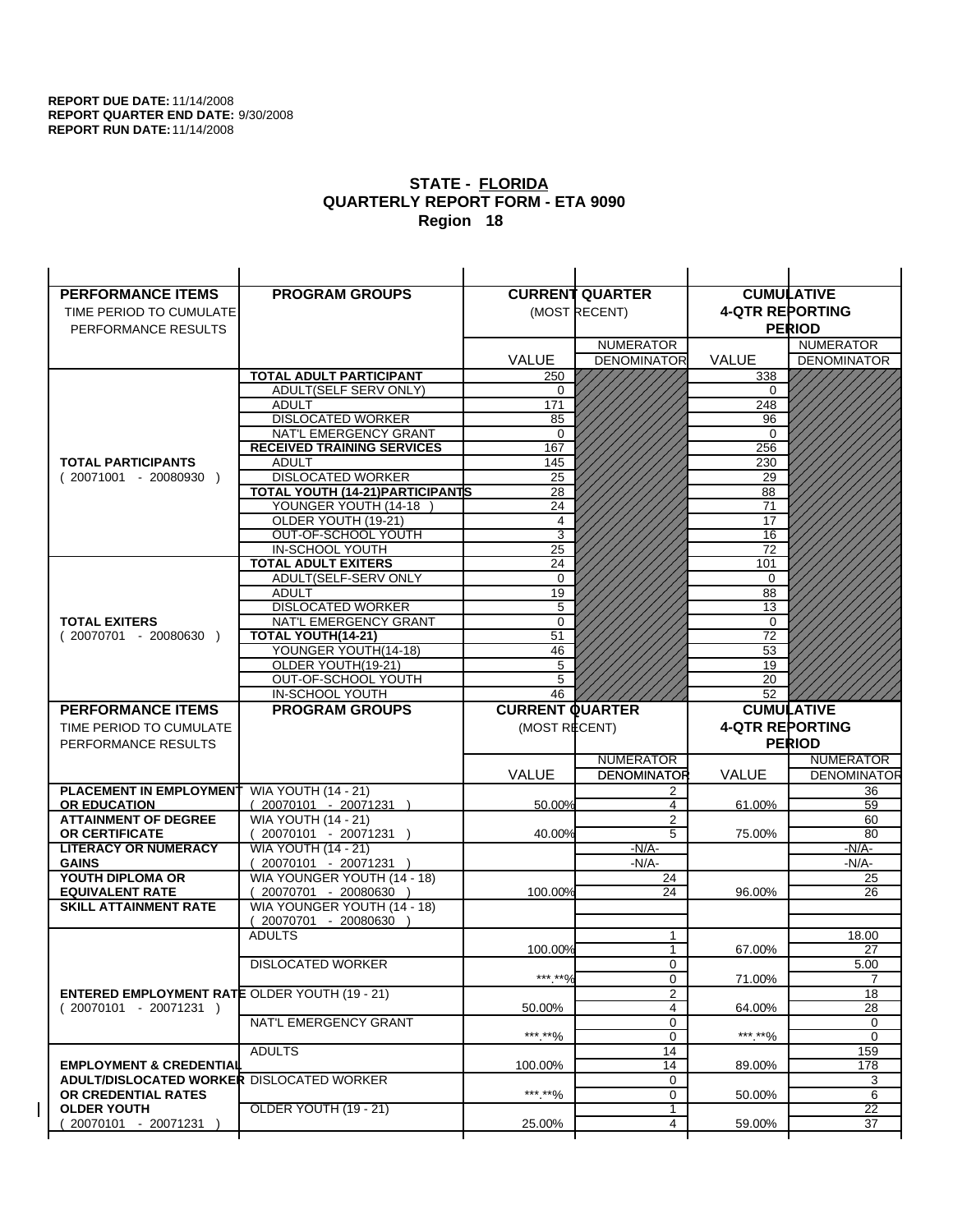| <b>PERFORMANCE ITEMS</b>                                                        | <b>PROGRAM GROUPS</b>                                           |                        | <b>CURRENT QUARTER</b>           |                        | <b>CUMULATIVE</b>     |
|---------------------------------------------------------------------------------|-----------------------------------------------------------------|------------------------|----------------------------------|------------------------|-----------------------|
| TIME PERIOD TO CUMULATE                                                         |                                                                 |                        | (MOST RECENT)                    | <b>4-QTR REPORTING</b> |                       |
| PERFORMANCE RESULTS                                                             |                                                                 |                        |                                  |                        | <b>PERIOD</b>         |
|                                                                                 |                                                                 |                        | <b>NUMERATOR</b>                 |                        | <b>NUMERATOR</b>      |
|                                                                                 |                                                                 | VALUE                  | <b>DENOMINATOR</b>               | <b>VALUE</b>           | <b>DENOMINATOR</b>    |
|                                                                                 | <b>TOTAL ADULT PARTICIPANT</b>                                  | 250                    |                                  | 338                    |                       |
|                                                                                 | ADULT(SELF SERV ONLY)                                           | 0                      |                                  | 0                      |                       |
|                                                                                 | <b>ADULT</b>                                                    | 171                    |                                  | 248                    |                       |
|                                                                                 | <b>DISLOCATED WORKER</b>                                        | 85                     |                                  | 96                     |                       |
|                                                                                 | NAT'L EMERGENCY GRANT                                           | $\Omega$               |                                  | $\Omega$               |                       |
|                                                                                 | <b>RECEIVED TRAINING SERVICES</b>                               | 167                    |                                  | 256                    |                       |
| <b>TOTAL PARTICIPANTS</b>                                                       | <b>ADULT</b>                                                    | 145                    |                                  | 230                    |                       |
| $(20071001 - 20080930)$                                                         | <b>DISLOCATED WORKER</b>                                        | 25                     |                                  | 29                     |                       |
|                                                                                 | <b>TOTAL YOUTH (14-21) PARTICIPANTS</b><br>YOUNGER YOUTH (14-18 | 28<br>24               |                                  | 88                     |                       |
|                                                                                 | OLDER YOUTH (19-21)                                             | $\overline{4}$         |                                  | 71<br>17               |                       |
|                                                                                 | OUT-OF-SCHOOL YOUTH                                             | $\overline{3}$         |                                  | 16                     |                       |
|                                                                                 | IN-SCHOOL YOUTH                                                 | $\overline{25}$        |                                  | 72                     |                       |
|                                                                                 | <b>TOTAL ADULT EXITERS</b>                                      | 24                     |                                  | 101                    |                       |
|                                                                                 | ADULT(SELF-SERV ONLY                                            | $\mathbf 0$            |                                  | $\Omega$               |                       |
|                                                                                 | <b>ADULT</b>                                                    | 19                     |                                  | 88                     |                       |
|                                                                                 | <b>DISLOCATED WORKER</b>                                        | 5                      |                                  | 13                     |                       |
| <b>TOTAL EXITERS</b>                                                            | NAT'L EMERGENCY GRANT                                           | 0                      |                                  | 0                      |                       |
| $(20070701 - 20080630)$                                                         | TOTAL YOUTH(14-21)                                              | 51                     |                                  | 72                     |                       |
|                                                                                 | YOUNGER YOUTH(14-18)                                            | 46                     |                                  | 53                     |                       |
|                                                                                 | OLDER YOUTH(19-21)                                              | 5                      |                                  | 19                     |                       |
|                                                                                 | OUT-OF-SCHOOL YOUTH<br>IN-SCHOOL YOUTH                          | 5<br>46                |                                  | 20<br>52               |                       |
|                                                                                 |                                                                 |                        |                                  |                        |                       |
|                                                                                 |                                                                 |                        |                                  |                        |                       |
| <b>PERFORMANCE ITEMS</b>                                                        | <b>PROGRAM GROUPS</b>                                           | <b>CURRENT QUARTER</b> |                                  |                        | <b>CUMULATIVE</b>     |
| TIME PERIOD TO CUMULATE                                                         |                                                                 | (MOST RECENT)          |                                  | <b>4-QTR REPORTING</b> |                       |
| PERFORMANCE RESULTS                                                             |                                                                 |                        |                                  |                        | <b>PERIOD</b>         |
|                                                                                 |                                                                 |                        | <b>NUMERATOR</b>                 |                        | <b>NUMERATOR</b>      |
|                                                                                 |                                                                 | <b>VALUE</b>           | <b>DENOMINATOR</b>               | <b>VALUE</b>           | <b>DENOMINATOR</b>    |
| <b>PLACEMENT IN EMPLOYMENT</b>                                                  | <b>WIA YOUTH (14 - 21)</b>                                      |                        | 2                                |                        | 36                    |
| <b>OR EDUCATION</b>                                                             | $(20070101 - 20071231)$                                         | 50.00%                 | 4                                | 61.00%                 | 59                    |
| <b>ATTAINMENT OF DEGREE</b>                                                     | <b>WIA YOUTH (14 - 21)</b>                                      |                        | $\overline{2}$<br>$\overline{5}$ |                        | 60                    |
| <b>OR CERTIFICATE</b><br><b>LITERACY OR NUMERACY</b>                            | (20070101 - 20071231 )<br><b>WIA YOUTH (14 - 21)</b>            | 40.00%                 | $-N/A-$                          | 75.00%                 | 80<br>$-N/A-$         |
| <b>GAINS</b>                                                                    | $(20070101 - 20071231)$                                         |                        | $-N/A-$                          |                        | -N/A-                 |
| YOUTH DIPLOMA OR                                                                | WIA YOUNGER YOUTH (14 - 18)                                     |                        | 24                               |                        | 25                    |
| <b>EQUIVALENT RATE</b>                                                          | 20070701 - 20080630 )                                           | 100.00%                | 24                               | 96.00%                 | 26                    |
| <b>SKILL ATTAINMENT RATE</b>                                                    | WIA YOUNGER YOUTH (14 - 18)                                     |                        |                                  |                        |                       |
|                                                                                 | (20070701 - 20080630                                            |                        |                                  |                        |                       |
|                                                                                 | <b>ADULTS</b>                                                   |                        | 1                                |                        | 18.00                 |
|                                                                                 |                                                                 | 100.00%                | 1                                | 67.00%                 | 27                    |
|                                                                                 | <b>DISLOCATED WORKER</b>                                        |                        | 0                                |                        | 5.00                  |
|                                                                                 |                                                                 | ***.**%                | $\mathbf 0$                      | 71.00%                 | $\overline{7}$        |
| <b>ENTERED EMPLOYMENT RATE OLDER YOUTH (19 - 21)</b><br>$(20070101 - 20071231)$ |                                                                 | 50.00%                 | $\overline{2}$<br>4              | 64.00%                 | 18                    |
|                                                                                 | NAT'L EMERGENCY GRANT                                           |                        | 0                                |                        | 28<br>0               |
|                                                                                 |                                                                 | ***.**%                | 0                                | ***.**%                | $\mathbf 0$           |
|                                                                                 | <b>ADULTS</b>                                                   |                        | 14                               |                        | 159                   |
| <b>EMPLOYMENT &amp; CREDENTIAL</b>                                              |                                                                 | 100.00%                | 14                               | 89.00%                 | 178                   |
| <b>ADULT/DISLOCATED WORKER DISLOCATED WORKER</b>                                |                                                                 |                        | 0                                |                        | 3                     |
| OR CREDENTIAL RATES                                                             |                                                                 | ***.**%                | 0                                | 50.00%                 | 6                     |
| <b>OLDER YOUTH</b><br>20070101 - 20071231                                       | OLDER YOUTH (19 - 21)                                           | 25.00%                 | 1<br>4                           | 59.00%                 | $\overline{22}$<br>37 |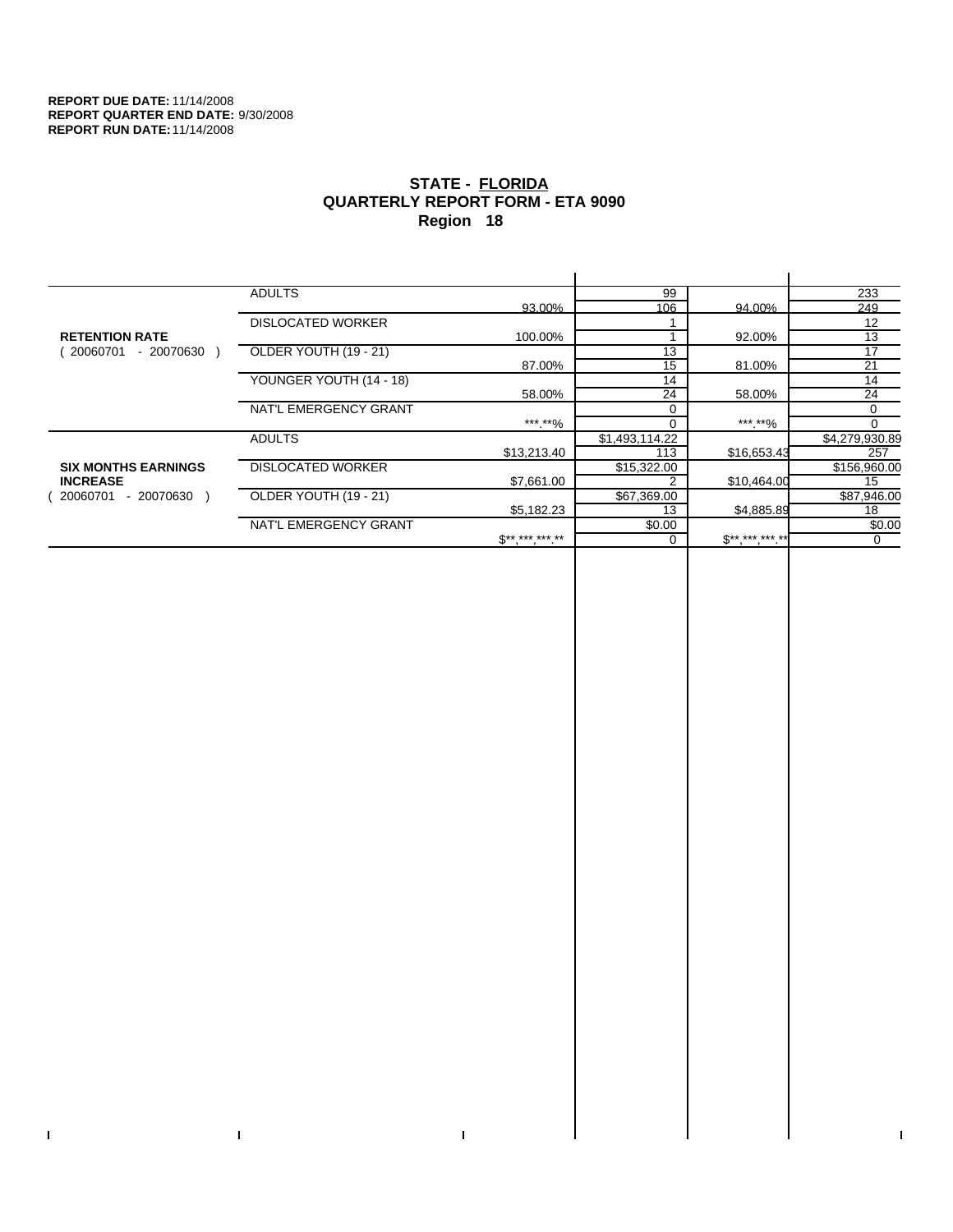$\bar{\Gamma}$ 

 $\Gamma$ 

# **STATE - FLORIDA QUARTERLY REPORT FORM - ETA 9090 Region 18**

|                            | <b>ADULTS</b>            |                 | 99              |             | 233            |
|----------------------------|--------------------------|-----------------|-----------------|-------------|----------------|
|                            |                          | 93.00%          | 106             | 94.00%      | 249            |
|                            | <b>DISLOCATED WORKER</b> |                 |                 |             | 12             |
| <b>RETENTION RATE</b>      |                          | 100.00%         |                 | 92.00%      | 13             |
| - 20070630<br>20060701     | OLDER YOUTH (19 - 21)    |                 | $1\overline{3}$ |             | 17             |
|                            |                          | 87.00%          | 15              | 81.00%      | 21             |
|                            | YOUNGER YOUTH (14 - 18)  |                 | 14              |             | 14             |
|                            |                          | 58.00%          | 24              | 58.00%      | 24             |
|                            | NAT'L EMERGENCY GRANT    |                 | $\Omega$        |             | 0              |
|                            |                          | ***.**%         |                 | ***.**%     |                |
|                            | <b>ADULTS</b>            |                 | \$1,493,114.22  |             | \$4,279,930.89 |
|                            |                          | \$13,213.40     | 113             | \$16,653.43 | 257            |
| <b>SIX MONTHS EARNINGS</b> | <b>DISLOCATED WORKER</b> |                 | \$15,322.00     |             | \$156,960.00   |
| <b>INCREASE</b>            |                          | \$7,661.00      |                 | \$10,464.00 | 15             |
| - 20070630<br>20060701     | OLDER YOUTH (19 - 21)    |                 | \$67,369.00     |             | \$87,946.00    |
|                            |                          | \$5,182.23      | 13              | \$4,885.89  | 18             |
|                            | NAT'L EMERGENCY GRANT    |                 | \$0.00          |             | \$0.00         |
|                            |                          | $S^{*********}$ |                 | $S********$ | 0              |
|                            |                          |                 |                 |             |                |

 $\bar{\Gamma}$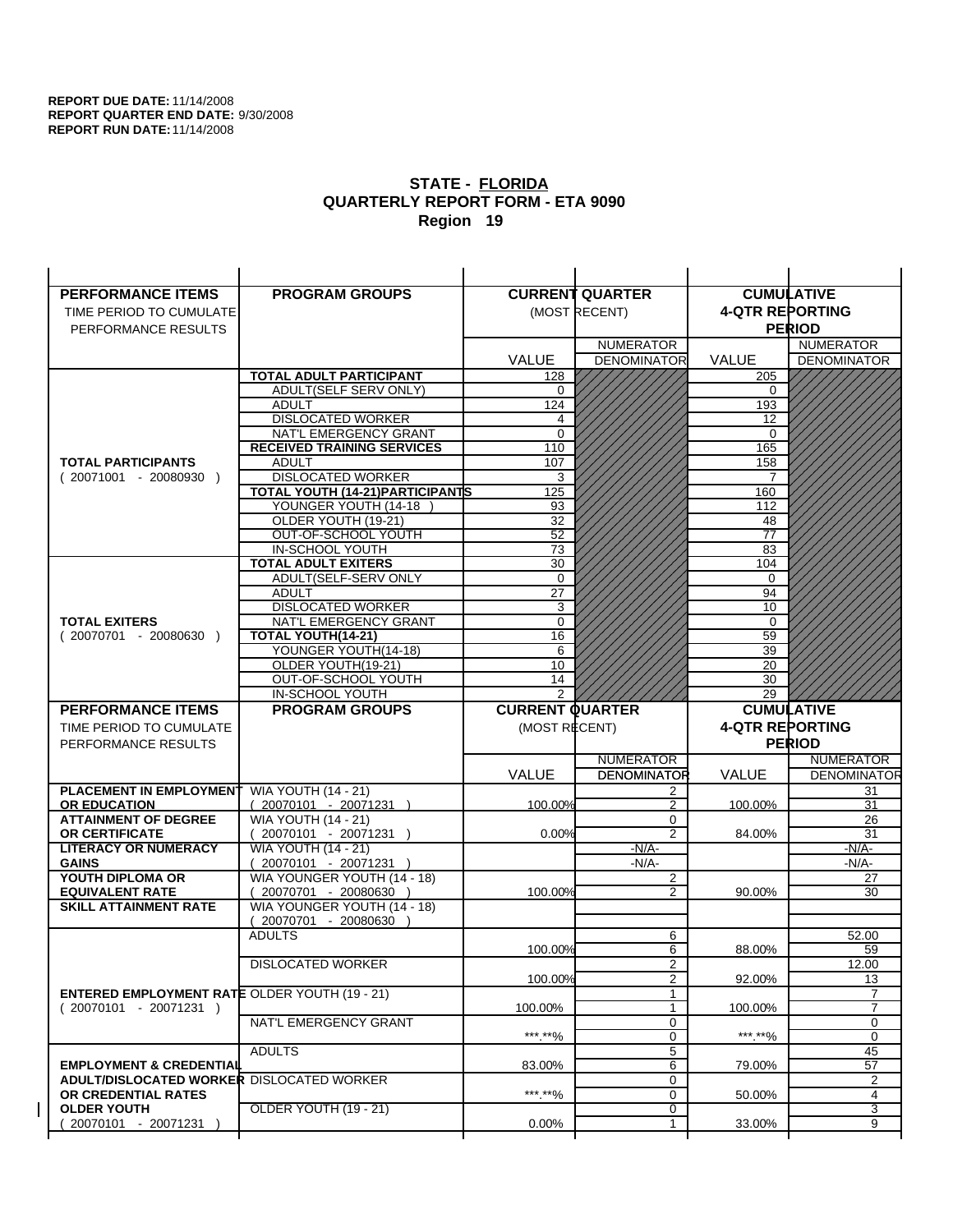| <b>PERFORMANCE ITEMS</b>                                                | <b>PROGRAM GROUPS</b>                                           |                        | <b>CURRENT QUARTER</b>  |                        | <b>CUMULATIVE</b>       |
|-------------------------------------------------------------------------|-----------------------------------------------------------------|------------------------|-------------------------|------------------------|-------------------------|
| TIME PERIOD TO CUMULATE                                                 |                                                                 |                        | (MOST RECENT)           | <b>4-QTR REPORTING</b> |                         |
| PERFORMANCE RESULTS                                                     |                                                                 |                        |                         |                        | <b>PERIOD</b>           |
|                                                                         |                                                                 |                        | <b>NUMERATOR</b>        |                        | <b>NUMERATOR</b>        |
|                                                                         |                                                                 | <b>VALUE</b>           | <b>DENOMINATOR</b>      | <b>VALUE</b>           | <b>DENOMINATOR</b>      |
|                                                                         | <b>TOTAL ADULT PARTICIPANT</b>                                  | 128                    |                         | 205                    |                         |
|                                                                         | ADULT(SELF SERV ONLY)                                           | 0                      |                         | 0                      |                         |
|                                                                         | <b>ADULT</b>                                                    | 124                    |                         | 193                    |                         |
|                                                                         | <b>DISLOCATED WORKER</b>                                        | 4                      |                         | 12                     |                         |
|                                                                         | NAT'L EMERGENCY GRANT                                           | $\Omega$               |                         | $\Omega$               |                         |
|                                                                         | <b>RECEIVED TRAINING SERVICES</b>                               | 110                    |                         | 165                    |                         |
| <b>TOTAL PARTICIPANTS</b>                                               | <b>ADULT</b>                                                    | 107                    |                         | 158                    |                         |
| $(20071001 - 20080930)$                                                 | <b>DISLOCATED WORKER</b>                                        | 3                      |                         | 7                      |                         |
|                                                                         | <b>TOTAL YOUTH (14-21) PARTICIPANTS</b><br>YOUNGER YOUTH (14-18 | 125<br>93              |                         | 160<br>112             |                         |
|                                                                         | OLDER YOUTH (19-21)                                             | 32                     |                         | 48                     |                         |
|                                                                         | OUT-OF-SCHOOL YOUTH                                             | $\overline{52}$        |                         | $\overline{77}$        |                         |
|                                                                         | IN-SCHOOL YOUTH                                                 | 73                     |                         | 83                     |                         |
|                                                                         | <b>TOTAL ADULT EXITERS</b>                                      | 30                     |                         | 104                    |                         |
|                                                                         | ADULT(SELF-SERV ONLY                                            | $\mathbf 0$            |                         | $\Omega$               |                         |
|                                                                         | <b>ADULT</b>                                                    | 27                     |                         | 94                     |                         |
|                                                                         | <b>DISLOCATED WORKER</b>                                        | 3                      |                         | 10                     |                         |
| <b>TOTAL EXITERS</b>                                                    | NAT'L EMERGENCY GRANT                                           | $\mathbf 0$            |                         | $\mathbf 0$            |                         |
| $(20070701 - 20080630)$                                                 | TOTAL YOUTH(14-21)                                              | 16                     |                         | 59                     |                         |
|                                                                         | YOUNGER YOUTH(14-18)                                            | 6                      |                         | 39                     |                         |
|                                                                         | OLDER YOUTH(19-21)<br>OUT-OF-SCHOOL YOUTH                       | 10<br>14               |                         | 20<br>30               |                         |
|                                                                         | IN-SCHOOL YOUTH                                                 | $\mathcal{P}$          |                         | 29                     |                         |
|                                                                         |                                                                 |                        |                         |                        |                         |
|                                                                         |                                                                 |                        |                         |                        |                         |
| <b>PERFORMANCE ITEMS</b>                                                | <b>PROGRAM GROUPS</b>                                           | <b>CURRENT QUARTER</b> |                         |                        | <b>CUMULATIVE</b>       |
| TIME PERIOD TO CUMULATE                                                 |                                                                 | (MOST RECENT)          |                         | <b>4-QTR REPORTING</b> |                         |
| PERFORMANCE RESULTS                                                     |                                                                 |                        |                         |                        | <b>PERIOD</b>           |
|                                                                         |                                                                 |                        | <b>NUMERATOR</b>        |                        | <b>NUMERATOR</b>        |
|                                                                         |                                                                 | <b>VALUE</b>           | <b>DENOMINATOR</b><br>2 | VALUE                  | 31                      |
| PLACEMENT IN EMPLOYMENT<br><b>OR EDUCATION</b>                          | <b>WIA YOUTH (14 - 21)</b><br>$(20070101 - 20071231)$           | 100.00%                | $\mathfrak{p}$          | 100.00%                | 31                      |
| <b>ATTAINMENT OF DEGREE</b>                                             | <b>WIA YOUTH (14 - 21)</b>                                      |                        | 0                       |                        | 26                      |
| <b>OR CERTIFICATE</b>                                                   | 20070101 - 20071231 )                                           | 0.00%                  | $\overline{2}$          | 84.00%                 | 31                      |
| <b>LITERACY OR NUMERACY</b>                                             | <b>WIA YOUTH (14 - 21)</b>                                      |                        | $-N/A-$                 |                        | $-N/A$ -                |
| <b>GAINS</b>                                                            | 20070101 - 20071231 )                                           |                        | $-N/A-$                 |                        | -N/A-                   |
| YOUTH DIPLOMA OR                                                        | WIA YOUNGER YOUTH (14 - 18)                                     |                        | $\overline{2}$          |                        | 27                      |
| <b>EQUIVALENT RATE</b>                                                  | 20070701 - 20080630                                             | 100.00%                | 2                       | 90.00%                 | 30                      |
| <b>SKILL ATTAINMENT RATE</b>                                            | WIA YOUNGER YOUTH (14 - 18)                                     |                        |                         |                        |                         |
|                                                                         | (20070701 - 20080630                                            |                        |                         |                        |                         |
|                                                                         | <b>ADULTS</b>                                                   | 100.00%                | 6<br>6                  | 88.00%                 | 52.00<br>59             |
|                                                                         | <b>DISLOCATED WORKER</b>                                        |                        | $\overline{2}$          |                        | 12.00                   |
|                                                                         |                                                                 | 100.00%                | 2                       | 92.00%                 | 13                      |
| <b>ENTERED EMPLOYMENT RATE OLDER YOUTH (19 - 21)</b>                    |                                                                 |                        | $\mathbf{1}$            |                        | 7                       |
| $(20070101 - 20071231)$                                                 |                                                                 | 100.00%                | 1                       | 100.00%                | <b>DENOMINATOR</b><br>7 |
|                                                                         | NAT'L EMERGENCY GRANT                                           |                        | 0                       |                        | 0                       |
|                                                                         |                                                                 | ***.**%                | 0                       | ***.**%                | 0                       |
|                                                                         | <b>ADULTS</b>                                                   |                        | 5                       |                        | 45                      |
| <b>EMPLOYMENT &amp; CREDENTIAL</b>                                      |                                                                 | 83.00%                 | 6                       | 79.00%                 | 57                      |
| <b>ADULT/DISLOCATED WORKER DISLOCATED WORKER</b><br>OR CREDENTIAL RATES |                                                                 | ***.**%                | 0<br>$\mathbf 0$        | 50.00%                 | 2<br>4                  |
| <b>OLDER YOUTH</b>                                                      | OLDER YOUTH (19 - 21)                                           |                        | 0                       |                        | 3                       |
| 20070101 - 20071231                                                     |                                                                 | 0.00%                  | 1                       | 33.00%                 | 9                       |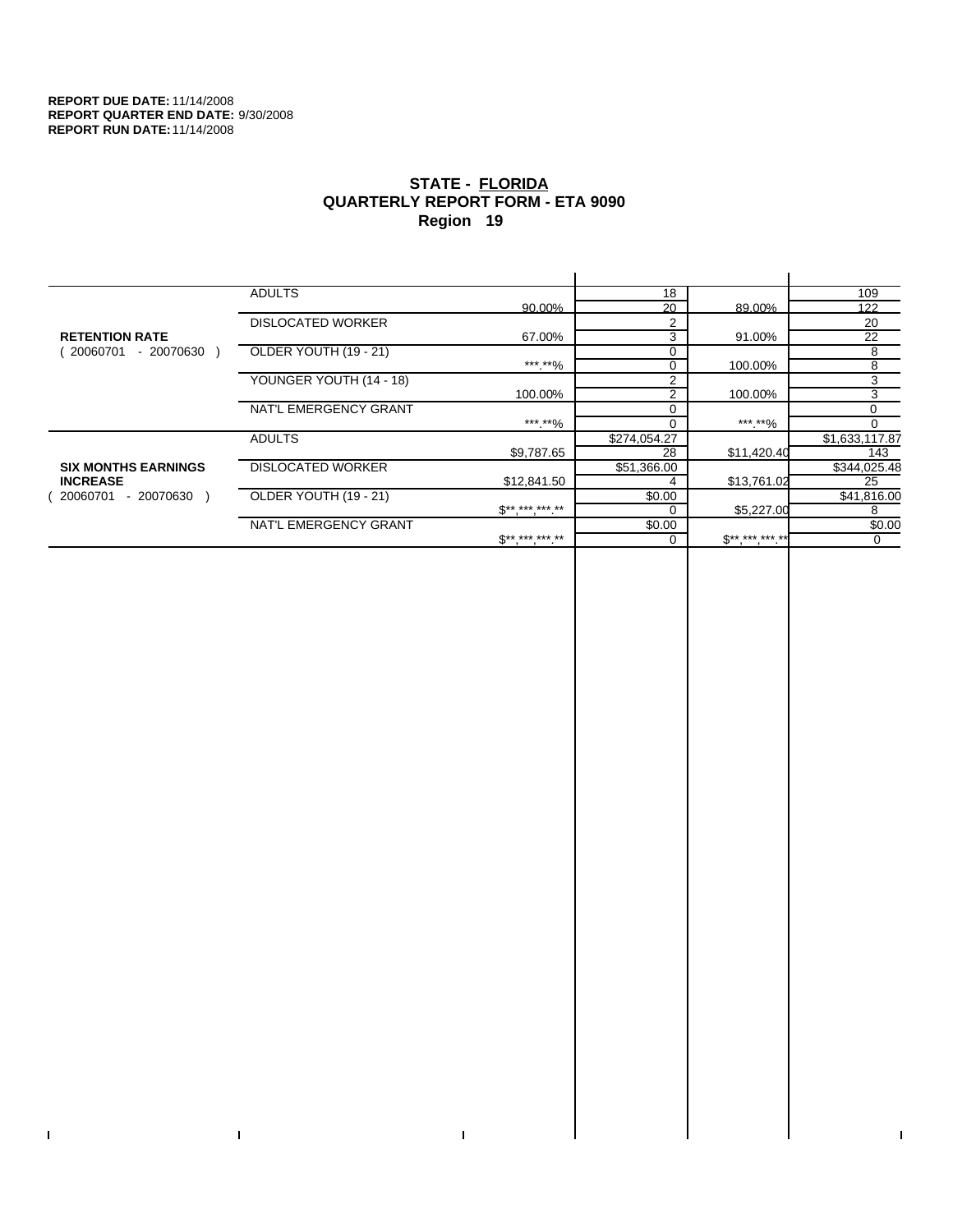$\bar{\Gamma}$ 

 $\mathbf{I}$ 

# **STATE - FLORIDA QUARTERLY REPORT FORM - ETA 9090 Region 19**

|                            | <b>ADULTS</b>            |                              | 18             |              | 109            |
|----------------------------|--------------------------|------------------------------|----------------|--------------|----------------|
|                            |                          | 90.00%                       | 20             | 89.00%       | 122            |
|                            | <b>DISLOCATED WORKER</b> |                              | $\mathcal{P}$  |              | 20             |
| <b>RETENTION RATE</b>      |                          | 67.00%                       | 3              | 91.00%       | 22             |
| 20060701<br>- 20070630     | OLDER YOUTH (19 - 21)    |                              | $\Omega$       |              | 8              |
|                            |                          | ***.**%                      | $\Omega$       | 100.00%      | 8              |
|                            | YOUNGER YOUTH (14 - 18)  |                              | $\overline{2}$ |              | 3              |
|                            |                          | 100.00%                      | 2              | 100.00%      | 3              |
|                            | NAT'L EMERGENCY GRANT    |                              |                |              | 0              |
|                            |                          | ***.**%                      |                | ***.**%      | $\Omega$       |
|                            | <b>ADULTS</b>            |                              | \$274,054.27   |              | \$1,633,117.87 |
|                            |                          | \$9,787.65                   | 28             | \$11,420.40  | 143            |
| <b>SIX MONTHS EARNINGS</b> | <b>DISLOCATED WORKER</b> |                              | \$51,366.00    |              | \$344,025.48   |
| <b>INCREASE</b>            |                          | \$12,841.50                  |                | \$13,761.02  | 25             |
| - 20070630<br>20060701     | OLDER YOUTH (19 - 21)    |                              | \$0.00         |              | \$41,816.00    |
|                            |                          | $\mathbb{S}^{**}$ *** *** ** |                | \$5,227.00   | 8              |
|                            | NAT'L EMERGENCY GRANT    |                              | \$0.00         |              | \$0.00         |
|                            |                          | $$*********$                 |                | $S*********$ | 0              |
|                            |                          |                              |                |              |                |

 $\bar{\Gamma}$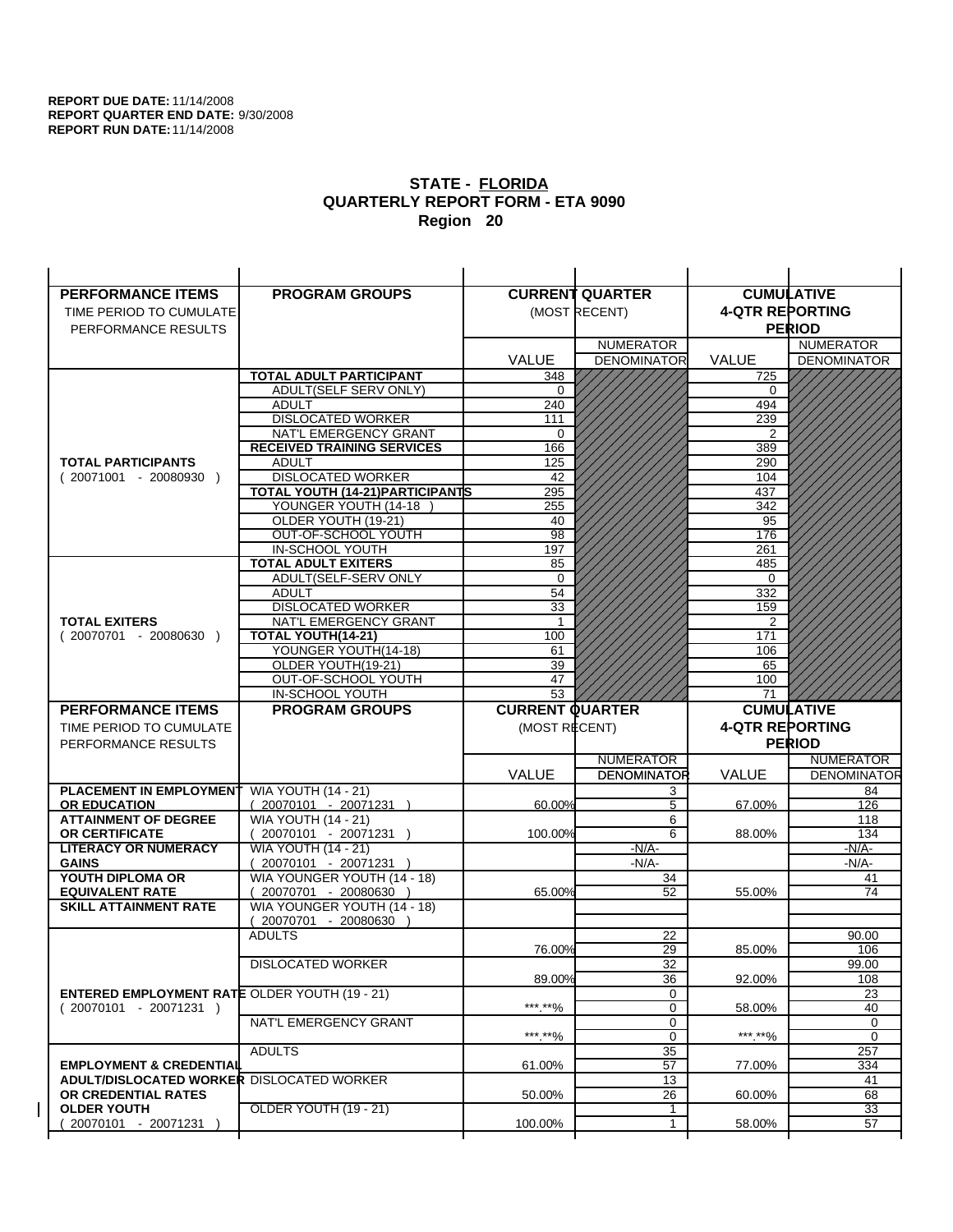| <b>PERFORMANCE ITEMS</b>                               | <b>PROGRAM GROUPS</b>                                |                        | <b>CURRENT QUARTER</b> |                        | <b>CUMULATIVE</b>  |
|--------------------------------------------------------|------------------------------------------------------|------------------------|------------------------|------------------------|--------------------|
| TIME PERIOD TO CUMULATE                                |                                                      |                        | (MOST RECENT)          | <b>4-QTR REPORTING</b> |                    |
| PERFORMANCE RESULTS                                    |                                                      |                        |                        |                        | <b>PERIOD</b>      |
|                                                        |                                                      |                        | <b>NUMERATOR</b>       |                        | <b>NUMERATOR</b>   |
|                                                        |                                                      | <b>VALUE</b>           | <b>DENOMINATOR</b>     | <b>VALUE</b>           | <b>DENOMINATOR</b> |
|                                                        | <b>TOTAL ADULT PARTICIPANT</b>                       | 348                    |                        | 725                    |                    |
|                                                        | ADULT(SELF SERV ONLY)                                | 0                      |                        | 0                      |                    |
|                                                        | <b>ADULT</b>                                         | 240                    |                        | 494                    |                    |
|                                                        | <b>DISLOCATED WORKER</b>                             | 111                    |                        | 239                    |                    |
|                                                        | NAT'L EMERGENCY GRANT                                | 0                      |                        | 2                      |                    |
|                                                        | <b>RECEIVED TRAINING SERVICES</b>                    | 166                    |                        | 389                    |                    |
| <b>TOTAL PARTICIPANTS</b>                              | <b>ADULT</b>                                         | 125                    |                        | 290                    |                    |
| $(20071001 - 20080930)$                                | <b>DISLOCATED WORKER</b>                             | 42                     |                        | 104                    |                    |
|                                                        | <b>TOTAL YOUTH (14-21) PARTICIPANTS</b>              | 295                    |                        | 437                    |                    |
|                                                        | YOUNGER YOUTH (14-18                                 | 255                    |                        | 342                    |                    |
|                                                        | OLDER YOUTH (19-21)                                  | 40<br>98               |                        | 95<br>176              |                    |
|                                                        | OUT-OF-SCHOOL YOUTH<br>IN-SCHOOL YOUTH               | 197                    |                        | 261                    |                    |
|                                                        | <b>TOTAL ADULT EXITERS</b>                           | 85                     |                        | 485                    |                    |
|                                                        | ADULT(SELF-SERV ONLY                                 | $\Omega$               |                        | $\Omega$               |                    |
|                                                        | <b>ADULT</b>                                         | 54                     |                        | 332                    |                    |
|                                                        | <b>DISLOCATED WORKER</b>                             | 33                     |                        | 159                    |                    |
| <b>TOTAL EXITERS</b>                                   | <b>NAT'L EMERGENCY GRANT</b>                         | -1                     |                        | 2                      |                    |
| $(20070701 - 20080630)$                                | <b>TOTAL YOUTH(14-21)</b>                            | 100                    |                        | 171                    |                    |
|                                                        | YOUNGER YOUTH(14-18)                                 | 61                     |                        | 106                    |                    |
|                                                        | OLDER YOUTH(19-21)                                   | 39                     |                        | 65                     |                    |
|                                                        | OUT-OF-SCHOOL YOUTH                                  | 47                     |                        | 100                    |                    |
|                                                        | IN-SCHOOL YOUTH                                      | $\overline{53}$        |                        | 71                     |                    |
|                                                        |                                                      |                        |                        |                        |                    |
| <b>PERFORMANCE ITEMS</b>                               | <b>PROGRAM GROUPS</b>                                | <b>CURRENT QUARTER</b> |                        |                        | <b>CUMULATIVE</b>  |
| TIME PERIOD TO CUMULATE                                |                                                      | (MOST RECENT)          |                        | <b>4-QTR REPORTING</b> |                    |
| PERFORMANCE RESULTS                                    |                                                      |                        |                        |                        | <b>PERIOD</b>      |
|                                                        |                                                      |                        | <b>NUMERATOR</b>       |                        | <b>NUMERATOR</b>   |
|                                                        |                                                      | <b>VALUE</b>           | <b>DENOMINATOR</b>     | <b>VALUE</b>           | <b>DENOMINATOR</b> |
| <b>PLACEMENT IN EMPLOYMENT</b>                         | <b>WIA YOUTH (14 - 21)</b>                           |                        | 3                      |                        | 84                 |
| <b>OR EDUCATION</b>                                    | $(20070101 - 20071231)$                              | 60.00%                 | 5                      | 67.00%                 | 126                |
| <b>ATTAINMENT OF DEGREE</b>                            | <b>WIA YOUTH (14 - 21)</b>                           |                        | 6                      |                        | 118                |
| <b>OR CERTIFICATE</b>                                  | $(20070101 - 20071231)$                              | 100.00%                | 6                      | 88.00%                 | 134                |
| <b>LITERACY OR NUMERACY</b>                            | <b>WIA YOUTH (14 - 21)</b>                           |                        | -N/A-                  |                        | <u>-N/A-</u>       |
| <b>GAINS</b>                                           | 20070101 - 20071231                                  |                        | $-N/A-$                |                        | $-N/A-$            |
| YOUTH DIPLOMA OR                                       | WIA YOUNGER YOUTH (14 - 18)                          | 65.00%                 | 34                     |                        | 41<br>74           |
| <b>EQUIVALENT RATE</b><br><b>SKILL ATTAINMENT RATE</b> | 20070701 - 20080630 )<br>WIA YOUNGER YOUTH (14 - 18) |                        | 52                     | 55.00%                 |                    |
|                                                        | (20070701 - 20080630                                 |                        |                        |                        |                    |
|                                                        | <b>ADULTS</b>                                        |                        | 22                     |                        | 90.00              |
|                                                        |                                                      | 76.00%                 | 29                     | 85.00%                 | 106                |
|                                                        | <b>DISLOCATED WORKER</b>                             |                        | $\overline{32}$        |                        | 99.00              |
|                                                        |                                                      | 89.00%                 | 36                     | 92.00%                 | 108                |
| <b>ENTERED EMPLOYMENT RATE OLDER YOUTH (19 - 21)</b>   |                                                      |                        | 0                      |                        | 23                 |
| $(20070101 - 20071231)$                                |                                                      | ***.**%                | 0                      | 58.00%                 | 40                 |
|                                                        | NAT'L EMERGENCY GRANT                                |                        | 0                      |                        | 0                  |
|                                                        |                                                      | *** **%                | $\mathbf 0$            | *** **%                | 0                  |
|                                                        | <b>ADULTS</b>                                        |                        | 35                     |                        | 257                |
| <b>EMPLOYMENT &amp; CREDENTIAL</b>                     |                                                      | 61.00%                 | 57                     | 77.00%                 | 334                |
| <b>ADULT/DISLOCATED WORKER DISLOCATED WORKER</b>       |                                                      | 50.00%                 | 13                     |                        | 41                 |
| OR CREDENTIAL RATES<br><b>OLDER YOUTH</b>              | OLDER YOUTH (19 - 21)                                |                        | 26<br>1                | 60.00%                 | 68<br>33           |
| 20070101 - 20071231                                    |                                                      | 100.00%                | 1                      | 58.00%                 | 57                 |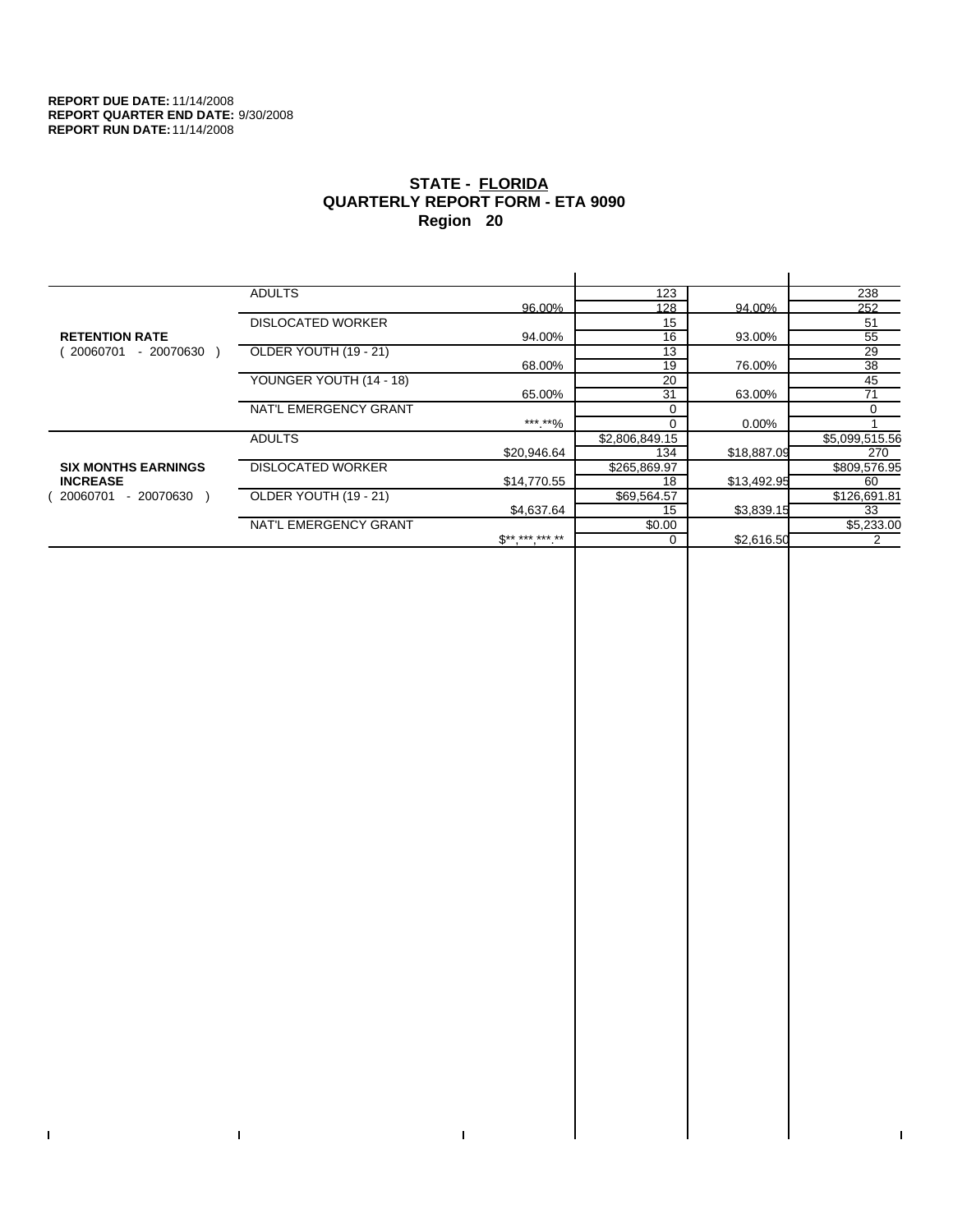$\bar{\Gamma}$ 

 $\Gamma$ 

# **STATE - FLORIDA QUARTERLY REPORT FORM - ETA 9090 Region 20**

|                            | <b>ADULTS</b>            |                 | 123            |             | 238            |
|----------------------------|--------------------------|-----------------|----------------|-------------|----------------|
|                            |                          | 96.00%          | 128            | 94.00%      | 252            |
|                            | <b>DISLOCATED WORKER</b> |                 | 15             |             | 51             |
| <b>RETENTION RATE</b>      |                          | 94.00%          | 16             | 93.00%      | 55             |
| - 20070630<br>20060701     | OLDER YOUTH (19 - 21)    |                 | 13             |             | 29             |
|                            |                          | 68.00%          | 19             | 76.00%      | 38             |
|                            | YOUNGER YOUTH (14 - 18)  |                 | 20             |             | 45             |
|                            |                          | 65.00%          | 31             | 63.00%      | 71             |
|                            | NAT'L EMERGENCY GRANT    |                 |                |             | $\Omega$       |
|                            |                          | ***.**%         |                | 0.00%       |                |
|                            | <b>ADULTS</b>            |                 | \$2,806,849.15 |             | \$5,099,515.56 |
|                            |                          | \$20,946.64     | 134            | \$18,887.09 | 270            |
| <b>SIX MONTHS EARNINGS</b> | <b>DISLOCATED WORKER</b> |                 | \$265,869.97   |             | \$809,576.95   |
| <b>INCREASE</b>            |                          | \$14,770.55     | 18             | \$13,492.95 | 60             |
| $-20070630$<br>20060701    | OLDER YOUTH (19 - 21)    |                 | \$69,564.57    |             | \$126,691.81   |
|                            |                          | \$4,637.64      | 15             | \$3,839.15  | 33             |
|                            | NAT'L EMERGENCY GRANT    |                 | \$0.00         |             | \$5,233.00     |
|                            |                          | $S^{*********}$ |                | \$2,616.50  |                |
|                            |                          |                 |                |             |                |

 $\bar{\Gamma}$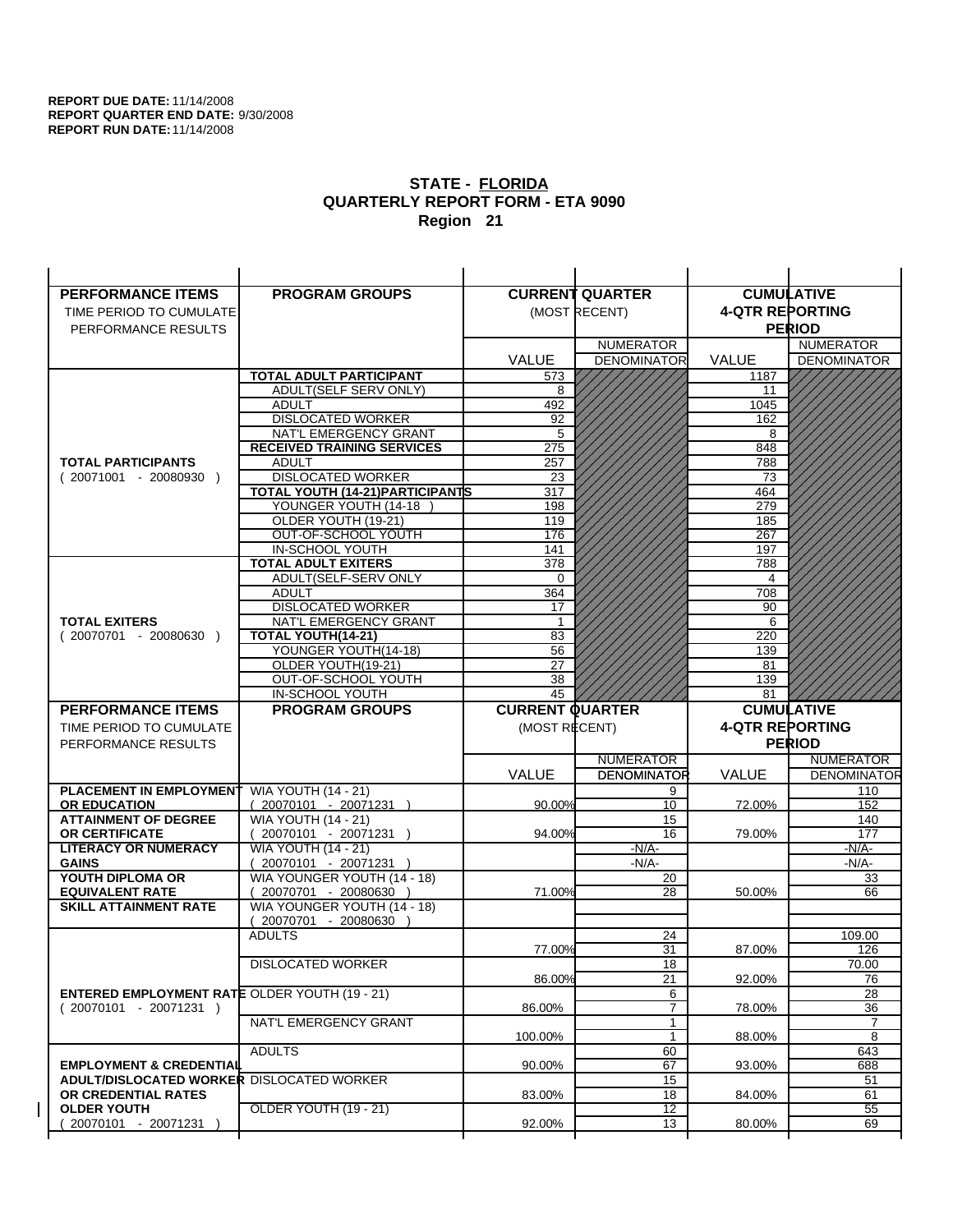| <b>PERFORMANCE ITEMS</b>                             | <b>PROGRAM GROUPS</b>                                |                        | <b>CURRENT QUARTER</b> |                        | <b>CUMULATIVE</b>  |
|------------------------------------------------------|------------------------------------------------------|------------------------|------------------------|------------------------|--------------------|
| TIME PERIOD TO CUMULATE                              |                                                      |                        | (MOST RECENT)          | <b>4-QTR REPORTING</b> |                    |
| PERFORMANCE RESULTS                                  |                                                      |                        |                        |                        | <b>PERIOD</b>      |
|                                                      |                                                      |                        | <b>NUMERATOR</b>       |                        | <b>NUMERATOR</b>   |
|                                                      |                                                      | <b>VALUE</b>           | <b>DENOMINATOR</b>     | <b>VALUE</b>           | <b>DENOMINATOR</b> |
|                                                      | <b>TOTAL ADULT PARTICIPANT</b>                       | 573                    |                        | 1187                   |                    |
|                                                      | ADULT(SELF SERV ONLY)                                | 8                      |                        | 11                     |                    |
|                                                      | <b>ADULT</b>                                         | 492                    |                        | 1045                   |                    |
|                                                      | <b>DISLOCATED WORKER</b>                             | 92                     |                        | 162                    |                    |
|                                                      | NAT'L EMERGENCY GRANT                                | 5                      |                        | 8                      |                    |
|                                                      | <b>RECEIVED TRAINING SERVICES</b>                    | 275                    |                        | 848                    |                    |
| <b>TOTAL PARTICIPANTS</b>                            | <b>ADULT</b>                                         | 257                    |                        | 788                    |                    |
| $(20071001 - 20080930)$                              | <b>DISLOCATED WORKER</b>                             | 23                     |                        | 73                     |                    |
|                                                      | <b>TOTAL YOUTH (14-21) PARTICIPANTS</b>              | 317                    |                        | 464                    |                    |
|                                                      | YOUNGER YOUTH (14-18                                 | 198                    |                        | 279                    |                    |
|                                                      | OLDER YOUTH (19-21)                                  | 119<br>176             |                        | 185<br>267             |                    |
|                                                      | OUT-OF-SCHOOL YOUTH<br>IN-SCHOOL YOUTH               | 141                    |                        | 197                    |                    |
|                                                      | <b>TOTAL ADULT EXITERS</b>                           | 378                    |                        | 788                    |                    |
|                                                      | ADULT(SELF-SERV ONLY                                 | $\Omega$               |                        | 4                      |                    |
|                                                      | <b>ADULT</b>                                         | 364                    |                        | 708                    |                    |
|                                                      | <b>DISLOCATED WORKER</b>                             | 17                     |                        | 90                     |                    |
| <b>TOTAL EXITERS</b>                                 | NAT'L EMERGENCY GRANT                                | -1                     |                        | 6                      |                    |
| $(20070701 - 20080630)$                              | <b>TOTAL YOUTH(14-21)</b>                            | 83                     |                        | 220                    |                    |
|                                                      | YOUNGER YOUTH(14-18)                                 | 56                     |                        | 139                    |                    |
|                                                      | OLDER YOUTH(19-21)                                   | 27                     |                        | 81                     |                    |
|                                                      | OUT-OF-SCHOOL YOUTH                                  | 38                     |                        | 139                    |                    |
|                                                      | IN-SCHOOL YOUTH                                      | 45                     |                        | 81                     |                    |
|                                                      |                                                      |                        |                        |                        |                    |
| <b>PERFORMANCE ITEMS</b>                             | <b>PROGRAM GROUPS</b>                                | <b>CURRENT QUARTER</b> |                        |                        | <b>CUMULATIVE</b>  |
| TIME PERIOD TO CUMULATE                              |                                                      | (MOST RECENT)          |                        | <b>4-QTR REPORTING</b> |                    |
| PERFORMANCE RESULTS                                  |                                                      |                        |                        |                        | <b>PERIOD</b>      |
|                                                      |                                                      |                        | <b>NUMERATOR</b>       |                        | <b>NUMERATOR</b>   |
|                                                      |                                                      | <b>VALUE</b>           | <b>DENOMINATOR</b>     | <b>VALUE</b>           | <b>DENOMINATOR</b> |
| <b>PLACEMENT IN EMPLOYMENT</b>                       | <b>WIA YOUTH (14 - 21)</b>                           |                        | 9                      |                        | 110                |
| <b>OR EDUCATION</b>                                  | $(20070101 - 20071231)$                              | 90.00%                 | 10                     | 72.00%                 | 152                |
| <b>ATTAINMENT OF DEGREE</b>                          | <b>WIA YOUTH (14 - 21)</b>                           |                        | 15                     |                        | 140                |
| <b>OR CERTIFICATE</b>                                | $(20070101 - 20071231)$                              | 94.00%                 | 16                     | 79.00%                 | 177                |
| <b>LITERACY OR NUMERACY</b>                          | <b>WIA YOUTH (14 - 21)</b>                           |                        | -N/A-                  |                        | -N/A-              |
| <b>GAINS</b>                                         | 20070101 - 20071231                                  |                        | $-N/A-$                |                        | $-N/A-$            |
| YOUTH DIPLOMA OR<br><b>EQUIVALENT RATE</b>           | WIA YOUNGER YOUTH (14 - 18)<br>20070701 - 20080630 ) | 71.00%                 | 20<br>28               | 50.00%                 | 33<br>66           |
| <b>SKILL ATTAINMENT RATE</b>                         | WIA YOUNGER YOUTH (14 - 18)                          |                        |                        |                        |                    |
|                                                      | (20070701 - 20080630                                 |                        |                        |                        |                    |
|                                                      | <b>ADULTS</b>                                        |                        | 24                     |                        | 109.00             |
|                                                      |                                                      | 77.00%                 | 31                     | 87.00%                 | 126                |
|                                                      | <b>DISLOCATED WORKER</b>                             |                        | $\overline{18}$        |                        | 70.00              |
|                                                      |                                                      | 86.00%                 | 21                     | 92.00%                 | 76                 |
| <b>ENTERED EMPLOYMENT RATE OLDER YOUTH (19 - 21)</b> |                                                      |                        | 6                      |                        | 28                 |
| $(20070101 - 20071231)$                              |                                                      | 86.00%                 | $\overline{7}$         | 78.00%                 | 36                 |
|                                                      | NAT'L EMERGENCY GRANT                                |                        | 1                      |                        | 7                  |
|                                                      |                                                      | 100.00%                | 1                      | 88.00%                 | 8                  |
| <b>EMPLOYMENT &amp; CREDENTIAL</b>                   | <b>ADULTS</b>                                        | 90.00%                 | 60<br>67               | 93.00%                 | 643                |
| <b>ADULT/DISLOCATED WORKER DISLOCATED WORKER</b>     |                                                      |                        | 15                     |                        | 688<br>51          |
| OR CREDENTIAL RATES                                  |                                                      | 83.00%                 | 18                     | 84.00%                 | 61                 |
| <b>OLDER YOUTH</b>                                   | OLDER YOUTH (19 - 21)                                |                        | $\overline{12}$        |                        | 55                 |
| 20070101 - 20071231                                  |                                                      | 92.00%                 | 13                     | 80.00%                 | 69                 |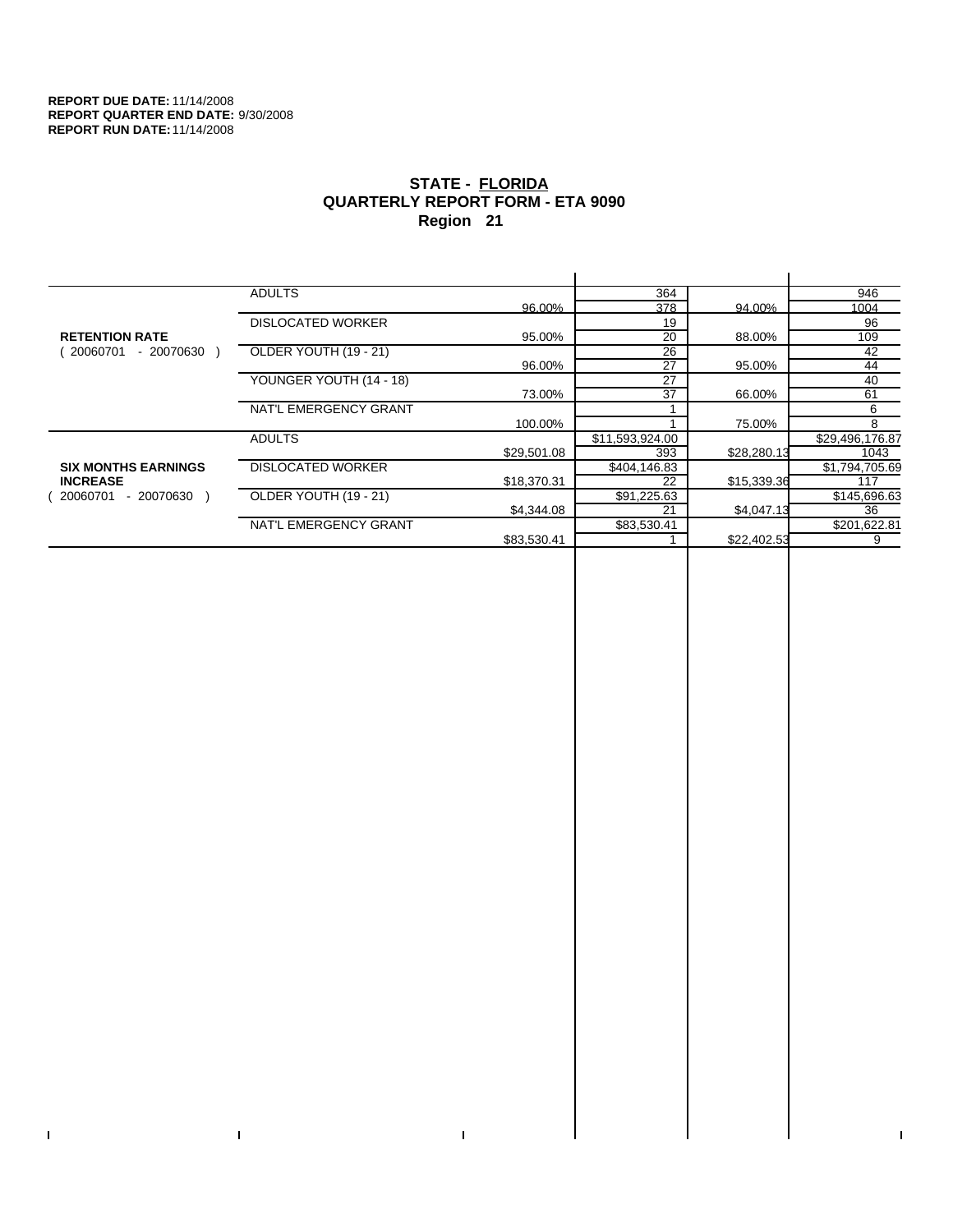$\bar{\Gamma}$ 

 $\Gamma$ 

# **STATE - FLORIDA QUARTERLY REPORT FORM - ETA 9090 Region 21**

|                            | <b>ADULTS</b>            |             | 364             |             | 946             |
|----------------------------|--------------------------|-------------|-----------------|-------------|-----------------|
|                            |                          | 96.00%      | 378             | 94.00%      | 1004            |
|                            | <b>DISLOCATED WORKER</b> |             | 19              |             | 96              |
| <b>RETENTION RATE</b>      |                          | 95.00%      | 20              | 88.00%      | 109             |
| - 20070630<br>20060701     | OLDER YOUTH (19 - 21)    |             | 26              |             | 42              |
|                            |                          | 96.00%      | 27              | 95.00%      | 44              |
|                            | YOUNGER YOUTH (14 - 18)  |             | 27              |             | 40              |
|                            |                          | 73.00%      | 37              | 66.00%      | 61              |
|                            | NAT'L EMERGENCY GRANT    |             |                 |             | 6               |
|                            |                          | 100.00%     |                 | 75.00%      | 8               |
|                            | <b>ADULTS</b>            |             | \$11,593,924.00 |             | \$29,496,176.87 |
|                            |                          | \$29,501.08 | 393             | \$28,280.13 | 1043            |
| <b>SIX MONTHS EARNINGS</b> | <b>DISLOCATED WORKER</b> |             | \$404,146.83    |             | \$1,794,705.69  |
| <b>INCREASE</b>            |                          | \$18,370.31 | 22              | \$15,339.36 | 117             |
| $-20070630$<br>20060701    | OLDER YOUTH (19 - 21)    |             | \$91,225.63     |             | \$145,696.63    |
|                            |                          | \$4,344.08  | 21              | \$4,047.13  | 36              |
|                            | NAT'L EMERGENCY GRANT    |             | \$83,530.41     |             | \$201,622.81    |
|                            |                          | \$83,530.41 |                 | \$22,402.53 | 9               |
|                            |                          |             |                 |             |                 |

 $\bar{\Gamma}$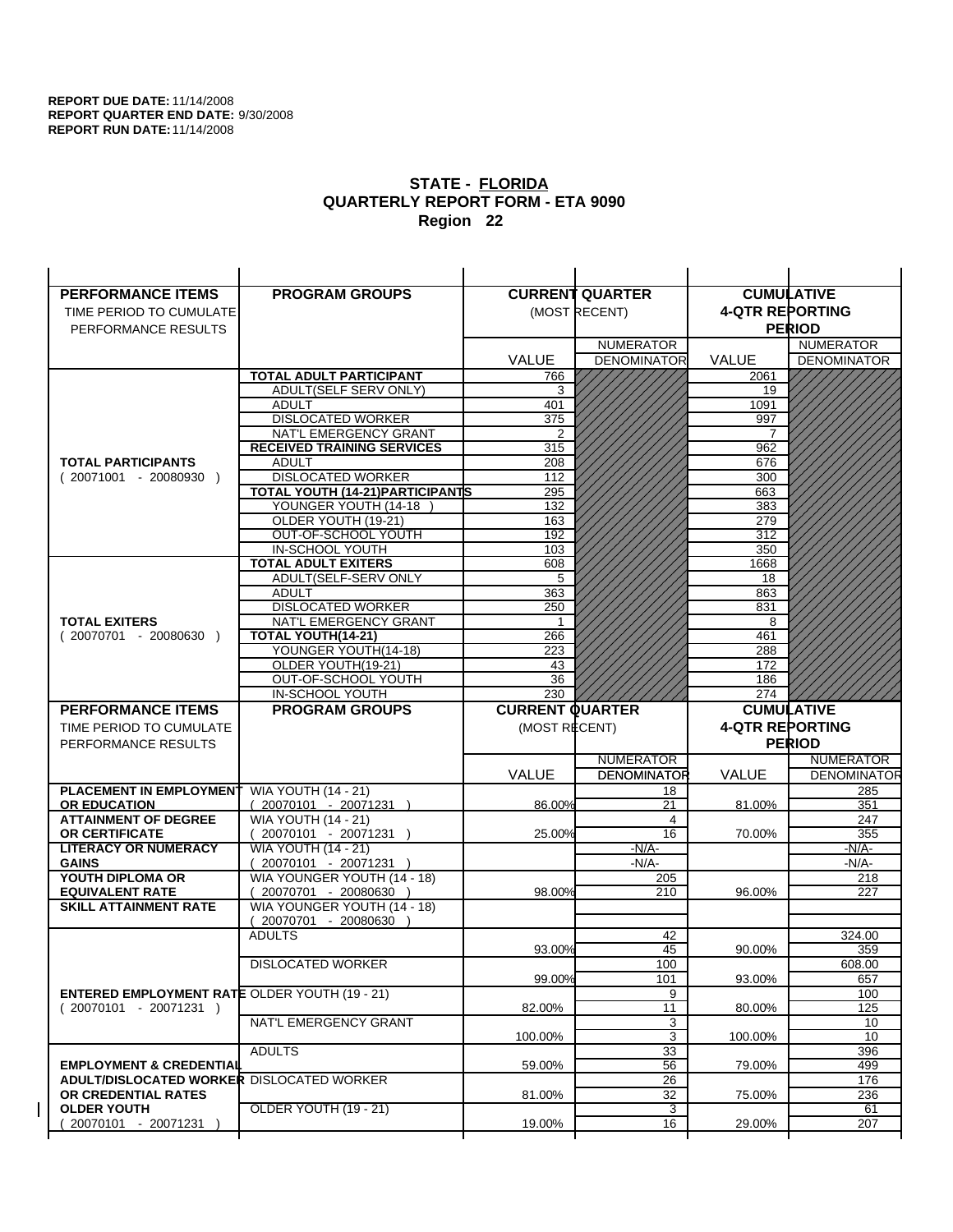| <b>PERFORMANCE ITEMS</b>                             | <b>PROGRAM GROUPS</b>                                |                        | <b>CURRENT QUARTER</b> |                        | <b>CUMULATIVE</b>  |
|------------------------------------------------------|------------------------------------------------------|------------------------|------------------------|------------------------|--------------------|
| TIME PERIOD TO CUMULATE                              |                                                      |                        | (MOST RECENT)          | <b>4-QTR REPORTING</b> |                    |
| PERFORMANCE RESULTS                                  |                                                      |                        |                        |                        | <b>PERIOD</b>      |
|                                                      |                                                      |                        | <b>NUMERATOR</b>       |                        | <b>NUMERATOR</b>   |
|                                                      |                                                      | <b>VALUE</b>           | <b>DENOMINATOR</b>     | VALUE                  | <b>DENOMINATOR</b> |
|                                                      | <b>TOTAL ADULT PARTICIPANT</b>                       | 766                    |                        | 2061                   |                    |
|                                                      | ADULT(SELF SERV ONLY)                                | 3                      |                        | 19                     |                    |
|                                                      | <b>ADULT</b>                                         | 401                    |                        | 1091                   |                    |
|                                                      | <b>DISLOCATED WORKER</b>                             | 375                    |                        | 997                    |                    |
|                                                      | NAT'L EMERGENCY GRANT                                | 2                      |                        |                        |                    |
|                                                      | <b>RECEIVED TRAINING SERVICES</b>                    | 315                    |                        | 962                    |                    |
| <b>TOTAL PARTICIPANTS</b>                            | <b>ADULT</b>                                         | 208                    |                        | 676                    |                    |
| $(20071001 - 20080930)$                              | <b>DISLOCATED WORKER</b>                             | 112                    |                        | 300                    |                    |
|                                                      | TOTAL YOUTH (14-21) PARTICIPANTS                     | 295                    |                        | 663                    |                    |
|                                                      | YOUNGER YOUTH (14-18                                 | 132                    |                        | 383                    |                    |
|                                                      | OLDER YOUTH (19-21)<br>OUT-OF-SCHOOL YOUTH           | 163<br>192             |                        | 279<br>312             |                    |
|                                                      | IN-SCHOOL YOUTH                                      | 103                    |                        | 350                    |                    |
|                                                      | <b>TOTAL ADULT EXITERS</b>                           | 608                    |                        | 1668                   |                    |
|                                                      | ADULT(SELF-SERV ONLY                                 | 5                      |                        | 18                     |                    |
|                                                      | <b>ADULT</b>                                         | 363                    |                        | 863                    |                    |
|                                                      | <b>DISLOCATED WORKER</b>                             | 250                    |                        | 831                    |                    |
| <b>TOTAL EXITERS</b>                                 | <b>NAT'L EMERGENCY GRANT</b>                         | -1                     |                        | 8                      |                    |
| $(20070701 - 20080630)$                              | <b>TOTAL YOUTH(14-21)</b>                            | 266                    |                        | 461                    |                    |
|                                                      | YOUNGER YOUTH(14-18)                                 | 223                    |                        | 288                    |                    |
|                                                      | OLDER YOUTH(19-21)                                   | 43                     |                        | 172                    |                    |
|                                                      | OUT-OF-SCHOOL YOUTH                                  | 36                     |                        | 186                    |                    |
|                                                      | IN-SCHOOL YOUTH                                      | 230                    |                        | 274                    |                    |
|                                                      |                                                      |                        |                        |                        |                    |
| <b>PERFORMANCE ITEMS</b>                             | <b>PROGRAM GROUPS</b>                                | <b>CURRENT QUARTER</b> |                        |                        | <b>CUMULATIVE</b>  |
| TIME PERIOD TO CUMULATE                              |                                                      | (MOST RECENT)          |                        | <b>4-QTR REPORTING</b> |                    |
| PERFORMANCE RESULTS                                  |                                                      |                        |                        |                        | <b>PERIOD</b>      |
|                                                      |                                                      |                        | <b>NUMERATOR</b>       |                        | <b>NUMERATOR</b>   |
|                                                      |                                                      | <b>VALUE</b>           | <b>DENOMINATOR</b>     | <b>VALUE</b>           | <b>DENOMINATOR</b> |
| <b>PLACEMENT IN EMPLOYMENT</b>                       | <b>WIA YOUTH (14 - 21)</b>                           |                        | 18                     |                        | 285                |
| <b>OR EDUCATION</b>                                  | $(20070101 - 20071231)$                              | 86.00%                 | 21                     | 81.00%                 | 351                |
| <b>ATTAINMENT OF DEGREE</b>                          | <b>WIA YOUTH (14 - 21)</b>                           |                        | 4                      |                        | 247                |
| <b>OR CERTIFICATE</b>                                | $(20070101 - 20071231)$                              | 25.00%                 | 16                     | 70.00%                 | 355                |
| <b>LITERACY OR NUMERACY</b>                          | <b>WIA YOUTH (14 - 21)</b>                           |                        | $-N/A-$                |                        | -N/A-              |
| <b>GAINS</b>                                         | 20070101 - 20071231                                  |                        | $-N/A-$                |                        | $-N/A-$            |
| YOUTH DIPLOMA OR<br><b>EQUIVALENT RATE</b>           | WIA YOUNGER YOUTH (14 - 18)                          | 98.00%                 | 205<br>210             | 96.00%                 | 218<br>227         |
| <b>SKILL ATTAINMENT RATE</b>                         | 20070701 - 20080630 )<br>WIA YOUNGER YOUTH (14 - 18) |                        |                        |                        |                    |
|                                                      | (20070701 - 20080630                                 |                        |                        |                        |                    |
|                                                      | <b>ADULTS</b>                                        |                        | 42                     |                        | 324.00             |
|                                                      |                                                      | 93.00%                 | 45                     | 90.00%                 | 359                |
|                                                      | <b>DISLOCATED WORKER</b>                             |                        | 100                    |                        | 608.00             |
|                                                      |                                                      | 99.00%                 | 101                    | 93.00%                 | 657                |
| <b>ENTERED EMPLOYMENT RATE OLDER YOUTH (19 - 21)</b> |                                                      |                        | 9                      |                        | 100                |
| $(20070101 - 20071231)$                              |                                                      | 82.00%                 | 11                     | 80.00%                 | 125                |
|                                                      | NAT'L EMERGENCY GRANT                                |                        | 3                      |                        | 10                 |
|                                                      |                                                      | 100.00%                | 3                      | 100.00%                | 10                 |
| <b>EMPLOYMENT &amp; CREDENTIAL</b>                   | <b>ADULTS</b>                                        | 59.00%                 | 33                     | 79.00%                 | 396<br>499         |
| <b>ADULT/DISLOCATED WORKER DISLOCATED WORKER</b>     |                                                      |                        | 56<br>26               |                        | 176                |
| OR CREDENTIAL RATES                                  |                                                      | 81.00%                 | 32                     | 75.00%                 | 236                |
| <b>OLDER YOUTH</b>                                   | OLDER YOUTH (19 - 21)                                |                        | $\overline{3}$         |                        | 61                 |
| 20070101 - 20071231                                  |                                                      | 19.00%                 | 16                     | 29.00%                 | 207                |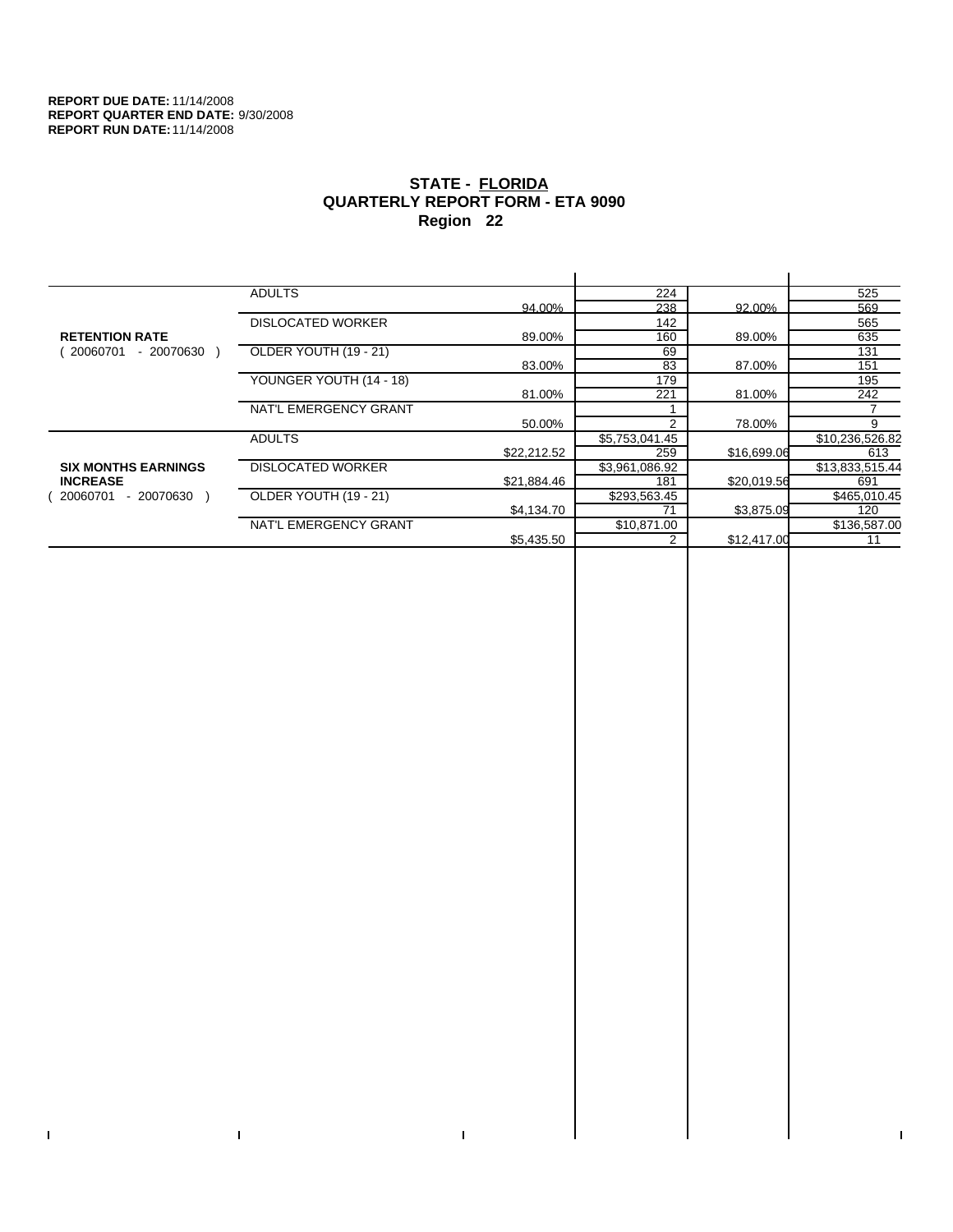$\bar{\Gamma}$ 

 $\Gamma$ 

# **STATE - FLORIDA QUARTERLY REPORT FORM - ETA 9090 Region 22**

|                            | <b>ADULTS</b>            |             | 224            |             | 525             |
|----------------------------|--------------------------|-------------|----------------|-------------|-----------------|
|                            |                          | 94.00%      | 238            | 92.00%      | 569             |
|                            | <b>DISLOCATED WORKER</b> |             | 142            |             | 565             |
| <b>RETENTION RATE</b>      |                          | 89.00%      | 160            | 89.00%      | 635             |
| $-20070630$<br>20060701    | OLDER YOUTH (19 - 21)    |             | 69             |             | 131             |
|                            |                          | 83.00%      | 83             | 87.00%      | 151             |
|                            | YOUNGER YOUTH (14 - 18)  |             | 179            |             | 195             |
|                            |                          | 81.00%      | 221            | 81.00%      | 242             |
|                            | NAT'L EMERGENCY GRANT    |             |                |             |                 |
|                            |                          | 50.00%      | 2              | 78.00%      | 9               |
|                            | <b>ADULTS</b>            |             | \$5,753,041.45 |             | \$10,236,526.82 |
|                            |                          | \$22,212.52 | 259            | \$16,699.06 | 613             |
| <b>SIX MONTHS EARNINGS</b> | <b>DISLOCATED WORKER</b> |             | \$3,961,086.92 |             | \$13,833,515.44 |
| <b>INCREASE</b>            |                          | \$21,884.46 | 181            | \$20,019.56 | 691             |
| - 20070630<br>20060701     | OLDER YOUTH (19 - 21)    |             | \$293,563.45   |             | \$465,010.45    |
|                            |                          | \$4,134.70  | 71             | \$3,875.09  | 120             |
|                            | NAT'L EMERGENCY GRANT    |             | \$10,871.00    |             | \$136,587.00    |
|                            |                          | \$5,435.50  |                | \$12,417.00 | 11              |
|                            |                          |             |                |             |                 |

 $\bar{\Gamma}$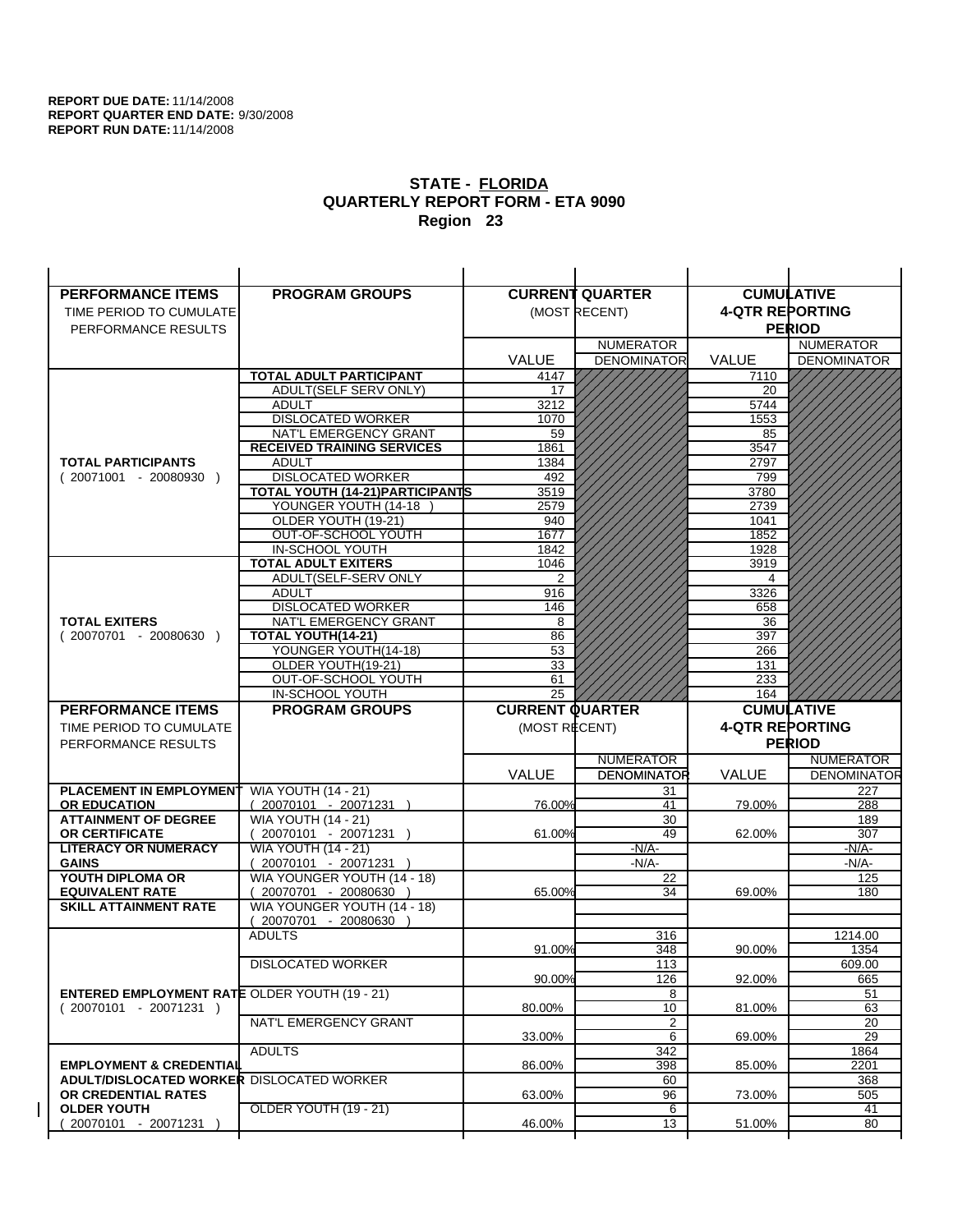| <b>PERFORMANCE ITEMS</b>                                                        | <b>PROGRAM GROUPS</b>                                |                        | <b>CURRENT QUARTER</b> |                        | <b>CUMULATIVE</b>         |
|---------------------------------------------------------------------------------|------------------------------------------------------|------------------------|------------------------|------------------------|---------------------------|
| TIME PERIOD TO CUMULATE                                                         |                                                      |                        | (MOST RECENT)          | <b>4-QTR REPORTING</b> |                           |
| PERFORMANCE RESULTS                                                             |                                                      |                        |                        |                        | <b>PERIOD</b>             |
|                                                                                 |                                                      |                        | <b>NUMERATOR</b>       |                        | <b>NUMERATOR</b>          |
|                                                                                 |                                                      | <b>VALUE</b>           | <b>DENOMINATOR</b>     | VALUE                  | <b>DENOMINATOR</b>        |
|                                                                                 | <b>TOTAL ADULT PARTICIPANT</b>                       | 4147                   |                        | 7110                   |                           |
|                                                                                 | ADULT(SELF SERV ONLY)                                | 17                     |                        | 20                     |                           |
|                                                                                 | <b>ADULT</b>                                         | 3212                   |                        | 5744                   |                           |
|                                                                                 | <b>DISLOCATED WORKER</b>                             | 1070                   |                        | 1553                   |                           |
|                                                                                 | NAT'L EMERGENCY GRANT                                | 59                     |                        | 85                     |                           |
| <b>TOTAL PARTICIPANTS</b>                                                       | <b>RECEIVED TRAINING SERVICES</b><br><b>ADULT</b>    | 1861                   |                        | 3547<br>2797           |                           |
| $(20071001 - 20080930)$                                                         | <b>DISLOCATED WORKER</b>                             | 1384<br>492            |                        | 799                    |                           |
|                                                                                 | TOTAL YOUTH (14-21) PARTICIPANTS                     | 3519                   |                        | 3780                   |                           |
|                                                                                 | YOUNGER YOUTH (14-18                                 | 2579                   |                        | 2739                   |                           |
|                                                                                 | OLDER YOUTH (19-21)                                  | 940                    |                        | 1041                   |                           |
|                                                                                 | OUT-OF-SCHOOL YOUTH                                  | 1677                   |                        | 1852                   |                           |
|                                                                                 | IN-SCHOOL YOUTH                                      | 1842                   |                        | 1928                   |                           |
|                                                                                 | <b>TOTAL ADULT EXITERS</b>                           | 1046                   |                        | 3919                   |                           |
|                                                                                 | ADULT(SELF-SERV ONLY                                 | 2                      |                        | 4                      |                           |
|                                                                                 | <b>ADULT</b>                                         | 916                    |                        | 3326                   |                           |
| <b>TOTAL EXITERS</b>                                                            | <b>DISLOCATED WORKER</b><br>NAT'L EMERGENCY GRANT    | 146<br>8               |                        | 658<br>36              |                           |
| $(20070701 - 20080630)$                                                         | TOTAL YOUTH(14-21)                                   | 86                     |                        | 397                    |                           |
|                                                                                 | YOUNGER YOUTH(14-18)                                 | 53                     |                        | 266                    |                           |
|                                                                                 | OLDER YOUTH(19-21)                                   | 33                     |                        | 131                    |                           |
|                                                                                 | OUT-OF-SCHOOL YOUTH                                  | 61                     |                        | 233                    |                           |
|                                                                                 | IN-SCHOOL YOUTH                                      | 25                     |                        | 164                    |                           |
|                                                                                 |                                                      |                        |                        |                        |                           |
| <b>PERFORMANCE ITEMS</b>                                                        | <b>PROGRAM GROUPS</b>                                | <b>CURRENT QUARTER</b> |                        |                        | <b>CUMULATIVE</b>         |
| TIME PERIOD TO CUMULATE                                                         |                                                      | (MOST RECENT)          |                        | <b>4-QTR REPORTING</b> |                           |
| PERFORMANCE RESULTS                                                             |                                                      |                        |                        |                        | <b>PERIOD</b>             |
|                                                                                 |                                                      |                        | <b>NUMERATOR</b>       |                        | <b>NUMERATOR</b>          |
|                                                                                 |                                                      | <b>VALUE</b>           | <b>DENOMINATOR</b>     | <b>VALUE</b>           |                           |
| <b>PLACEMENT IN EMPLOYMENT</b>                                                  | <b>WIA YOUTH (14 - 21)</b>                           |                        | 31                     |                        | 227                       |
| <b>OR EDUCATION</b>                                                             | $(20070101 - 20071231)$                              | 76.00%                 | 41                     | 79.00%                 | <b>DENOMINATOR</b><br>288 |
| <b>ATTAINMENT OF DEGREE</b>                                                     | <b>WIA YOUTH (14 - 21)</b>                           |                        | 30                     |                        | 189                       |
| OR CERTIFICATE                                                                  | $(20070101 - 20071231)$                              | 61.00%                 | 49                     | 62.00%                 | 307                       |
| <b>LITERACY OR NUMERACY</b>                                                     | <b>WIA YOUTH (14 - 21)</b>                           |                        | $-N/A$ -               |                        | -N/A-                     |
| <b>GAINS</b><br>YOUTH DIPLOMA OR                                                | 20070101 - 20071231 )<br>WIA YOUNGER YOUTH (14 - 18) |                        | $-N/A-$<br>22          |                        | $-N/A-$<br>125            |
| <b>EQUIVALENT RATE</b>                                                          | 20070701 - 20080630 )                                | 65.00%                 | 34                     | 69.00%                 | 180                       |
| <b>SKILL ATTAINMENT RATE</b>                                                    | WIA YOUNGER YOUTH (14 - 18)                          |                        |                        |                        |                           |
|                                                                                 | (20070701 - 20080630                                 |                        |                        |                        |                           |
|                                                                                 | <b>ADULTS</b>                                        |                        | 316                    |                        | 1214.00                   |
|                                                                                 |                                                      | 91.00%                 | 348                    | 90.00%                 | 1354                      |
|                                                                                 | <b>DISLOCATED WORKER</b>                             |                        | 113                    |                        | 609.00                    |
|                                                                                 |                                                      | 90.00%                 | 126                    | 92.00%                 | 665                       |
| <b>ENTERED EMPLOYMENT RATE OLDER YOUTH (19 - 21)</b><br>$(20070101 - 20071231)$ |                                                      | 80.00%                 | 8                      | 81.00%                 | 51<br>63                  |
|                                                                                 | NAT'L EMERGENCY GRANT                                |                        | 10<br>2                |                        | 20                        |
|                                                                                 |                                                      | 33.00%                 | 6                      | 69.00%                 | 29                        |
|                                                                                 | <b>ADULTS</b>                                        |                        | 342                    |                        | 1864                      |
| <b>EMPLOYMENT &amp; CREDENTIAL</b>                                              |                                                      | 86.00%                 | 398                    | 85.00%                 | 2201                      |
| <b>ADULT/DISLOCATED WORKER DISLOCATED WORKER</b>                                |                                                      |                        | 60                     |                        | 368                       |
| OR CREDENTIAL RATES                                                             |                                                      | 63.00%                 | 96                     | 73.00%                 | 505                       |
| <b>OLDER YOUTH</b><br>20070101 - 20071231                                       | OLDER YOUTH (19 - 21)                                | 46.00%                 | 6<br>13                | 51.00%                 | 41<br>80                  |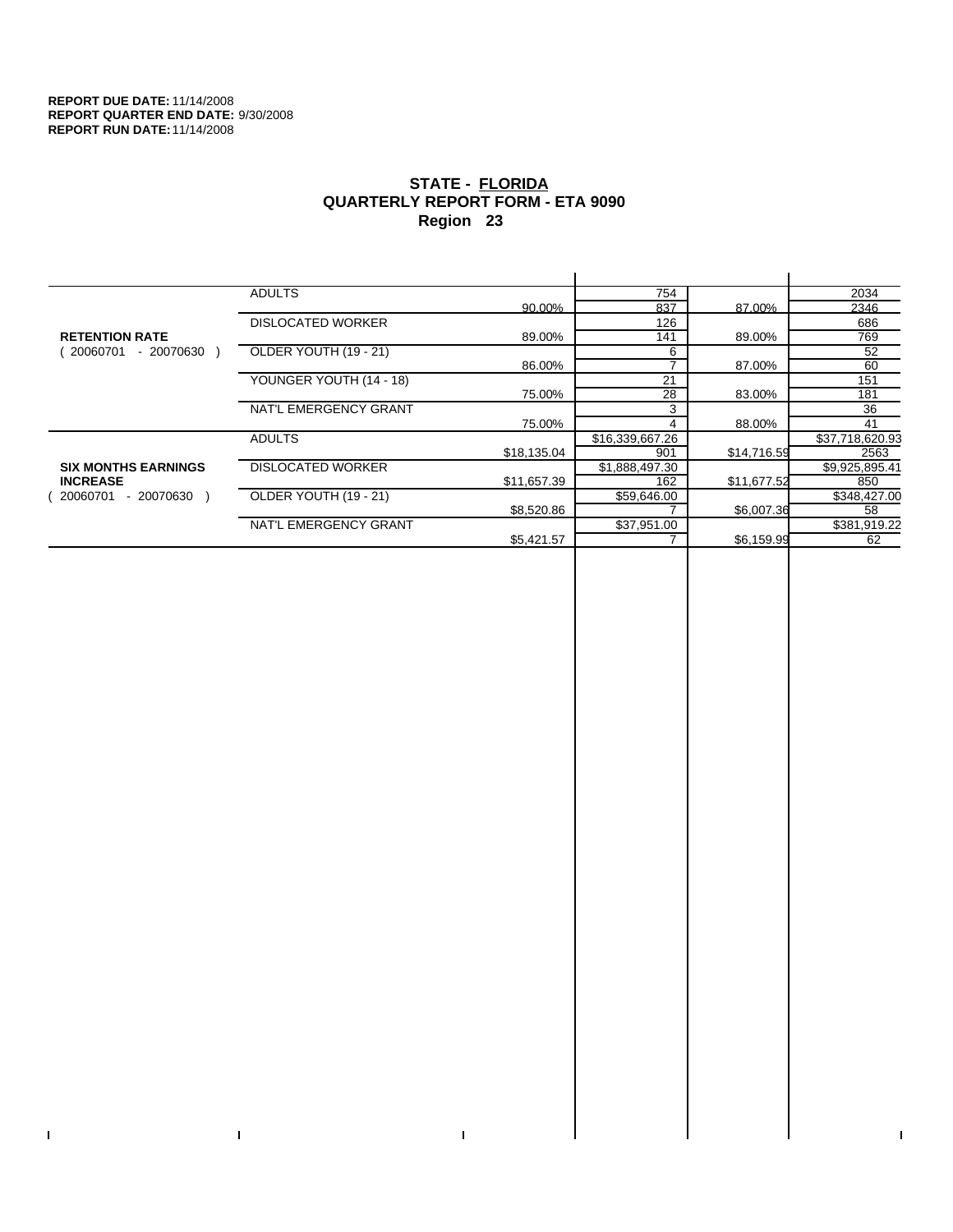$\bar{\Gamma}$ 

 $\Gamma$ 

# **STATE - FLORIDA QUARTERLY REPORT FORM - ETA 9090 Region 23**

|                            | <b>ADULTS</b>            |             | 754             |             | 2034            |
|----------------------------|--------------------------|-------------|-----------------|-------------|-----------------|
|                            |                          | 90.00%      | 837             | 87.00%      | 2346            |
|                            | <b>DISLOCATED WORKER</b> |             | 126             |             | 686             |
| <b>RETENTION RATE</b>      |                          | 89.00%      | 141             | 89.00%      | 769             |
| $-20070630$<br>20060701    | OLDER YOUTH (19 - 21)    |             | 6               |             | 52              |
|                            |                          | 86.00%      |                 | 87.00%      | 60              |
|                            | YOUNGER YOUTH (14 - 18)  |             | 21              |             | 151             |
|                            |                          | 75.00%      | 28              | 83.00%      | 181             |
|                            | NAT'L EMERGENCY GRANT    |             | 3               |             | 36              |
|                            |                          | 75.00%      | 4               | 88.00%      | 41              |
|                            | <b>ADULTS</b>            |             | \$16,339,667.26 |             | \$37,718,620.93 |
|                            |                          | \$18,135.04 | 901             | \$14,716.59 | 2563            |
| <b>SIX MONTHS EARNINGS</b> | <b>DISLOCATED WORKER</b> |             | \$1,888,497.30  |             | \$9,925,895.41  |
| <b>INCREASE</b>            |                          | \$11,657.39 | 162             | \$11,677.52 | 850             |
| - 20070630<br>20060701     | OLDER YOUTH (19 - 21)    |             | \$59,646.00     |             | \$348,427.00    |
|                            |                          | \$8,520.86  |                 | \$6,007.36  | 58              |
|                            | NAT'L EMERGENCY GRANT    |             | \$37,951.00     |             | \$381,919.22    |
|                            |                          | \$5,421.57  |                 | \$6,159.99  | 62              |
|                            |                          |             |                 |             |                 |

 $\bar{\Gamma}$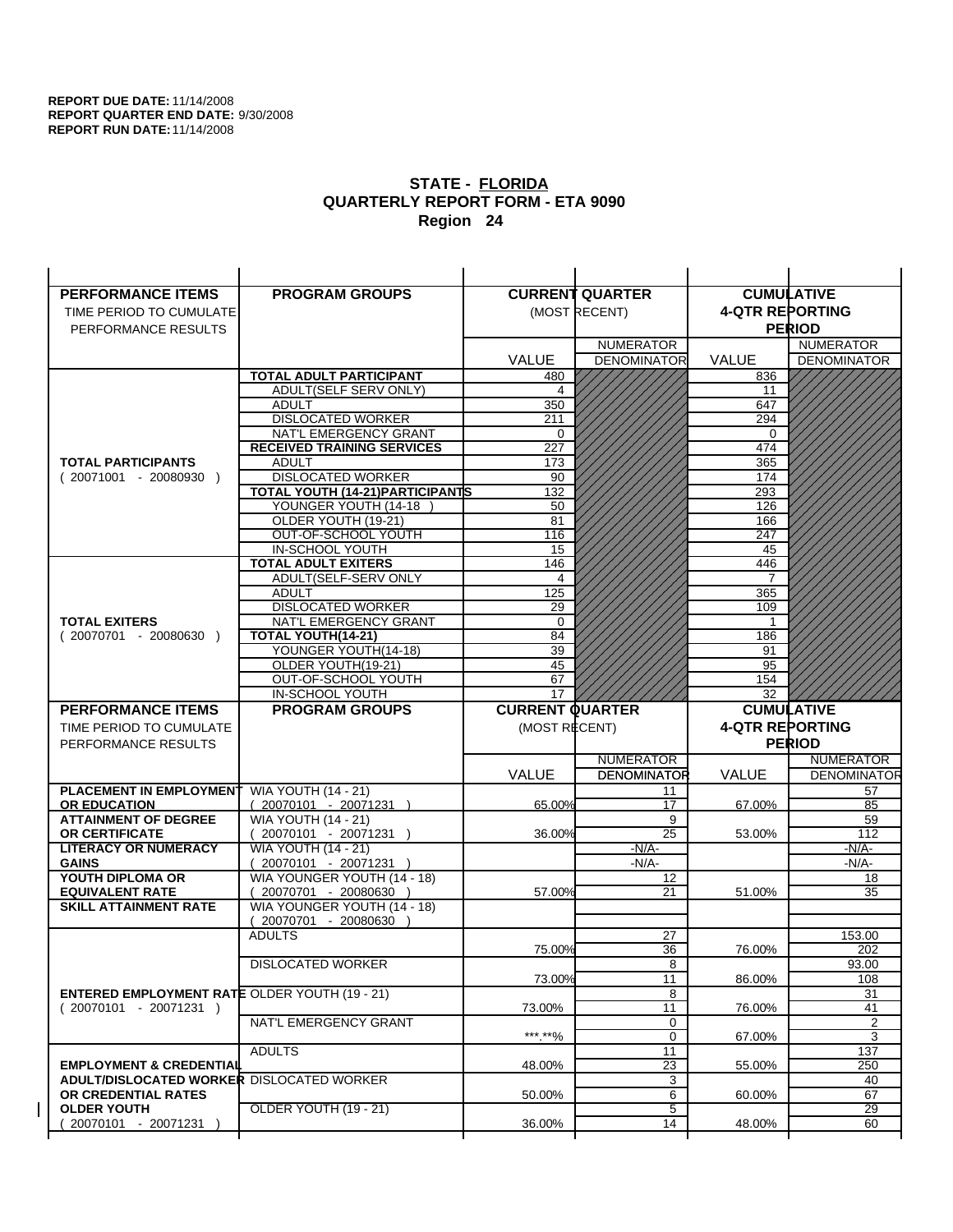| <b>PERFORMANCE ITEMS</b>                              | <b>PROGRAM GROUPS</b>                                 |                        | <b>CURRENT QUARTER</b> |                        | <b>CUMULATIVE</b>     |
|-------------------------------------------------------|-------------------------------------------------------|------------------------|------------------------|------------------------|-----------------------|
| TIME PERIOD TO CUMULATE                               |                                                       |                        | (MOST RECENT)          | <b>4-QTR REPORTING</b> |                       |
| PERFORMANCE RESULTS                                   |                                                       |                        |                        |                        | <b>PERIOD</b>         |
|                                                       |                                                       |                        | <b>NUMERATOR</b>       |                        | <b>NUMERATOR</b>      |
|                                                       |                                                       | <b>VALUE</b>           | <b>DENOMINATOR</b>     | VALUE                  | <b>DENOMINATOR</b>    |
|                                                       | <b>TOTAL ADULT PARTICIPANT</b>                        | 480                    |                        | 836                    |                       |
|                                                       | ADULT(SELF SERV ONLY)                                 | 4                      |                        | 11                     |                       |
|                                                       | <b>ADULT</b>                                          | 350                    |                        | 647                    |                       |
|                                                       | <b>DISLOCATED WORKER</b>                              | 211                    |                        | 294                    |                       |
|                                                       | NAT'L EMERGENCY GRANT                                 | 0                      |                        | 0                      |                       |
|                                                       | <b>RECEIVED TRAINING SERVICES</b>                     | 227                    |                        | 474                    |                       |
| <b>TOTAL PARTICIPANTS</b>                             | <b>ADULT</b>                                          | 173                    |                        | 365                    |                       |
| $(20071001 - 20080930)$                               | <b>DISLOCATED WORKER</b>                              | 90                     |                        | 174                    |                       |
|                                                       | TOTAL YOUTH (14-21) PARTICIPANTS                      | 132                    |                        | 293                    |                       |
|                                                       | YOUNGER YOUTH (14-18<br>OLDER YOUTH (19-21)           | 50<br>81               |                        | 126<br>166             |                       |
|                                                       | OUT-OF-SCHOOL YOUTH                                   | 116                    |                        | 247                    |                       |
|                                                       | IN-SCHOOL YOUTH                                       | 15                     |                        | 45                     |                       |
|                                                       | <b>TOTAL ADULT EXITERS</b>                            | 146                    |                        | 446                    |                       |
|                                                       | ADULT(SELF-SERV ONLY                                  | 4                      |                        |                        |                       |
|                                                       | <b>ADULT</b>                                          | 125                    |                        | 365                    |                       |
|                                                       | <b>DISLOCATED WORKER</b>                              | 29                     |                        | 109                    |                       |
| <b>TOTAL EXITERS</b>                                  | NAT'L EMERGENCY GRANT                                 | $\mathbf 0$            |                        | 1                      |                       |
| $(20070701 - 20080630)$                               | TOTAL YOUTH(14-21)                                    | 84                     |                        | 186                    |                       |
|                                                       | YOUNGER YOUTH(14-18)                                  | 39                     |                        | 91                     |                       |
|                                                       | OLDER YOUTH(19-21)<br>OUT-OF-SCHOOL YOUTH             | 45<br>67               |                        | $\overline{95}$<br>154 |                       |
|                                                       | IN-SCHOOL YOUTH                                       | 17                     |                        | 32                     |                       |
|                                                       |                                                       |                        |                        |                        |                       |
|                                                       |                                                       |                        |                        |                        |                       |
| <b>PERFORMANCE ITEMS</b>                              | <b>PROGRAM GROUPS</b>                                 | <b>CURRENT QUARTER</b> |                        |                        | <b>CUMULATIVE</b>     |
| TIME PERIOD TO CUMULATE                               |                                                       | (MOST RECENT)          |                        | <b>4-QTR REPORTING</b> |                       |
| PERFORMANCE RESULTS                                   |                                                       |                        |                        |                        | <b>PERIOD</b>         |
|                                                       |                                                       |                        | <b>NUMERATOR</b>       |                        | <b>NUMERATOR</b>      |
|                                                       |                                                       | <b>VALUE</b>           | <b>DENOMINATOR</b>     | <b>VALUE</b>           | <b>DENOMINATOR</b>    |
| <b>PLACEMENT IN EMPLOYMENT</b><br><b>OR EDUCATION</b> | <b>WIA YOUTH (14 - 21)</b><br>$(20070101 - 20071231)$ | 65.00%                 | 11<br>17               | 67.00%                 | 57<br>85              |
| <b>ATTAINMENT OF DEGREE</b>                           | <b>WIA YOUTH (14 - 21)</b>                            |                        | 9                      |                        | 59                    |
| OR CERTIFICATE                                        | (20070101 - 20071231 )                                | 36.00%                 | 25                     | 53.00%                 | 112                   |
| <b>LITERACY OR NUMERACY</b>                           | <b>WIA YOUTH (14 - 21)</b>                            |                        | $-N/A$ -               |                        | -N/A-                 |
| <b>GAINS</b>                                          | 20070101 - 20071231                                   |                        | $-N/A-$                |                        | $-N/A-$               |
| YOUTH DIPLOMA OR                                      | WIA YOUNGER YOUTH (14 - 18)                           |                        | 12                     |                        | 18                    |
| <b>EQUIVALENT RATE</b>                                | $(20070701 - 20080630)$                               | 57.00%                 | 21                     | 51.00%                 | 35                    |
| <b>SKILL ATTAINMENT RATE</b>                          | WIA YOUNGER YOUTH (14 - 18)                           |                        |                        |                        |                       |
|                                                       | (20070701 - 20080630                                  |                        |                        |                        |                       |
|                                                       | <b>ADULTS</b>                                         | 75.00%                 | 27<br>36               | 76.00%                 | 153.00<br>202         |
|                                                       |                                                       |                        | 8                      |                        |                       |
|                                                       | <b>DISLOCATED WORKER</b>                              | 73.00%                 | 11                     | 86.00%                 | 93.00<br>108          |
| <b>ENTERED EMPLOYMENT RATE OLDER YOUTH (19 - 21)</b>  |                                                       |                        | 8                      |                        | 31                    |
| $(20070101 - 20071231)$                               |                                                       | 73.00%                 | 11                     | 76.00%                 | 41                    |
|                                                       | NAT'L EMERGENCY GRANT                                 |                        | 0                      |                        | 2                     |
|                                                       |                                                       | *** **%                | 0                      | 67.00%                 | 3                     |
|                                                       | <b>ADULTS</b>                                         |                        | 11                     |                        | 137                   |
| <b>EMPLOYMENT &amp; CREDENTIAL</b>                    |                                                       | 48.00%                 | 23                     | 55.00%                 | 250                   |
| ADULT/DISLOCATED WORKER DISLOCATED WORKER             |                                                       |                        | 3                      |                        | 40                    |
| OR CREDENTIAL RATES<br><b>OLDER YOUTH</b>             | OLDER YOUTH (19 - 21)                                 | 50.00%                 | 6<br>5                 | 60.00%                 | 67<br>$\overline{29}$ |
| 20070101 - 20071231                                   |                                                       | 36.00%                 | 14                     | 48.00%                 | 60                    |